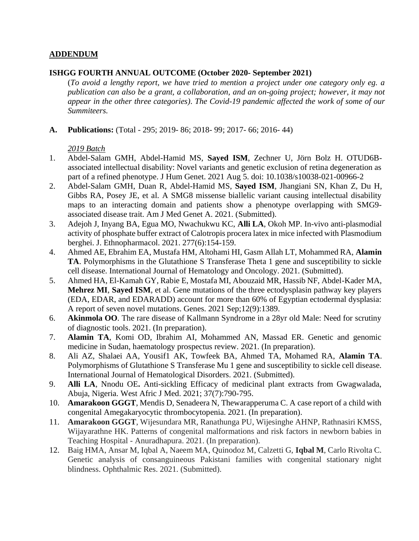### **ADDENDUM**

#### **ISHGG FOURTH ANNUAL OUTCOME (October 2020- September 2021)**

(*To avoid a lengthy report, we have tried to mention a project under one category only eg. a publication can also be a grant, a collaboration, and an on-going project; however, it may not appear in the other three categories)*. *The Covid-19 pandemic affected the work of some of our Summiteers.*

**A. Publications:** (Total - 295; 2019- 86; 2018- 99; 2017- 66; 2016- 44)

- 1. Abdel-Salam GMH, Abdel-Hamid MS, **Sayed ISM**, Zechner U, Jörn Bolz H. OTUD6Bassociated intellectual disability: Novel variants and genetic exclusion of retina degeneration as part of a refined phenotype. J Hum Genet. 2021 Aug 5. doi: 10.1038/s10038-021-00966-2
- 2. Abdel-Salam GMH, Duan R, Abdel-Hamid MS, **Sayed ISM**, Jhangiani SN, Khan Z, Du H, Gibbs RA, Posey JE, et al. A SMG8 missense biallelic variant causing intellectual disability maps to an interacting domain and patients show a phenotype overlapping with SMG9 associated disease trait. Am J Med Genet A. 2021. (Submitted).
- 3. Adejoh J, Inyang BA, Egua MO, Nwachukwu KC, **Alli LA**, Okoh MP. In-vivo anti-plasmodial activity of phosphate buffer extract of Calotropis procera latex in mice infected with Plasmodium berghei. J. Ethnopharmacol. 2021. 277(6):154-159.
- 4. Ahmed AE, Ebrahim EA, Mustafa HM, Altohami HI, Gasm Allah LT, Mohammed RA, **Alamin TA**. Polymorphisms in the Glutathione S Transferase Theta 1 gene and susceptibility to sickle cell disease. International Journal of Hematology and Oncology. 2021. (Submitted).
- 5. Ahmed HA, El-Kamah GY, Rabie E, Mostafa MI, Abouzaid MR, Hassib NF, Abdel-Kader MA, **Mehrez MI**, **Sayed ISM**, et al. Gene mutations of the three ectodysplasin pathway key players (EDA, EDAR, and EDARADD) account for more than 60% of Egyptian ectodermal dysplasia: A report of seven novel mutations. Genes. 2021 Sep;12(9):1389.
- 6. **Akinmola OO**. The rare disease of Kallmann Syndrome in a 28yr old Male: Need for scrutiny of diagnostic tools. 2021. (In preparation).
- 7. **Alamin TA**, Komi OD, Ibrahim AI, Mohammed AN, Massad ER. Genetic and genomic medicine in Sudan, haematology prospectus review. 2021. (In preparation).
- 8. Ali AZ, Shalaei AA, Yousif1 AK, Towfeek BA, Ahmed TA, Mohamed RA, **Alamin TA**. Polymorphisms of Glutathione S Transferase Mu 1 gene and susceptibility to sickle cell disease. International Journal of Hematological Disorders. 2021. (Submitted).
- 9. **Alli LA**, Nnodu OE**.** Anti-sickling Efficacy of medicinal plant extracts from Gwagwalada, Abuja, Nigeria. West Afric J Med. 2021; 37(7):790-795.
- 10. **Amarakoon GGGT**, Mendis D, Senadeera N, Thewarapperuma C. A case report of a child with congenital Amegakaryocytic thrombocytopenia. 2021. (In preparation).
- 11. **Amarakoon GGGT**, Wijesundara MR, Ranathunga PU, Wijesinghe AHNP, Rathnasiri KMSS, Wijayarathne HK. Patterns of congenital malformations and risk factors in newborn babies in Teaching Hospital - Anuradhapura. 2021. (In preparation).
- 12. Baig HMA, Ansar M, Iqbal A, Naeem MA, Quinodoz M, Calzetti G, **Iqbal M**, Carlo Rivolta C. Genetic analysis of consanguineous Pakistani families with congenital stationary night blindness. Ophthalmic Res. 2021. (Submitted).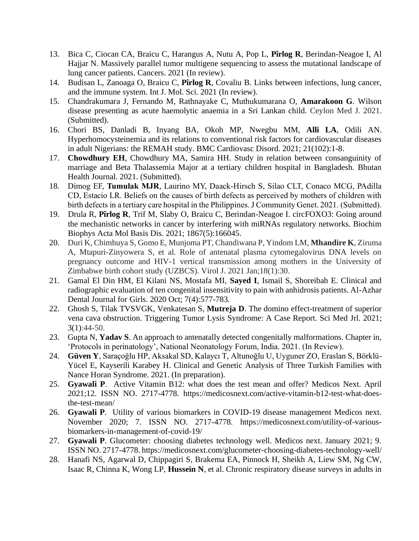- 13. Bica C, Ciocan CA, Braicu C, Harangus A, Nutu A, Pop L, **Pîrlog R**, Berindan-Neagoe I, Al Hajjar N. Massively parallel tumor multigene sequencing to assess the mutational landscape of lung cancer patients. Cancers. 2021 (In review).
- 14. Budisan L, Zanoaga O, Braicu C, **Pîrlog R**, Covaliu B. Links between infections, lung cancer, and the immune system. Int J. Mol. Sci. 2021 (In review).
- 15. Chandrakumara J, Fernando M, Rathnayake C, Muthukumarana O, **Amarakoon G**. Wilson disease presenting as acute haemolytic anaemia in a Sri Lankan child. Ceylon Med J. 2021. (Submitted).
- 16. Chori BS, Danladi B, Inyang BA, Okoh MP, Nwegbu MM, **Alli LA**, Odili AN. Hyperhomocysteinemia and its relations to conventional risk factors for cardiovascular diseases in adult Nigerians: the REMAH study. BMC Cardiovasc Disord. 2021; 21(102):1-8.
- 17. **Chowdhury EH**, Chowdhury MA, Samira HH. Study in relation between consanguinity of marriage and Beta Thalassemia Major at a tertiary children hospital in Bangladesh. Bhutan Health Journal. 2021. (Submitted).
- 18. Dimog EF, **Tumulak MJR**, Laurino MY, Daack-Hirsch S, Silao CLT, Conaco MCG, PAdilla CD, Estacio LR. Beliefs on the causes of birth defects as perceived by mothers of children with birth defects in a tertiary care hospital in the Philippines. J Community Genet. 2021. (Submitted).
- 19. Drula R, **Pîrlog R**, Trif M, Slaby O, Braicu C, Berindan-Neagoe I. circFOXO3: Going around the mechanistic networks in cancer by interfering with miRNAs regulatory networks. Biochim Biophys Acta Mol Basis Dis. 2021; 1867(5):166045.
- 20. Duri K, Chimhuya S, Gomo E, Munjoma PT, Chandiwana P, Yindom LM, **Mhandire K**, Ziruma A, Mtapuri-Zinyowera S, et al. Role of antenatal plasma cytomegalovirus DNA levels on pregnancy outcome and HIV-1 vertical transmission among mothers in the University of Zimbabwe birth cohort study (UZBCS). Virol J. 2021 Jan;18(1):30.
- 21. Gamal El Din HM, El Kilani NS, Mostafa MI, **Sayed I**, Ismail S, Shoreibah E. Clinical and radiographic evaluation of ten congenital insensitivity to pain with anhidrosis patients. Al-Azhar Dental Journal for Girls. 2020 Oct; 7(4):577-783.
- 22. Ghosh S, Tilak TVSVGK, Venkatesan S, **Mutreja D**. The domino effect-treatment of superior vena cava obstruction. Triggering Tumor Lysis Syndrome: A Case Report. Sci Med Jrl. 2021; 3(1):44-50.
- 23. Gupta N, **Yadav S**. An approach to antenatally detected congenitally malformations. Chapter in, 'Protocols in perinatology', National Neonatology Forum, India. 2021. (In Review).
- 24. **Güven Y**, Saraçoğlu HP, Aksakal SD, Kalaycı T, Altunoğlu U, Uyguner ZO, Eraslan S, Börklü-Yücel E, Kayserili Karabey H. Clinical and Genetic Analysis of Three Turkish Families with Nance Horan Syndrome. 2021. (In preparation).
- 25. **Gyawali P**. Active Vitamin B12: what does the test mean and offer? Medicos Next. April 2021;12. ISSN NO. 2717-4778. https://medicosnext.com/active-vitamin-b12-test-what-doesthe-test-mean/
- 26. **Gyawali P**. Utility of various biomarkers in COVID-19 disease management Medicos next. November 2020; 7. ISSN NO. 2717-4778. https://medicosnext.com/utility-of-variousbiomarkers-in-management-of-covid-19/
- 27. **Gyawali P**. Glucometer: choosing diabetes technology well. Medicos next. January 2021; 9. ISSN NO. 2717-4778. https://medicosnext.com/glucometer-choosing-diabetes-technology-well/
- 28. Hanafi NS, Agarwal D, Chippagiri S, Brakema EA, Pinnock H, Sheikh A, Liew SM, Ng CW, Isaac R, Chinna K, Wong LP, **Hussein N**, et al. Chronic respiratory disease surveys in adults in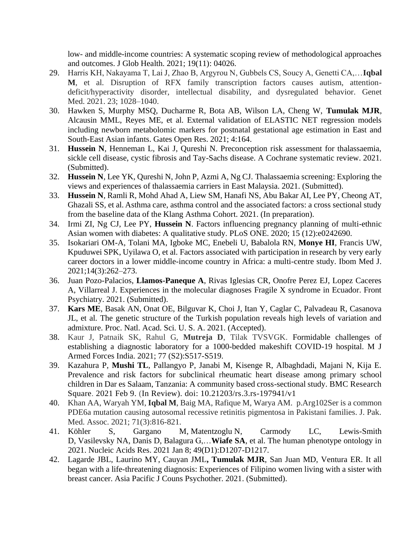low- and middle-income countries: A systematic scoping review of methodological approaches and outcomes. J Glob Health. 2021; 19(11): 04026.

- 29. Harris KH, Nakayama T, Lai J, Zhao B, Argyrou N, Gubbels CS, Soucy A, Genetti CA,…**Iqbal M**, et al. Disruption of RFX family transcription factors causes autism, attentiondeficit/hyperactivity disorder, intellectual disability, and dysregulated behavior. Genet Med. 2021. 23; 1028–1040.
- 30. Hawken S, Murphy MSQ, Ducharme R, Bota AB, Wilson LA, Cheng W, **Tumulak MJR**, Alcausin MML, Reyes ME, et al. External validation of ELASTIC NET regression models including newborn metabolomic markers for postnatal gestational age estimation in East and South-East Asian infants. Gates Open Res. 2021; 4:164.
- 31. **Hussein N**, Henneman L, Kai J, Qureshi N. Preconception risk assessment for thalassaemia, sickle cell disease, cystic fibrosis and Tay-Sachs disease. A Cochrane systematic review. 2021. (Submitted).
- 32. **Hussein N**, Lee YK, Qureshi N, John P, Azmi A, Ng CJ. Thalassaemia screening: Exploring the views and experiences of thalassaemia carriers in East Malaysia. 2021. (Submitted).
- 33. **Hussein N**, Ramli R, Mohd Ahad A, Liew SM, Hanafi NS, Abu Bakar AI, Lee PY, Cheong AT, Ghazali SS, et al. Asthma care, asthma control and the associated factors: a cross sectional study from the baseline data of the Klang Asthma Cohort. 2021. (In preparation).
- 34. Irmi ZI, Ng CJ, Lee PY, **Hussein N**. Factors influencing pregnancy planning of multi-ethnic Asian women with diabetes: A qualitative study. PLoS ONE. 2020; 15 (12):e0242690.
- 35. Isokariari OM-A, Tolani MA, Igboke MC, Enebeli U, Babalola RN, **Monye HI**, Francis UW, Kpuduwei SPK, Uyilawa O, et al. Factors associated with participation in research by very early career doctors in a lower middle-income country in Africa: a multi-centre study. Ibom Med J. 2021;14(3):262–273.
- 36. Juan Pozo-Palacios, **Llamos-Paneque A**, Rivas Iglesias CR, Onofre Perez EJ, Lopez Caceres A, Villarreal J. Experiences in the molecular diagnoses Fragile X syndrome in Ecuador. Front Psychiatry. 2021. (Submitted).
- 37. **Kars ME**, Basak AN, Onat OE, Bilguvar K, Choi J, Itan Y, Caglar C, Palvadeau R, Casanova JL, et al. The genetic structure of the Turkish population reveals high levels of variation and admixture. Proc. Natl. Acad. Sci. U. S. A. 2021. (Accepted).
- 38. Kaur J, Patnaik SK, Rahul G, **Mutreja D**, Tilak TVSVGK. Formidable challenges of establishing a diagnostic laboratory for a 1000-bedded makeshift COVID-19 hospital. M J Armed Forces India. 2021; 77 (S2):S517-S519.
- 39. Kazahura P, **Mushi TL**, Pallangyo P, Janabi M, Kisenge R, Albaghdadi, Majani N, Kija E. Prevalence and risk factors for subclinical rheumatic heart disease among primary school children in Dar es Salaam, Tanzania: A community based cross-sectional study. BMC Research Square. 2021 Feb 9. (In Review). doi: 10.21203/rs.3.rs-197941/v1
- 40. Khan AA, Waryah YM, **Iqbal M**, Baig MA, Rafique M, Warya AM. p.Arg102Ser is a common PDE6a mutation causing autosomal recessive retinitis pigmentosa in Pakistani families. J. Pak. Med. Assoc. 2021; 71(3):816-821.<br>Köhler S. Gargano M
- 41. Köhler S, Gargano M, Matentzoglu N, Carmody LC, Lewis-Smith D, Vasilevsky NA, Danis D, Balagura G,…**Wiafe SA**, et al. The human phenotype ontology in 2021. Nucleic Acids Res. 2021 Jan 8; 49(D1):D1207-D1217.
- 42. Lagarde JBL, Laurino MY, Cauyan JML**, Tumulak MJR**, San Juan MD, Ventura ER. It all began with a life-threatening diagnosis: Experiences of Filipino women living with a sister with breast cancer. Asia Pacific J Couns Psychother. 2021. (Submitted).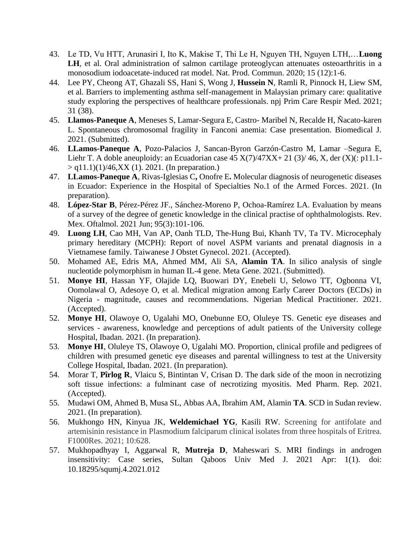- 43. Le TD, Vu HTT, Arunasiri I, Ito K, Makise T, Thi Le H, Nguyen TH, Nguyen LTH,…**Luong LH**, et al. Oral administration of salmon cartilage proteoglycan attenuates osteoarthritis in a monosodium iodoacetate-induced rat model. Nat. Prod. Commun. 2020; 15 (12):1-6.
- 44. Lee PY, Cheong AT, Ghazali SS, Hani S, Wong J, **Hussein N**, Ramli R, Pinnock H, Liew SM, et al. Barriers to implementing asthma self-management in Malaysian primary care: qualitative study exploring the perspectives of healthcare professionals. npj Prim Care Respir Med*.* 2021; 31 (38).
- 45. **Llamos-Paneque A**, Meneses S, Lamar-Segura E, Castro- Maribel N, Recalde H, Ñacato-karen L. Spontaneous chromosomal fragility in Fanconi anemia: Case presentation. Biomedical J. 2021. (Submitted).
- 46. **LLamos-Paneque A**, Pozo-Palacios J, Sancan-Byron Garzón-Castro M, Lamar –Segura E, Liehr T. A doble aneuploidy: an Ecuadorian case  $45 X(7)/47XX + 21 (3)/46$ , X, der  $(X)(: p11.1 > q11.1$ (1)/46,XX (1). 2021. (In preparation.)
- 47. **LLamos-Paneque A**, Rivas-Iglesias C**,** Onofre E**.** Molecular diagnosis of neurogenetic diseases in Ecuador: Experience in the Hospital of Specialties No.1 of the Armed Forces. 2021. (In preparation).
- 48. **López-Star B**, Pérez-Pérez JF., Sánchez-Moreno P, Ochoa-Ramírez LA. Evaluation by means of a survey of the degree of genetic knowledge in the clinical practise of ophthalmologists. Rev. Mex. Oftalmol. 2021 Jun; 95(3):101-106.
- 49. **Luong LH**, Cao MH, Van AP, Oanh TLD, The-Hung Bui, Khanh TV, Ta TV. Microcephaly primary hereditary (MCPH): Report of novel ASPM variants and prenatal diagnosis in a Vietnamese family. Taiwanese J Obstet Gynecol. 2021. (Accepted).
- 50. Mohamed AE, Edris MA, Ahmed MM, Ali SA, **Alamin TA**. In silico analysis of single nucleotide polymorphism in human IL-4 gene. Meta Gene. 2021. (Submitted).
- 51. **Monye HI**, Hassan YF, Olajide LQ, Buowari DY, Enebeli U, Selowo TT, Ogbonna VI, Oomolawal O, Adesoye O, et al. Medical migration among Early Career Doctors (ECDs) in Nigeria - magnitude, causes and recommendations. Nigerian Medical Practitioner. 2021. (Accepted).
- 52. **Monye HI**, Olawoye O, Ugalahi MO, Onebunne EO, Oluleye TS. Genetic eye diseases and services - awareness, knowledge and perceptions of adult patients of the University college Hospital, Ibadan. 2021. (In preparation).
- 53. **Monye HI**, Oluleye TS, Olawoye O, Ugalahi MO. Proportion, clinical profile and pedigrees of children with presumed genetic eye diseases and parental willingness to test at the University College Hospital, Ibadan. 2021. (In preparation).
- 54. Morar T, **Pîrlog R**, Vlaicu S, Bintintan V, Crisan D. The dark side of the moon in necrotizing soft tissue infections: a fulminant case of necrotizing myositis. Med Pharm. Rep. 2021. (Accepted).
- 55. Mudawi OM, Ahmed B, Musa SL, Abbas AA, Ibrahim AM, Alamin **TA**. SCD in Sudan review. 2021. (In preparation).
- 56. Mukhongo HN, Kinyua JK, **Weldemichael YG**, Kasili RW. Screening for antifolate and artemisinin resistance in Plasmodium falciparum clinical isolates from three hospitals of Eritrea. F1000Res. 2021; 10:628.
- 57. Mukhopadhyay I, Aggarwal R, **Mutreja D**, Maheswari S. MRI findings in androgen insensitivity: Case series, Sultan Qaboos Univ Med J. 2021 Apr: 1(1). doi: 10.18295/squmj.4.2021.012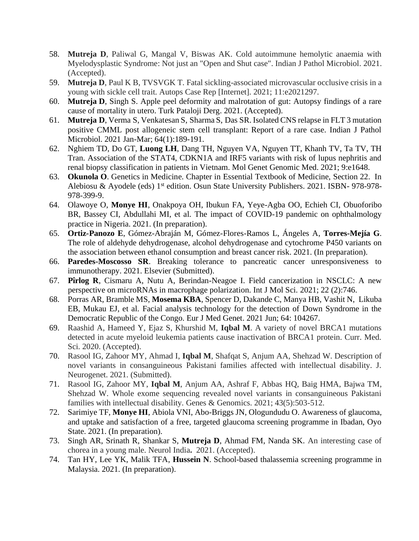- 58. **Mutreja D**, Paliwal G, Mangal V, Biswas AK. Cold autoimmune hemolytic anaemia with Myelodysplastic Syndrome: Not just an "Open and Shut case". Indian J Pathol Microbiol. 2021. (Accepted).
- 59. **Mutreja D**, Paul K B, TVSVGK T. Fatal sickling-associated microvascular occlusive crisis in a young with sickle cell trait. Autops Case Rep [Internet]. 2021; 11:e2021297.
- 60. **Mutreja D**, Singh S. Apple peel deformity and malrotation of gut: Autopsy findings of a rare cause of mortality in utero. Turk Pataloji Derg. 2021. (Accepted).
- 61. **Mutreja D**, Verma S, Venkatesan S, Sharma S, Das SR. Isolated CNS relapse in FLT 3 mutation positive CMML post allogeneic stem cell transplant: Report of a rare case. Indian J Pathol Microbiol. 2021 Jan-Mar; 64(1):189-191.
- 62. Nghiem TD, Do GT, **Luong LH**, Dang TH, Nguyen VA, Nguyen TT, Khanh TV, Ta TV, TH Tran. Association of the STAT4, CDKN1A and IRF5 variants with risk of lupus nephritis and renal biopsy classification in patients in Vietnam. Mol Genet Genomic Med. 2021; 9:e1648.
- 63. **Okunola O**. Genetics in Medicine. Chapter in Essential Textbook of Medicine, Section 22. In Alebiosu & Ayodele (eds) 1<sup>st</sup> edition. Osun State University Publishers. 2021. ISBN- 978-978-978-399-9.
- 64. Olawoye O, **Monye HI**, Onakpoya OH, Ibukun FA, Yeye-Agba OO, Echieh CI, Obuoforibo BR, Bassey CI, Abdullahi MI, et al. The impact of COVID-19 pandemic on ophthalmology practice in Nigeria. 2021. (In preparation).
- 65. **Ortiz-Panozo E**, Gómez-Abraján M, Gómez-Flores-Ramos L, Ángeles A, **Torres-Mejía G**. The role of aldehyde dehydrogenase, alcohol dehydrogenase and cytochrome P450 variants on the association between ethanol consumption and breast cancer risk. 2021. (In preparation).
- 66. **Paredes-Moscosso SR**. Breaking tolerance to pancreatic cancer unresponsiveness to immunotherapy. 2021. Elsevier (Submitted).
- 67. **Pîrlog R**, Cismaru A, Nutu A, Berindan-Neagoe I. Field cancerization in NSCLC: A new perspective on microRNAs in macrophage polarization. Int J Mol Sci. 2021; 22 (2):746.
- 68. Porras AR, Bramble MS, **Mosema KBA**, Spencer D, Dakande C, Manya HB, Vashit N, Likuba EB, Mukau EJ, et al. Facial analysis technology for the detection of Down Syndrome in the Democratic Republic of the Congo. Eur J Med Genet. 2021 Jun; 64: 104267.
- 69. Raashid A, Hameed Y, Ejaz S, Khurshid M, **Iqbal M**. A variety of novel BRCA1 mutations detected in acute myeloid leukemia patients cause inactivation of BRCA1 protein. Curr. Med. Sci. 2020. (Accepted).
- 70. Rasool IG, Zahoor MY, Ahmad I, **Iqbal M**, Shafqat S, Anjum AA, Shehzad W. Description of novel variants in consanguineous Pakistani families affected with intellectual disability. J. Neurogenet. 2021. (Submitted).
- 71. Rasool IG, Zahoor MY, **Iqbal M**, Anjum AA, Ashraf F, Abbas HQ, Baig HMA, Bajwa TM, Shehzad W. Whole exome sequencing revealed novel variants in consanguineous Pakistani families with intellectual disability. Genes & Genomics. 2021; 43(5):503-512.
- 72. Sarimiye TF, **Monye HI**, Abiola VNI, Abo-Briggs JN, Ologundudu O. Awareness of glaucoma, and uptake and satisfaction of a free, targeted glaucoma screening programme in Ibadan, Oyo State. 2021. (In preparation).
- 73. Singh AR, Srinath R, Shankar S, **Mutreja D**, Ahmad FM, Nanda SK. An interesting case of chorea in a young male. Neurol India**.** 2021. (Accepted).
- 74. Tan HY, Lee YK, Malik TFA, **Hussein N**. School-based thalassemia screening programme in Malaysia. 2021. (In preparation).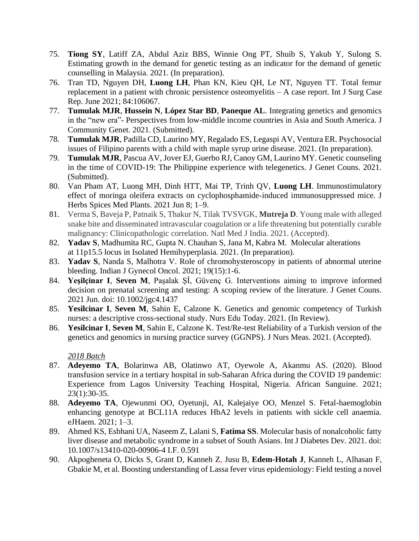- 75. **Tiong SY**, Latiff ZA, Abdul Aziz BBS, Winnie Ong PT, Shuib S, Yakub Y, Sulong S. Estimating growth in the demand for genetic testing as an indicator for the demand of genetic counselling in Malaysia. 2021. (In preparation).
- 76. Tran TD, Nguyen DH, **Luong LH**, Phan KN, Kieu QH, Le NT, Nguyen TT. Total femur replacement in a patient with chronic persistence osteomyelitis – A case report. Int J Surg Case Rep. June 2021; 84:106067.
- 77. **Tumulak MJR**, **Hussein N**, **López Star BD**, **Paneque AL**. Integrating genetics and genomics in the "new era"- Perspectives from low-middle income countries in Asia and South America. J Community Genet. 2021. (Submitted).
- 78. **Tumulak MJR**, Padilla CD, Laurino MY, Regalado ES, Legaspi AV, Ventura ER. Psychosocial issues of Filipino parents with a child with maple syrup urine disease. 2021. (In preparation).
- 79. **Tumulak MJR**, Pascua AV, Jover EJ, Guerbo RJ, Canoy GM, Laurino MY. Genetic counseling in the time of COVID-19: The Philippine experience with telegenetics. J Genet Couns. 2021. (Submitted).
- 80. Van Pham AT, Luong MH, Dinh HTT, Mai TP, Trinh QV, **Luong LH**. Immunostimulatory effect of moringa oleifera extracts on cyclophosphamide-induced immunosuppressed mice. J Herbs Spices Med Plants. 2021 Jun 8; 1–9.
- 81. Verma S, Baveja P, Patnaik S, Thakur N, Tilak TVSVGK, **Mutreja D**. Young male with alleged snake bite and disseminated intravascular coagulation or a life threatening but potentially curable malignancy: Clinicopathologic correlation. Natl Med J India. 2021. (Accepted).
- 82. **Yadav S**, Madhumita RC, Gupta N. Chauhan S, Jana M, Kabra M. Molecular alterations at 11p15.5 locus in Isolated Hemihyperplasia. 2021. (In preparation).
- 83. **Yadav S**, Nanda S, Malhotra V. Role of chromohysteroscopy in patients of abnormal uterine bleeding. Indian J Gynecol Oncol. 2021; 19(15):1-6.
- 84. **Yeşilçinar I**, **Seven M**, Paşalak Şİ, Güvenç G. Interventions aiming to improve informed decision on prenatal screening and testing: A scoping review of the literature. J Genet Couns. 2021 Jun. doi: 10.1002/jgc4.1437
- 85. **Yesilcinar I**, **Seven M**, Sahin E, Calzone K. Genetics and genomic competency of Turkish nurses: a descriptive cross-sectional study. Nurs Edu Today. 2021. (In Review).
- 86. **Yesilcinar I**, **Seven M**, Sahin E, Calzone K. Test/Re-test Reliability of a Turkish version of the genetics and genomics in nursing practice survey (GGNPS). J Nurs Meas. 2021. (Accepted).

- 87. **Adeyemo TA**, Bolarinwa AB, Olatinwo AT, Oyewole A, Akanmu AS. (2020). Blood transfusion service in a tertiary hospital in sub-Saharan Africa during the COVID 19 pandemic: Experience from Lagos University Teaching Hospital, Nigeria. African Sanguine. 2021; 23(1):30-35.
- 88. **Adeyemo TA**, Ojewunmi OO, Oyetunji, AI, Kalejaiye OO, Menzel S. Fetal-haemoglobin enhancing genotype at BCL11A reduces HbA2 levels in patients with sickle cell anaemia. eJHaem. 2021; 1–3.
- 89. Ahmed KS, Esbhani UA, Naseem Z, Lalani S, **Fatima SS**. Molecular basis of nonalcoholic fatty liver disease and metabolic syndrome in a subset of South Asians. Int J Diabetes Dev. 2021. doi: 10.1007/s13410-020-00906-4 I.F. 0.591
- 90. Akpogheneta O, Dicks S, Grant D, Kanneh Z*,* Jusu B*,* **Edem-Hotah J**, Kanneh L, Alhasan F, Gbakie M, et al. Boosting understanding of Lassa fever virus epidemiology: Field testing a novel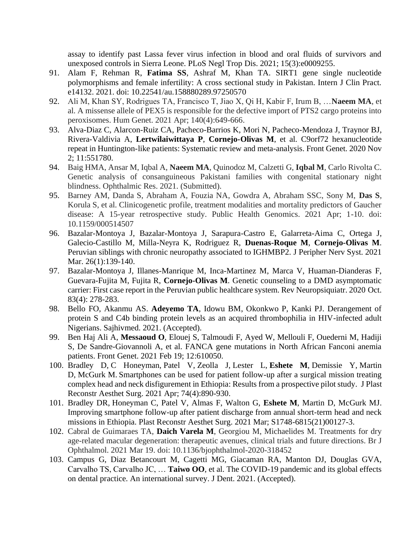assay to identify past Lassa fever virus infection in blood and oral fluids of survivors and unexposed controls in Sierra Leone. PLoS Negl Trop Dis. 2021; 15(3):e0009255.

- 91. Alam F, Rehman R, **Fatima SS**, Ashraf M, Khan TA. SIRT1 gene single nucleotide polymorphisms and female infertility: A cross sectional study in Pakistan. Intern J Clin Pract. e14132. 2021. doi: 10.22541/au.158880289.97250570
- 92. Ali M, Khan SY, Rodrigues TA, Francisco T, Jiao X, Qi H, Kabir F, Irum B, …**Naeem MA**, et al. A missense allele of PEX5 is responsible for the defective import of PTS2 cargo proteins into peroxisomes. Hum Genet. 2021 Apr; 140(4):649-666.
- 93. Alva-Diaz C, Alarcon-Ruiz CA, Pacheco-Barrios K, Mori N, Pacheco-Mendoza J, Traynor BJ, Rivera-Valdivia A, **Lertwilaiwittaya P**, **Cornejo-Olivas M**, et al. C9orf72 hexanucleotide repeat in Huntington-like patients: Systematic review and meta-analysis. Front Genet. 2020 Nov 2; 11:551780.
- 94. Baig HMA, Ansar M, Iqbal A, **Naeem MA**, Quinodoz M, Calzetti G, **Iqbal M**, Carlo Rivolta C. Genetic analysis of consanguineous Pakistani families with congenital stationary night blindness. Ophthalmic Res. 2021. (Submitted).
- 95. Barney AM, Danda S, Abraham A, Fouzia NA, Gowdra A, Abraham SSC, Sony M, **Das S**, Korula S, et al. Clinicogenetic profile, treatment modalities and mortality predictors of Gaucher disease: A 15-year retrospective study. Public Health Genomics. 2021 Apr; 1-10. doi: 10.1159/000514507
- 96. Bazalar-Montoya J, Bazalar-Montoya J, Sarapura-Castro E, Galarreta-Aima C, Ortega J, Galecio-Castillo M, Milla-Neyra K, Rodriguez R, **Duenas-Roque M**, **Cornejo-Olivas M**. Peruvian siblings with chronic neuropathy associated to IGHMBP2. J Peripher Nerv Syst. 2021 Mar. 26(1):139-140.
- 97. Bazalar-Montoya J, Illanes-Manrique M, Inca-Martinez M, Marca V, Huaman-Dianderas F, Guevara-Fujita M, Fujita R, **Cornejo-Olivas M**. Genetic counseling to a DMD asymptomatic carrier: First case report in the Peruvian public healthcare system. Rev Neuropsiquiatr. 2020 Oct. 83(4): 278-283.
- 98. Bello FO, Akanmu AS. **Adeyemo TA**, Idowu BM, Okonkwo P, Kanki PJ. Derangement of protein S and C4b binding protein levels as an acquired thrombophilia in HIV-infected adult Nigerians. Sajhivmed. 2021. (Accepted).
- 99. Ben Haj Ali A, **Messaoud O**, Elouej S, Talmoudi F, Ayed W, Mellouli F, Ouederni M, Hadiji S, De Sandre-Giovannoli A, et al. FANCA gene mutations in North African Fanconi anemia patients. Front Genet. 2021 Feb 19; 12:610050.
- 100. Bradley D, C Honeyman, Patel V, Zeolla J, Lester L, **Eshete M**, Demissie Y, Martin D, McGurk M. Smartphones can be used for patient follow-up after a surgical mission treating complex head and neck disfigurement in Ethiopia: Results from a prospective pilot study. J Plast Reconstr Aesthet Surg. 2021 Apr; 74(4):890-930.
- 101. Bradley DR, Honeyman C, Patel V, Almas F, Walton G, **Eshete M**, Martin D, McGurk MJ. Improving smartphone follow-up after patient discharge from annual short-term head and neck missions in Ethiopia. Plast Reconstr Aesthet Surg. 2021 Mar; S1748-6815(21)00127-3.
- 102. Cabral de Guimaraes TA, **Daich Varela M**, Georgiou M, Michaelides M. Treatments for dry age-related macular degeneration: therapeutic avenues, clinical trials and future directions. Br J Ophthalmol. 2021 Mar 19. doi: 10.1136/bjophthalmol-2020-318452
- 103. Campus G, Diaz Betancourt M, Cagetti MG, Giacaman RA, Manton DJ, Douglas GVA, Carvalho TS, Carvalho JC, … **Taiwo OO**, et al. The COVID-19 pandemic and its global effects on dental practice. An international survey. J Dent. 2021. (Accepted).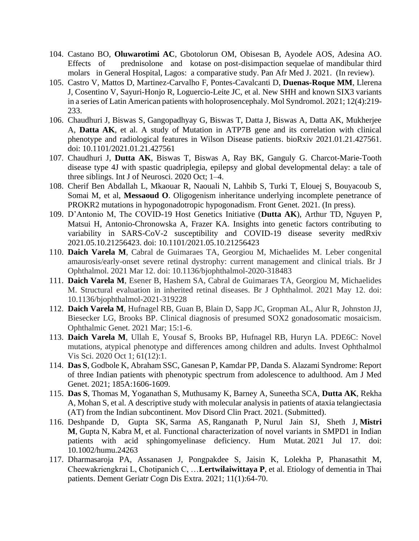- 104. Castano BO, **Oluwarotimi AC**, Gbotolorun OM, Obisesan B, Ayodele AOS, Adesina AO. Effects of prednisolone and kotase on post-disimpaction sequelae of mandibular third molars in General Hospital, Lagos: a comparative study. Pan Afr Med J. 2021. (In review).
- 105. Castro V, Mattos D, Martinez-Carvalho F, Pontes-Cavalcanti D, **Duenas-Roque MM**, Llerena J, Cosentino V, Sayuri-Honjo R, Loguercio-Leite JC, et al. New SHH and known SIX3 variants in a series of Latin American patients with holoprosencephaly. Mol Syndromol. 2021; 12(4):219- 233.
- 106. Chaudhuri J, Biswas S, Gangopadhyay G, Biswas T, Datta J, Biswas A, Datta AK, Mukherjee A, **Datta AK**, et al. A study of Mutation in ATP7B gene and its correlation with clinical phenotype and radiological features in Wilson Disease patients. bioRxiv 2021.01.21.427561. doi: 10.1101/2021.01.21.427561
- 107. Chaudhuri J, **Dutta AK**, Biswas T, Biswas A, Ray BK, Ganguly G. Charcot-Marie-Tooth disease type 4J with spastic quadriplegia, epilepsy and global developmental delay: a tale of three siblings. Int J of Neurosci. 2020 Oct; 1–4.
- 108. Cherif Ben Abdallah L, Mkaouar R, Naouali N, Lahbib S, Turki T, Elouej S, Bouyacoub S, Somai M, et al, **Messaoud O**. Oligogenism inheritance underlying incomplete penetrance of PROKR2 mutations in hypogonadotropic hypogonadism. Front Genet. 2021. (In press).
- 109. D'Antonio M, The COVID-19 Host Genetics Initiative (**Dutta AK**), Arthur TD, Nguyen P, Matsui H, Antonio-Chronowska A, Frazer KA. Insights into genetic factors contributing to variability in SARS-CoV-2 susceptibility and COVID-19 disease severity medRxiv 2021.05.10.21256423. doi: 10.1101/2021.05.10.21256423
- 110. **Daich Varela M**, Cabral de Guimaraes TA, Georgiou M, Michaelides M. Leber congenital amaurosis/early-onset severe retinal dystrophy: current management and clinical trials. Br J Ophthalmol. 2021 Mar 12. doi: 10.1136/bjophthalmol-2020-318483
- 111. **Daich Varela M**, Esener B, Hashem SA, Cabral de Guimaraes TA, Georgiou M, Michaelides M. Structural evaluation in inherited retinal diseases. Br J Ophthalmol. 2021 May 12. doi: 10.1136/bjophthalmol-2021-319228
- 112. **Daich Varela M**, Hufnagel RB, Guan B, Blain D, Sapp JC, Gropman AL, Alur R, Johnston JJ, Biesecker LG, Brooks BP. Clinical diagnosis of presumed SOX2 gonadosomatic mosaicism. Ophthalmic Genet. 2021 Mar; 15:1-6.
- 113. **Daich Varela M**, Ullah E, Yousaf S, Brooks BP, Hufnagel RB, Huryn LA. PDE6C: Novel mutations, atypical phenotype and differences among children and adults. Invest Ophthalmol Vis Sci. 2020 Oct 1; 61(12):1.
- 114. **Das S**, Godbole K, Abraham SSC, Ganesan P, Kamdar PP, Danda S. Alazami Syndrome: Report of three Indian patients with phenotypic spectrum from adolescence to adulthood. Am J Med Genet. 2021; 185A:1606-1609.
- 115. **Das S**, Thomas M, Yoganathan S, Muthusamy K, Barney A, Suneetha SCA, **Dutta AK**, Rekha A, Mohan S, et al. A descriptive study with molecular analysis in patients of ataxia telangiectasia (AT) from the Indian subcontinent. Mov Disord Clin Pract. 2021. (Submitted).
- 116. Deshpande D, Gupta SK, Sarma AS, Ranganath P, Nurul Jain SJ, Sheth J, **Mistri M**, Gupta N, Kabra [M,](https://pubmed.ncbi.nlm.nih.gov/34273913/#affiliation-4) et al. Functional characterization of novel variants in SMPD1 in Indian patients with acid sphingomyelinase deficiency. Hum Mutat. 2021 Jul 17. doi: 10.1002/humu.24263
- 117. Dharmasaroja PA, Assanasen J, Pongpakdee S, Jaisin K, Lolekha P, Phanasathit M, Cheewakriengkrai L, Chotipanich C, …**Lertwilaiwittaya P**, et al. Etiology of dementia in Thai patients. Dement Geriatr Cogn Dis Extra. 2021; 11(1):64-70.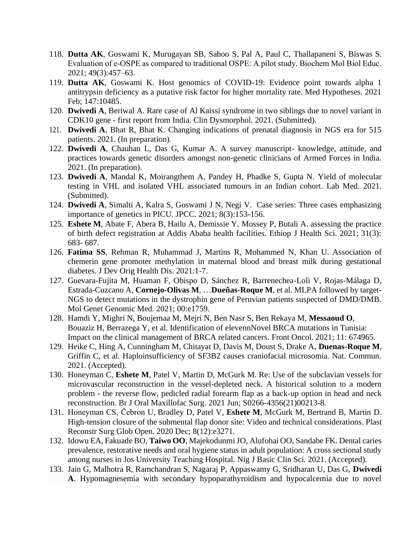- 118. **Dutta AK**, Goswami K, Murugayan SB, Sahoo S, Pal A, Paul C, Thallapaneni S, Biswas S. Evaluation of e‐OSPE as compared to traditional OSPE: A pilot study. Biochem Mol Biol Educ. 2021; 49(3):457–63.
- 119. **Dutta AK**, Goswami K. Host genomics of COVID-19: Evidence point towards alpha 1 antitrypsin deficiency as a putative risk factor for higher mortality rate. Med Hypotheses. 2021 Feb; 147:10485.
- 120. **Dwivedi A**, Beriwal A. Rare case of Al Kaissi syndrome in two siblings due to novel variant in CDK10 gene - first report from India. Clin Dysmorphol. 2021. (Submitted).
- 121. **Dwivedi A**, Bhat R, Bhat K. Changing indications of prenatal diagnosis in NGS era for 515 patients. 2021. (In preparation).
- 122. **Dwivedi A**, Chauhan L, Das G, Kumar A. A survey manuscript- knowledge, attitude, and practices towards genetic disorders amongst non-genetic clinicians of Armed Forces in India. 2021. (In preparation).
- 123. **Dwivedi A**, Mandal K, Moirangthem A, Pandey H, Phadke S, Gupta N. Yield of molecular testing in VHL and isolated VHL associated tumours in an Indian cohort. Lab Med. 2021. (Submitted).
- 124. **Dwivedi A**, Simalti A, Kalra S, Goswami J N, Negi V. Case series: Three cases emphasizing importance of genetics in PICU. JPCC. 2021; 8(3):153-156.
- 125. **Eshete M**, Abate F, Abera B, Hailu A, Demissie Y, Mossey P, Butali A. assessing the practice of birth defect registration at Addis Ababa health facilities. Ethiop J Health Sci. 2021; 31(3): 683- 687.
- 126. **Fatima SS**, Rehman R, Muhammad J, Martins R, Mohammed N, Khan U. Association of chemerin gene promoter methylation in maternal blood and breast milk during gestational diabetes. J Dev Orig Health Dis. 2021:1-7.
- 127. Guevara-Fujita M, Huaman F, Obispo D, Sánchez R, Barrenechea-Loli V, Rojas-Málaga D, Estrada-Cuzcano A, **Cornejo-Olivas M**, …**Dueñas-Roque M**, et al. MLPA followed by target-NGS to detect mutations in the dystrophin gene of Peruvian patients suspected of DMD/DMB. Mol Genet Genomic Med. 2021; 00:e1759.
- 128. Hamdi Y, Mighri N, Boujemaa M, Mejri N, Ben Nasr S, Ben Rekaya M, **Messaoud O**, Bouaziz H, Berrazega Y, et al. Identification of elevennNovel BRCA mutations in Tunisia: Impact on the clinical management of BRCA related cancers. Front Oncol. 2021; 11: 674965.
- 129. Heike C, Hing A, Cunningham M, Chitayat D, Davis M, Doust S, Drake A, **Duenas-Roque M**, Griffin C, et al. Haploinsufficiency of SF3B2 causes craniofacial microsomia. Nat. Commun. 2021. (Accepted).
- 130. Honeyman C, **Eshete M**, Patel V, Martin D, McGurk M. Re: Use of the subclavian vessels for microvascular reconstruction in the vessel-depleted neck. A historical solution to a modern problem - the reverse flow, pedicled radial forearm flap as a back-up option in head and neck reconstruction. Br J Oral Maxillofac Surg. 2021 Jun; S0266-4356(21)00213-8.
- 131. Honeyman CS, Čebron U, Bradley D, Patel V, **Eshete M**, McGurk M, Bertrand B, Martin D. High-tension closure of the submental flap donor site: Video and technical considerations. Plast Reconstr Surg Glob Open. 2020 Dec; 8(12):e3271.
- 132. Idowu EA, Fakuade BO, **Taiwo OO**, Majekodunmi JO, Alufohai OO, Sandabe FK. Dental caries prevalence, restorative needs and oral hygiene status in adult population: A cross sectional study among nurses in Jos University Teaching Hospital. Nig J Basic Clin Sci. 2021. (Accepted).
- 133. Jain G, Malhotra R, Ramchandran S, Nagaraj P, Appaswamy G, Sridharan U, Das G, **Dwivedi A**. Hypomagnesemia with secondary hypoparathyroidism and hypocalcemia due to novel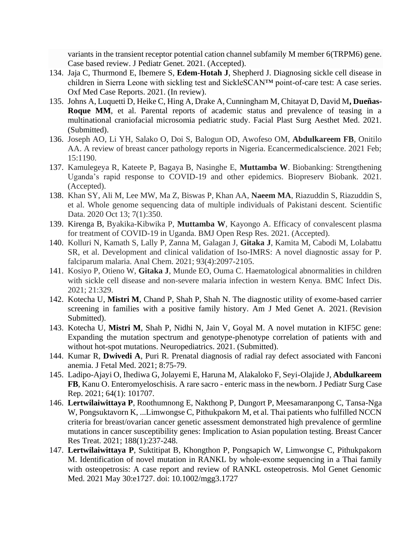variants in the transient receptor potential cation channel subfamily M member 6(TRPM6) gene. Case based review. J Pediatr Genet. 2021. (Accepted).

- 134. Jaja C, Thurmond E, Ibemere S, **Edem-Hotah J**, Shepherd J. Diagnosing sickle cell disease in children in Sierra Leone with sickling test and SickleSCAN™ point-of-care test: A case series. Oxf Med Case Reports. 2021. (In review).
- 135. Johns A, Luquetti D, Heike C, Hing A, Drake A, Cunningham M, Chitayat D, David M**, Dueñas-Roque MM**, et al. Parental reports of academic status and prevalence of teasing in a multinational craniofacial microsomia pediatric study. Facial Plast Surg Aesthet Med. 2021. (Submitted).
- 136. Joseph AO, Li YH, Salako O, Doi S, Balogun OD, Awofeso OM, **Abdulkareem FB**, Onitilo AA. A review of breast cancer pathology reports in Nigeria. Ecancermedicalscience. 2021 Feb; 15:1190.
- 137. Kamulegeya R, Kateete P, Bagaya B, Nasinghe E, **Muttamba W**. Biobanking: Strengthening Uganda's rapid response to COVID-19 and other epidemics. Biopreserv Biobank. 2021. (Accepted).
- 138. Khan SY, Ali M, Lee MW, Ma Z, Biswas P, Khan AA, **Naeem MA**, Riazuddin S, Riazuddin S, et al. Whole genome sequencing data of multiple individuals of Pakistani descent. Scientific Data. 2020 Oct 13; 7(1):350.
- 139. Kirenga B, Byakika-Kibwika P, **Muttamba W**, Kayongo A. Efficacy of convalescent plasma for treatment of COVID-19 in Uganda. BMJ Open Resp Res. 2021. (Accepted).
- 140. Kolluri N, Kamath S, Lally P, Zanna M, Galagan J, **Gitaka J**, Kamita M, Cabodi M, Lolabattu SR, et al. Development and clinical validation of Iso-IMRS: A novel diagnostic assay for P. falciparum malaria. Anal Chem. 2021; 93(4):2097-2105.
- 141. Kosiyo P, Otieno W, **Gitaka J**, Munde EO, Ouma C. Haematological abnormalities in children with sickle cell disease and non-severe malaria infection in western Kenya. BMC Infect Dis. 2021; 21:329.
- 142. Kotecha U, **Mistri M**, Chand P, Shah P, Shah N. The diagnostic utility of exome-based carrier screening in families with a positive family history. Am J Med Genet A. 2021. (Revision Submitted).
- 143. Kotecha U, **Mistri M**, Shah P, Nidhi N, Jain V, Goyal M. A novel mutation in KIF5C gene: Expanding the mutation spectrum and genotype-phenotype correlation of patients with and without hot-spot mutations. Neuropediatrics. 2021. (Submitted).
- 144. Kumar R, **Dwivedi A**, Puri R. Prenatal diagnosis of radial ray defect associated with Fanconi anemia. J Fetal Med. 2021; 8:75-79.
- 145. Ladipo-Ajayi O, Ihediwa G, Jolayemi E, Haruna M, Alakaloko F, Seyi-Olajide J, **Abdulkareem FB**, Kanu O. Enteromyeloschisis. A rare sacro - enteric mass in the newborn. J Pediatr Surg Case Rep. 2021; 64(1): 101707.
- 146. **Lertwilaiwittaya P**, Roothumnong E, Nakthong P, Dungort P, Meesamaranpong C, Tansa-Nga W, Pongsuktavorn K, ...Limwongse C, Pithukpakorn M, et al. Thai patients who fulfilled NCCN criteria for breast/ovarian cancer genetic assessment demonstrated high prevalence of germline mutations in cancer susceptibility genes: Implication to Asian population testing. Breast Cancer Res Treat. 2021; 188(1):237-248.
- 147. **Lertwilaiwittaya P**, Suktitipat B, Khongthon P, Pongsapich W, Limwongse C, Pithukpakorn M. Identification of novel mutation in RANKL by whole-exome sequencing in a Thai family with osteopetrosis: A case report and review of RANKL osteopetrosis. Mol Genet Genomic Med. 2021 May 30:e1727. doi: 10.1002/mgg3.1727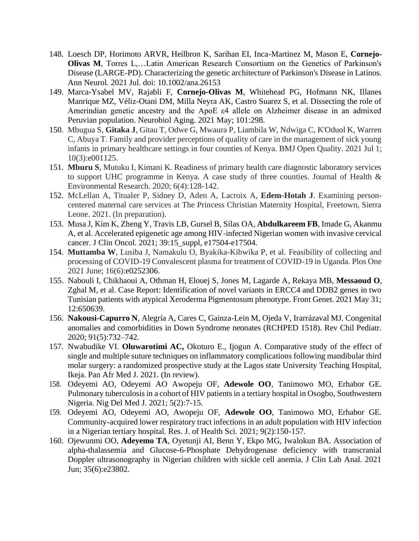- 148. Loesch DP, Horimoto ARVR, Heilbron K, Sarihan EI, Inca-Martinez M, Mason E, **Cornejo-Olivas M**, Torres L,…Latin American Research Consortium on the Genetics of Parkinson's Disease (LARGE-PD). Characterizing the genetic architecture of Parkinson's Disease in Latinos. Ann Neurol. 2021 Jul. doi: 10.1002/ana.26153
- 149. Marca-Ysabel MV, Rajabli F, **Cornejo-Olivas M**, Whitehead PG, Hofmann NK, Illanes Manrique MZ, Véliz-Otani DM, Milla Neyra AK, Castro Suarez S, et al. Dissecting the role of Amerindian genetic ancestry and the ApoE ε4 allele on Alzheimer disease in an admixed Peruvian population. Neurobiol Aging. 2021 May; 101:298.
- 150. Mbugua S, **Gitaka J**, Gitau T, Odwe G, Mwaura P, Liambila W, Ndwiga C, K'Oduol K, Warren C, Abuya T. Family and provider perceptions of quality of care in the management of sick young infants in primary healthcare settings in four counties of Kenya. BMJ Open Quality. 2021 Jul 1; 10(3):e001125.
- 151. **Mburu S**, Mutuku I, Kimani K. Readiness of primary health care diagnostic laboratory services to support UHC programme in Kenya. A case study of three counties. Journal of Health & Environmental Research. 2020; 6(4):128-142.
- 152. McLellan A, Titualer P, Sidney D, Aden A, Lacroix A, **Edem-Hotah J**. Examining personcentered maternal care services at The Princess Christian Maternity Hospital, Freetown, Sierra Leone. 2021. (In preparation).
- 153. Musa J, Kim K, Zheng Y, Travis LB, Gursel B, Silas OA, **Abdulkareem FB**, Imade G, Akanmu A, et al. Accelerated epigenetic age among HIV-infected Nigerian women with invasive cervical cancer. J Clin Oncol. 2021; 39:15\_suppl, e17504-e17504.
- 154. **Muttamba W**, Lusiba J, Namakulu O, Byakika-Kibwika P, et al. Feasibility of collecting and processing of COVID-19 Convalescent plasma for treatment of COVID-19 in Uganda. Plos One 2021 June; 16(6):e0252306.
- 155. Nabouli I, Chikhaoui A, Othman H, Elouej S, Jones M, Lagarde A, Rekaya MB, **Messaoud O**, Zghal M, et al. Case Report: Identification of novel variants in ERCC4 and DDB2 genes in two Tunisian patients with atypical Xeroderma Pigmentosum phenotype. Front Genet. 2021 May 31; 12:650639.
- 156. **Nakousi-Capurro N**, Alegría A, Cares C, Gainza-Lein M, Ojeda V, Irarrázaval MJ. Congenital anomalies and comorbidities in Down Syndrome neonates (RCHPED 1518). Rev Chil Pediatr. 2020; 91(5):732–742.
- 157. Nwabudike VI. **Oluwarotimi AC,** Okoturo E., Ijogun A. Comparative study of the effect of single and multiple suture techniques on inflammatory complications following mandibular third molar surgery: a randomized prospective study at the Lagos state University Teaching Hospital, Ikeja. Pan Afr Med J. 2021. (In review).
- 158. Odeyemi AO, Odeyemi AO Awopeju OF, **Adewole OO**, Tanimowo MO, Erhabor GE. Pulmonary tuberculosis in a cohort of HIV patients in a tertiary hospital in Osogbo, Southwestern Nigeria. Nig Del Med J. 2021; 5(2):7-15.
- 159. Odeyemi AO, Odeyemi AO, Awopeju OF, **Adewole OO**, Tanimowo MO, Erhabor GE. Community-acquired lower respiratory tract infections in an adult population with HIV infection in a Nigerian tertiary hospital. Res. J. of Health Sci. 2021; 9(2):150-157.
- 160. Ojewunmi OO, **Adeyemo TA**, Oyetunji AI, Benn Y, Ekpo MG, Iwalokun BA. Association of alpha-thalassemia and Glucose-6-Phosphate Dehydrogenase deficiency with transcranial Doppler ultrasonography in Nigerian children with sickle cell anemia. J Clin Lab Anal. 2021 Jun; 35(6):e23802.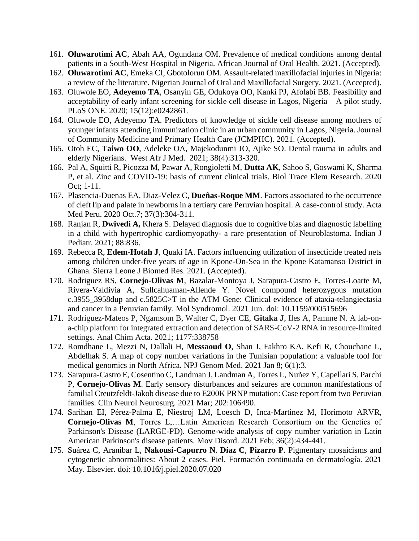- 161. **Oluwarotimi AC**, Abah AA, Ogundana OM. Prevalence of medical conditions among dental patients in a South-West Hospital in Nigeria. African Journal of Oral Health. 2021. (Accepted).
- 162. **Oluwarotimi AC**, Emeka CI, Gbotolorun OM. Assault-related maxillofacial injuries in Nigeria: a review of the literature. Nigerian Journal of Oral and Maxillofacial Surgery. 2021. (Accepted).
- 163. Oluwole EO, **Adeyemo TA**, Osanyin GE, Odukoya OO, Kanki PJ, Afolabi BB. Feasibility and acceptability of early infant screening for sickle cell disease in Lagos, Nigeria—A pilot study. PLoS ONE. 2020; 15(12):e0242861.
- 164. Oluwole EO, Adeyemo TA. Predictors of knowledge of sickle cell disease among mothers of younger infants attending immunization clinic in an urban community in Lagos, Nigeria. Journal of Community Medicine and Primary Health Care (JCMPHC). 2021. (Accepted).
- 165. Otoh EC, **Taiwo OO**, Adeleke OA, Majekodunmi JO, Ajike SO. Dental trauma in adults and elderly Nigerians. West Afr J Med. 2021; 38(4):313-320.
- 166. Pal A, Squitti R, Picozza M, Pawar A, Rongioletti M, **Dutta AK**, Sahoo S, Goswami K, Sharma P, et al. Zinc and COVID-19: basis of current clinical trials. Biol Trace Elem Research. 2020 Oct; 1-11.
- 167. Plasencia-Duenas EA, Diaz-Velez C, **Dueñas-Roque MM**. Factors associated to the occurrence of cleft lip and palate in newborns in a tertiary care Peruvian hospital. A case-control study. Acta Med Peru. 2020 Oct.7; 37(3):304-311.
- 168. Ranjan R, **Dwivedi A,** Khera S. Delayed diagnosis due to cognitive bias and diagnostic labelling in a child with hypertrophic cardiomyopathy- a rare presentation of Neuroblastoma. Indian J Pediatr. 2021; 88:836.
- 169. Rebecca R, **Edem-Hotah J**, Quaki IA. Factors influencing utilization of insecticide treated nets among children under-five years of age in Kpone-On-Sea in the Kpone Katamanso District in Ghana. Sierra Leone J Biomed Res. 2021. (Accepted).
- 170. Rodriguez RS, **Cornejo-Olivas M**, Bazalar-Montoya J, Sarapura-Castro E, Torres-Loarte M, Rivera-Valdivia A, Sullcahuaman-Allende Y. Novel compound heterozygous mutation c.3955\_3958dup and c.5825C>T in the ATM Gene: Clinical evidence of ataxia-telangiectasia and cancer in a Peruvian family. Mol Syndromol. 2021 Jun. doi: 10.1159/000515696
- 171. Rodriguez-Mateos P, Ngamsom B, Walter C, Dyer CE, **Gitaka J**, Iles A, Pamme N. A lab-ona-chip platform for integrated extraction and detection of SARS-CoV-2 RNA in resource-limited settings. Anal Chim Acta. 2021; 1177:338758
- 172. Romdhane L, Mezzi N, Dallali H, **Messaoud O**, Shan J, Fakhro KA, Kefi R, Chouchane L, Abdelhak S. A map of copy number variations in the Tunisian population: a valuable tool for medical genomics in North Africa. NPJ Genom Med. 2021 Jan 8; 6(1):3.
- 173. Sarapura-Castro E, Cosentino C, Landman J, Landman A, Torres L, Nuñez Y, Capellari S, Parchi P, **Cornejo-Olivas M**. Early sensory disturbances and seizures are common manifestations of familial Creutzfeldt-Jakob disease due to E200K PRNP mutation: Case report from two Peruvian families. Clin Neurol Neurosurg. 2021 Mar; 202:106490.
- 174. Sarihan EI, Pérez-Palma E, Niestroj LM, Loesch D, Inca-Martinez M, Horimoto ARVR, **Cornejo-Olivas M**, Torres L,…Latin American Research Consortium on the Genetics of Parkinson's Disease (LARGE-PD). Genome-wide analysis of copy number variation in Latin American Parkinson's disease patients. Mov Disord. 2021 Feb; 36(2):434-441.
- 175. Suárez C, Araníbar L, **Nakousi-Capurro N**. **Díaz C**, **Pizarro P**. Pigmentary mosaicisms and cytogenetic abnormalities: About 2 cases. Piel. Formación continuada en dermatología. 2021 May. Elsevier. doi: 10.1016/j.piel.2020.07.020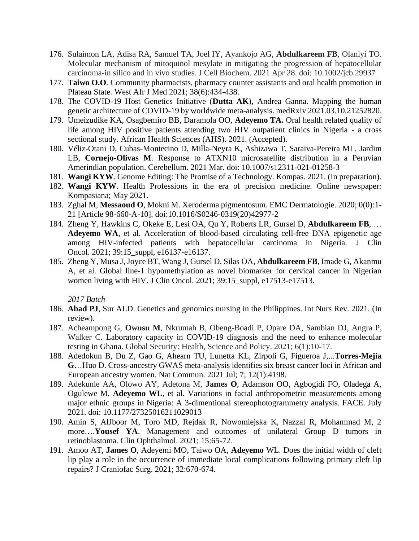- 176. Sulaimon LA, Adisa RA, Samuel TA, Joel IY, Ayankojo AG, **Abdulkareem FB**, Olaniyi TO. Molecular mechanism of mitoquinol mesylate in mitigating the progression of hepatocellular carcinoma-in silico and in vivo studies. J Cell Biochem. 2021 Apr 28. doi: 10.1002/jcb.29937
- 177. **Taiwo O.O**. Community pharmacists, pharmacy counter assistants and oral health promotion in Plateau State. West Afr J Med 2021; 38(6):434-438.
- 178. The COVID-19 Host Genetics Initiative (**Dutta AK**), Andrea Ganna. Mapping the human genetic architecture of COVID-19 by worldwide meta-analysis. medRxiv 2021.03.10.21252820.
- 179. Umeizudike KA, Osagbemiro BB, Daramola OO, **Adeyemo TA.** Oral health related quality of life among HIV positive patients attending two HIV outpatient clinics in Nigeria - a cross sectional study. African Health Sciences (AHS). 2021. (Accepted).
- 180. Véliz-Otani D, Cubas-Montecino D, Milla-Neyra K, Ashizawa T, Saraiva-Pereira ML, Jardim LB, **Cornejo-Olivas M**. Response to ATXN10 microsatellite distribution in a Peruvian Amerindian population. Cerebellum. 2021 Mar. doi: 10.1007/s12311-021-01258-3
- 181. **Wangi KYW**. Genome Editing: The Promise of a Technology. Kompas. 2021. (In preparation).
- 182. **Wangi KYW**. Health Professions in the era of precision medicine. Online newspaper: Kompasiana; May 2021.
- 183. Zghal M, **Messaoud O**, Mokni M. Xeroderma pigmentosum. EMC Dermatologie. 2020; 0(0):1- 21 [Article 98-660-A-10]. doi:10.1016/S0246-0319(20)42977-2
- 184. Zheng Y, Hawkins C, Okeke E, Lesi OA, Qu Y, Roberts LR, Gursel D, **Abdulkareem FB**, … **Adeyemo WA**, et al. Acceleration of blood-based circulating cell-free DNA epigenetic age among HIV-infected patients with hepatocellular carcinoma in Nigeria. J Clin Oncol. 2021; 39:15\_suppl, e16137-e16137.
- 185. Zheng Y, Musa J, Joyce BT, Wang J, Gursel D, Silas OA, **Abdulkareem FB**, Imade G, Akanmu A, et al. Global line-1 hypomethylation as novel biomarker for cervical cancer in Nigerian women living with HIV. J Clin Oncol. 2021; 39:15 suppl, e17513-e17513.

- 186. **Abad PJ**, Sur ALD. Genetics and genomics nursing in the Philippines. Int Nurs Rev. 2021. (In review).
- 187. Acheampong G, **Owusu M**, Nkrumah B, Obeng-Boadi P, Opare DA, Sambian DJ, Angra P, Walker C. Laboratory capacity in COVID-19 diagnosis and the need to enhance molecular testing in Ghana. Global Security: Health, Science and Policy. 2021; 6(1):10-17.
- 188. Adedokun B, Du Z, Gao G, Ahearn TU, Lunetta KL, Zirpoli G, Figueroa J,...**Torres-Mejía G**…Huo D. Cross-ancestry GWAS meta-analysis identifies six breast cancer loci in African and European ancestry women. Nat Commun. 2021 Jul; 7; 12(1):4198.
- 189. Adekunle AA, Olowo AY, Adetona M, **James O**, Adamson OO, Agbogidi FO, Oladega A, Ogulewe M, **Adeyemo WL**, et al. Variations in facial anthropometric measurements among major ethnic groups in Nigeria: A 3-dimentional stereophotogrammetry analysis. FACE. July 2021. doi: 10.1177/27325016211029013
- 190. Amin S, AlJboor M, Toro MD, Rejdak R, Nowomiejska K, Nazzal R, Mohammad M, 2 more….**Yousef YA**. Management and outcomes of unilateral Group D tumors in retinoblastoma. Clin Ophthalmol. 2021; 15:65-72 .
- 191. Amoo AT, **James O**, Adeyemi MO, Taiwo OA, **Adeyemo** WL. Does the initial width of cleft lip play a role in the occurrence of immediate local complications following primary cleft lip repairs? J Craniofac Surg. 2021; 32:670-674.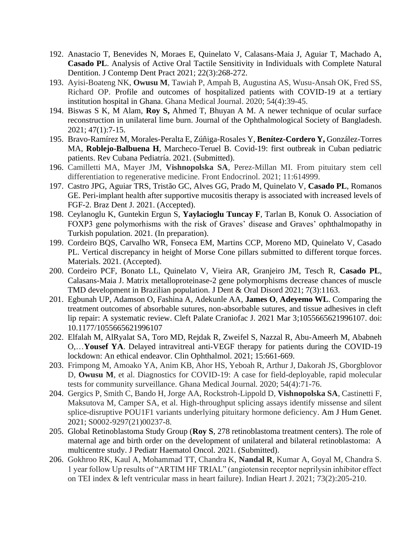- 192. Anastacio T, Benevides N, Moraes E, Quinelato V, Calasans-Maia J, Aguiar T, Machado A, **Casado PL**. Analysis of Active Oral Tactile Sensitivity in Individuals with Complete Natural Dentition. J Contemp Dent Pract 2021; 22(3):268-272.
- 193. Ayisi-Boateng NK, **Owusu M**, Tawiah P, Ampah B, Augustina AS, Wusu-Ansah OK, Fred SS, Richard OP. Profile and outcomes of hospitalized patients with COVID-19 at a tertiary institution hospital in Ghana. Ghana Medical Journal. 2020; 54(4):39-45.
- 194. Biswas S K, M Alam, **Roy S,** Ahmed T, Bhuyan A M. A newer technique of ocular surface reconstruction in unilateral lime burn. Journal of the Ophthalmological Society of Bangladesh. 2021; 47(1):7-15.
- 195. Bravo-Ramírez M, Morales-Peralta E, Zúñiga-Rosales Y, **Benítez-Cordero Y,** González-Torres MA, **Roblejo-Balbuena H**, Marcheco-Teruel B. Covid-19: first outbreak in Cuban pediatric patients. Rev Cubana Pediatría. 2021. (Submitted).
- 196. Camilletti MA, Mayer JM, **Vishnopolska SA**, Perez-Millan MI. From pituitary stem cell differentiation to regenerative medicine. Front Endocrinol. 2021; 11:614999.
- 197. Castro JPG, Aguiar TRS, Tristão GC, Alves GG, Prado M, Quinelato V, **Casado PL**, Romanos GE. Peri-implant health after supportive mucositis therapy is associated with increased levels of FGF-2. Braz Dent J. 2021. (Accepted).
- 198. Ceylanoglu K, Guntekin Ergun S, **Yaylacioglu Tuncay F**, Tarlan B, Konuk O. Association of FOXP3 gene polymorhisms with the risk of Graves' disease and Graves' ophthalmopathy in Turkish population. 2021. (In preparation).
- 199. Cordeiro BQS, Carvalho WR, Fonseca EM, Martins CCP, Moreno MD, Quinelato V, Casado PL. Vertical discrepancy in height of Morse Cone pillars submitted to different torque forces. Materials. 2021. (Accepted).
- 200. Cordeiro PCF, Bonato LL, Quinelato V, Vieira AR, Granjeiro JM, Tesch R, **Casado PL**, Calasans-Maia J. Matrix metalloproteinase-2 gene polymorphisms decrease chances of muscle TMD development in Brazilian population. J Dent & Oral Disord 2021; 7(3):1163.
- 201. Egbunah UP, Adamson O, Fashina A, Adekunle AA, **James O**, **Adeyemo WL**. Comparing the treatment outcomes of absorbable sutures, non-absorbable sutures, and tissue adhesives in cleft lip repair: A systematic review. Cleft Palate Craniofac J. 2021 Mar 3;1055665621996107. doi: 10.1177/1055665621996107
- 202. Elfalah M, AlRyalat SA, Toro MD, Rejdak R, Zweifel S, Nazzal R, Abu-Ameerh M, Ababneh O,…**Yousef YA**. Delayed intravitreal anti-VEGF therapy for patients during the COVID-19 lockdown: An ethical endeavor. Clin Ophthalmol. 2021; 15:661-669.
- 203. Frimpong M, Amoako YA, Anim KB, Ahor HS, Yeboah R, Arthur J, Dakorah JS, Gborgblovor D, **Owusu M**, et al. Diagnostics for COVID-19: A case for field-deployable, rapid molecular tests for community surveillance. Ghana Medical Journal. 2020; 54(4):71-76.
- 204. Gergics P, Smith C, Bando H, Jorge AA, Rockstroh-Lippold D, **Vishnopolska SA**, Castinetti F, Maksutova M, Camper SA, et al. High-throughput splicing assays identify missense and silent splice-disruptive POU1F1 variants underlying pituitary hormone deficiency. Am J Hum Genet. 2021; S0002-9297(21)00237-8.
- 205. Global Retinoblastoma Study Group (**Roy S**, 278 retinoblastoma treatment centers). The role of maternal age and birth order on the development of unilateral and bilateral retinoblastoma: A multicentre study. J Pediatr Haematol Oncol. 2021. (Submitted).
- 206. Gokhroo RK, Kaul A, Mohammad TT, Chandra K, **Nandal R**, Kumar A, Goyal M, Chandra S. 1 year follow Up results of "ARTIM HF TRIAL" (angiotensin receptor neprilysin inhibitor effect on TEI index & left ventricular mass in heart failure). Indian Heart J. 2021; 73(2):205-210.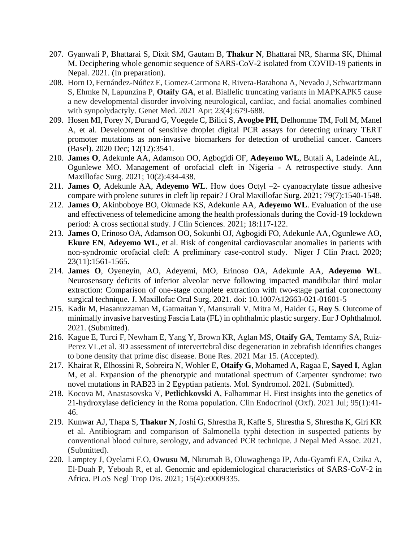- 207. Gyanwali P, Bhattarai S, Dixit SM, Gautam B, **Thakur N**, Bhattarai NR, Sharma SK, Dhimal M. Deciphering whole genomic sequence of SARS-CoV-2 isolated from COVID-19 patients in Nepal. 2021. (In preparation).
- 208. Horn D, Fernández-Núñez E, Gomez-Carmona R, Rivera-Barahona A, Nevado J, Schwartzmann S, Ehmke N, Lapunzina P, **Otaify GA**, et al. Biallelic truncating variants in MAPKAPK5 cause a new developmental disorder involving neurological, cardiac, and facial anomalies combined with synpolydactyly. Genet Med. 2021 Apr; 23(4):679-688.
- 209. Hosen MI, Forey N, Durand G, Voegele C, Bilici S, **Avogbe PH**, Delhomme TM, Foll M, Manel A, et al. Development of sensitive droplet digital PCR assays for detecting urinary TERT promoter mutations as non-invasive biomarkers for detection of urothelial cancer. Cancers (Basel). 2020 Dec; 12(12):3541.
- 210. **James O**, Adekunle AA, Adamson OO, Agbogidi OF, **Adeyemo WL**, Butali A, Ladeinde AL, Ogunlewe MO. Management of orofacial cleft in Nigeria - A retrospective study. Ann Maxillofac Surg. 2021; 10(2):434-438.
- 211. **James O**, Adekunle AA, **Adeyemo WL**. How does Octyl –2- cyanoacrylate tissue adhesive compare with prolene sutures in cleft lip repair? J Oral Maxillofac Surg. 2021; 79(7):1540-1548.
- 212. **James O**, Akinboboye BO, Okunade KS, Adekunle AA, **Adeyemo WL**. Evaluation of the use and effectiveness of telemedicine among the health professionals during the Covid-19 lockdown period: A cross sectional study. J Clin Sciences. 2021; 18:117-122.
- 213. **James O**, Erinoso OA, Adamson OO, Sokunbi OJ, Agbogidi FO, Adekunle AA, Ogunlewe AO, **Ekure EN**, **Adeyemo WL**, et al. Risk of congenital cardiovascular anomalies in patients with non-syndromic orofacial cleft: A preliminary case-control study. Niger J Clin Pract. 2020; 23(11):1561-1565.
- 214. **James O**, Oyeneyin, AO, Adeyemi, MO, Erinoso OA, Adekunle AA, **Adeyemo WL**. Neurosensory deficits of inferior alveolar nerve following impacted mandibular third molar extraction: Comparison of one-stage complete extraction with two-stage partial coronectomy surgical technique. J. Maxillofac Oral Surg. 2021. doi: 10.1007/s12663-021-01601-5
- 215. Kadir M, Hasanuzzaman M, Gatmaitan Y, Mansurali V, Mitra M, Haider G, **Roy S**. Outcome of minimally invasive harvesting Fascia Lata (FL) in ophthalmic plastic surgery. Eur J Ophthalmol. 2021. (Submitted).
- 216. Kague E, Turci F, Newham E, Yang Y, Brown KR, Aglan MS, **Otaify GA**, Temtamy SA, Ruiz-Perez VL,et al. 3D assessment of intervertebral disc degeneration in zebrafish identifies changes to bone density that prime disc disease. Bone Res. 2021 Mar 15. (Accepted).
- 217. Khairat R, Elhossini R, Sobreira N, Wohler E, **Otaify G**, Mohamed A, Ragaa E, **Sayed I**, Aglan M, et al. Expansion of the phenotypic and mutational spectrum of Carpenter syndrome: two novel mutations in RAB23 in 2 Egyptian patients. Mol. Syndromol. 2021. (Submitted).
- 218. Kocova M, Anastasovska V, **Petlichkovski A**, Falhammar H. First insights into the genetics of 21-hydroxylase deficiency in the Roma population. Clin Endocrinol (Oxf). 2021 Jul; 95(1):41- 46.
- 219. Kunwar AJ, Thapa S, **Thakur N**, Joshi G, Shrestha R, Kafle S, Shrestha S, Shrestha K, Giri KR et al. Antibiogram and comparison of Salmonella typhi detection in suspected patients by conventional blood culture, serology, and advanced PCR technique. J Nepal Med Assoc. 2021. (Submitted).
- 220. Lamptey J, Oyelami F.O, **Owusu M**, Nkrumah B, Oluwagbenga IP, Adu-Gyamfi EA, Czika A, El-Duah P, Yeboah R, et al. Genomic and epidemiological characteristics of SARS-CoV-2 in Africa. PLoS Negl Trop Dis. 2021; 15(4):e0009335.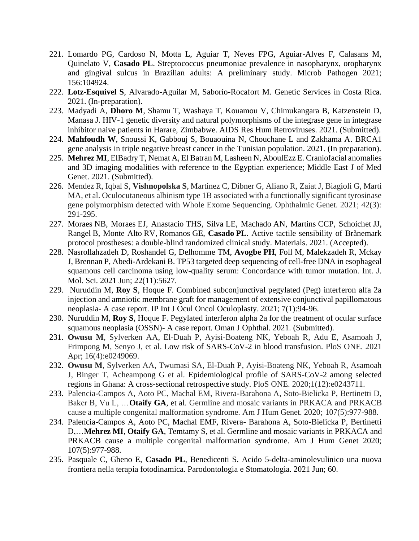- 221. Lomardo PG, Cardoso N, Motta L, Aguiar T, Neves FPG, Aguiar-Alves F, Calasans M, Quinelato V, **Casado PL**. Streptococcus pneumoniae prevalence in nasopharynx, oropharynx and gingival sulcus in Brazilian adults: A preliminary study. Microb Pathogen 2021; 156:104924.
- 222. **Lotz-Esquivel S**, Alvarado-Aguilar M, Saborío-Rocafort M. Genetic Services in Costa Rica. 2021. (In-preparation).
- 223. Madyadi A, **Dhoro M**, Shamu T, Washaya T, Kouamou V, Chimukangara B, Katzenstein D, Manasa J. HIV-1 genetic diversity and natural polymorphisms of the integrase gene in integrase inhibitor naive patients in Harare, Zimbabwe. AIDS Res Hum Retroviruses. 2021. (Submitted).
- 224. **Mahfoudh W**, Snoussi K, Gabbouj S, Bouaouina N, Chouchane L and Zakhama A. BRCA1 gene analysis in triple negative breast cancer in the Tunisian population. 2021. (In preparation).
- 225. **Mehrez MI**, ElBadry T, Nemat A, El Batran M, Lasheen N, AboulEzz E. Craniofacial anomalies and 3D imaging modalities with reference to the Egyptian experience; Middle East J of Med Genet. 2021. (Submitted).
- 226. Mendez R, Iqbal S, **Vishnopolska S**, Martinez C, Dibner G, Aliano R, Zaiat J, Biagioli G, Marti MA, et al. Oculocutaneous albinism type 1B associated with a functionally significant tyrosinase gene polymorphism detected with Whole Exome Sequencing. Ophthalmic Genet. 2021; 42(3): 291-295.
- 227. Moraes NB, Moraes EJ, Anastacio THS, Silva LE, Machado AN, Martins CCP, Schoichet JJ, Rangel B, Monte Alto RV, Romanos GE, **Casado PL**. Active tactile sensibility of Brånemark protocol prostheses: a double-blind randomized clinical study. Materials. 2021. (Accepted).
- 228. Nasrollahzadeh D, Roshandel G, Delhomme TM, **Avogbe PH**, Foll M, Malekzadeh R, Mckay J, Brennan P, Abedi-Ardekani B. TP53 targeted deep sequencing of cell-free DNA in esophageal squamous cell carcinoma using low-quality serum: Concordance with tumor mutation. Int. J. Mol. Sci. 2021 Jun; 22(11):5627.
- 229. Nuruddin M, **Roy S**, Hoque F. Combined subconjunctival pegylated (Peg) interferon alfa 2a injection and amniotic membrane graft for management of extensive conjunctival papillomatous neoplasia- A case report. IP Int J Ocul Oncol Oculoplasty. 2021; 7(1):94-96.
- 230. Nuruddin M, **Roy S**, Hoque F. Pegylated interferon alpha 2a for the treatment of ocular surface squamous neoplasia (OSSN)- A case report. Oman J Ophthal. 2021. (Submitted).
- 231. **Owusu M**, Sylverken AA, El-Duah P, Ayisi-Boateng NK, Yeboah R, Adu E, Asamoah J, Frimpong M, Senyo J, et al. Low risk of SARS-CoV-2 in blood transfusion. PloS ONE. 2021 Apr; 16(4):e0249069.
- 232. **Owusu M**, Sylverken AA, Twumasi SA, El-Duah P, Ayisi-Boateng NK, Yeboah R, Asamoah J, Binger T, Acheampong G et al. Epidemiological profile of SARS-CoV-2 among selected regions in Ghana: A cross-sectional retrospective study. PloS ONE. 2020;1(12):e0243711.
- 233. Palencia-Campos A, Aoto PC, Machal EM, Rivera-Barahona A, Soto-Bielicka P, Bertinetti D, Baker B, Vu L, …**Otaify GA**, et al. Germline and mosaic variants in PRKACA and PRKACB cause a multiple congenital malformation syndrome. Am J Hum Genet. 2020; 107(5):977-988.
- 234. Palencia-Campos A, Aoto PC, Machal EMF, Rivera- Barahona A, Soto-Bielicka P, Bertinetti D,…**Mehrez MI**, **Otaify GA**, Temtamy S, et al. Germline and mosaic variants in PRKACA and PRKACB cause a multiple congenital malformation syndrome. Am J Hum Genet 2020; 107(5):977-988.
- 235. Pasquale C, Gheno E, **Casado PL**, Benedicenti S. Acido 5-delta-aminolevulinico una nuova frontiera nella terapia fotodinamica. Parodontologia e Stomatologia. 2021 Jun; 60.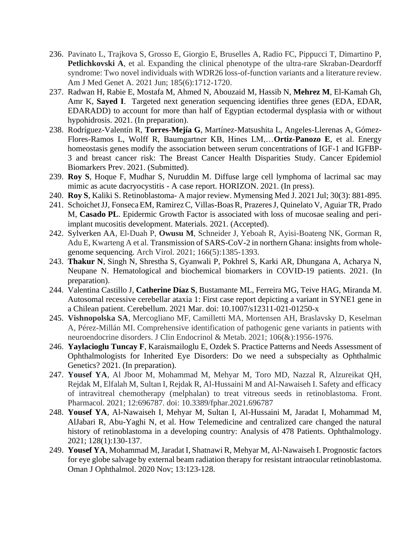- 236. Pavinato L, Trajkova S, Grosso E, Giorgio E, Bruselles A, Radio FC, Pippucci T, Dimartino P, **Petlichkovski A**, et al. Expanding the clinical phenotype of the ultra-rare Skraban-Deardorff syndrome: Two novel individuals with WDR26 loss-of-function variants and a literature review. Am J Med Genet A. 2021 Jun; 185(6):1712-1720.
- 237. Radwan H, Rabie E, Mostafa M, Ahmed N, Abouzaid M, Hassib N, **Mehrez M**, El-Kamah Gh, Amr K, **Sayed I**. Targeted next generation sequencing identifies three genes (EDA, EDAR, EDARADD) to account for more than half of Egyptian ectodermal dysplasia with or without hypohidrosis. 2021. (In preparation).
- 238. Rodríguez-Valentín R, **Torres-Mejía G**, Martínez-Matsushita L, Angeles-Llerenas A, Gómez-Flores-Ramos L, Wolff R, Baumgartner KB, Hines LM,…**Ortiz-Panozo E**, et al. Energy homeostasis genes modify the association between serum concentrations of IGF-1 and IGFBP-3 and breast cancer risk: The Breast Cancer Health Disparities Study. Cancer Epidemiol Biomarkers Prev. 2021. (Submitted).
- 239. **Roy S**, Hoque F, Mudhar S, Nuruddin M. Diffuse large cell lymphoma of lacrimal sac may mimic as acute dacryocystitis - A case report. HORIZON. 2021. (In press).
- 240. **Roy S**, Kaliki S. Retinoblastoma- A major review. Mymensing Med J. 2021 Jul; 30(3): 881-895.
- 241. SchoichetJJ, FonsecaEM, RamirezC, Villas-BoasR, PrazeresJ, Quinelato V, Aguiar TR, Prado M, **Casado PL**. Epidermic Growth Factor is associated with loss of mucosae sealing and periimplant mucositis development. Materials. 2021. (Accepted).
- 242. Sylverken AA, El-Duah P, **Owusu M**, Schneider J, Yeboah R, Ayisi-Boateng NK, Gorman R, Adu E, Kwarteng A et al. Transmission of SARS-CoV-2 in northern Ghana: insights from wholegenome sequencing. Arch Virol. 2021; 166(5):1385-1393.
- 243. **Thakur N**, Singh N, Shrestha S, Gyanwali P, Pokhrel S, Karki AR, Dhungana A, Acharya N, Neupane N. Hematological and biochemical biomarkers in COVID-19 patients. 2021. (In preparation).
- 244. Valentina Castillo J, **Catherine Díaz S**, Bustamante ML, Ferreira MG, Teive HAG, Miranda M. Autosomal recessive cerebellar ataxia 1: First case report depicting a variant in SYNE1 gene in a Chilean patient. Cerebellum. 2021 Mar. doi: 10.1007/s12311-021-01250-x
- 245. **Vishnopolska SA**, Mercogliano MF, Camilletti MA, Mortensen AH, Braslavsky D, Keselman A, Pérez-Millán MI. Comprehensive identification of pathogenic gene variants in patients with neuroendocrine disorders. J Clin Endocrinol & Metab. 2021; 106(&):1956-1976.
- 246. **Yaylacioglu Tuncay F**, Karaismailoglu E, Ozdek S. Practice Patterns and Needs Assessment of Ophthalmologists for Inherited Eye Disorders: Do we need a subspecialty as Ophthalmic Genetics? 2021. (In preparation).
- 247. **Yousef YA**, Al Jboor M, Mohammad M, Mehyar M, Toro MD, Nazzal R, Alzureikat QH, Rejdak M, Elfalah M, Sultan I, Rejdak R, Al-Hussaini M and Al-Nawaiseh I. Safety and efficacy of intravitreal chemotherapy (melphalan) to treat vitreous seeds in retinoblastoma. Front. Pharmacol. 2021; 12:696787. doi: 10.3389/fphar.2021.696787
- 248. **Yousef YA**, Al-Nawaiseh I, Mehyar M, Sultan I, Al-Hussaini M, Jaradat I, Mohammad M, AlJabari R, Abu-Yaghi N, et al. How Telemedicine and centralized care changed the natural history of retinoblastoma in a developing country: Analysis of 478 Patients. Ophthalmology. 2021; 128(1):130-137.
- 249. **Yousef YA**, Mohammad M, Jaradat I, Shatnawi R, Mehyar M, Al-Nawaiseh I. Prognostic factors for eye globe salvage by external beam radiation therapy for resistant intraocular retinoblastoma. Oman J Ophthalmol. 2020 Nov; 13:123-128.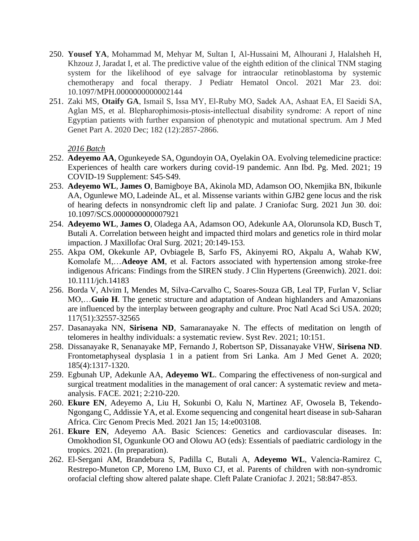- 250. **Yousef YA**, Mohammad M, Mehyar M, Sultan I, Al-Hussaini M, Alhourani J, Halalsheh H, Khzouz J, Jaradat I, et al. The predictive value of the eighth edition of the clinical TNM staging system for the likelihood of eye salvage for intraocular retinoblastoma by systemic chemotherapy and focal therapy. J Pediatr Hematol Oncol. 2021 Mar 23. doi: 10.1097/MPH.0000000000002144
- 251. Zaki MS, **Otaify GA**, Ismail S, Issa MY, El‐Ruby MO, Sadek AA, Ashaat EA, El Saeidi SA, Aglan MS, et al. Blepharophimosis‐ptosis‐intellectual disability syndrome: A report of nine Egyptian patients with further expansion of phenotypic and mutational spectrum. Am J Med Genet Part A. 2020 Dec; 182 (12):2857-2866.

- 252. **Adeyemo AA**, Ogunkeyede SA, Ogundoyin OA, Oyelakin OA. Evolving telemedicine practice: Experiences of health care workers during covid-19 pandemic. Ann Ibd. Pg. Med. 2021; 19 COVID-19 Supplement: S45-S49.
- 253. **Adeyemo WL**, **James O**, Bamigboye BA, Akinola MD, Adamson OO, Nkemjika BN, Ibikunle AA, Ogunlewe MO, Ladeinde AL, et al. Missense variants within GJB2 gene locus and the risk of hearing defects in nonsyndromic cleft lip and palate. J Craniofac Surg. 2021 Jun 30. doi: 10.1097/SCS.0000000000007921
- 254. **Adeyemo WL**, **James O**, Oladega AA, Adamson OO, Adekunle AA, Olorunsola KD, Busch T, Butali A. Correlation between height and impacted third molars and genetics role in third molar impaction. J Maxillofac Oral Surg. 2021; 20:149-153.
- 255. Akpa OM, Okekunle AP, Ovbiagele B, Sarfo FS, Akinyemi RO, Akpalu A, Wahab KW, Komolafe M,…**Adeoye AM**, et al. Factors associated with hypertension among stroke-free indigenous Africans: Findings from the SIREN study. J Clin Hypertens (Greenwich). 2021. doi: 10.1111/jch.14183
- 256. Borda V, Alvim I, Mendes M, Silva-Carvalho C, Soares-Souza GB, Leal TP, Furlan V, Scliar MO,…**Guio H**. The genetic structure and adaptation of Andean highlanders and Amazonians are influenced by the interplay between geography and culture. Proc Natl Acad Sci USA. 2020; 117(51):32557-32565
- 257. Dasanayaka NN, **Sirisena ND**, Samaranayake N. The effects of meditation on length of telomeres in healthy individuals: a systematic review. Syst Rev. 2021; 10:151.
- 258. Dissanayake R, Senanayake MP, Fernando J, Robertson SP, Dissanayake VHW, **Sirisena ND**. Frontometaphyseal dysplasia 1 in a patient from Sri Lanka. Am J Med Genet A. 2020; 185(4):1317-1320.
- 259. Egbunah UP, Adekunle AA, **Adeyemo WL**. Comparing the effectiveness of non-surgical and surgical treatment modalities in the management of oral cancer: A systematic review and metaanalysis. FACE. 2021; 2:210-220.
- 260. **Ekure EN**, Adeyemo A, Liu H, Sokunbi O, Kalu N, Martinez AF, Owosela B, Tekendo-Ngongang C, Addissie YA, et al. Exome sequencing and congenital heart disease in sub-Saharan Africa. Circ Genom Precis Med. 2021 Jan 15; 14:e003108.
- 261. **Ekure EN**, Adeyemo AA. Basic Sciences: Genetics and cardiovascular diseases. In: Omokhodion SI, Ogunkunle OO and Olowu AO (eds): Essentials of paediatric cardiology in the tropics. 2021. (In preparation).
- 262. El-Sergani AM, Brandebura S, Padilla C, Butali A, **Adeyemo WL**, Valencia-Ramirez C, Restrepo-Muneton CP, Moreno LM, Buxo CJ, et al. Parents of children with non-syndromic orofacial clefting show altered palate shape. Cleft Palate Craniofac J. 2021; 58:847-853.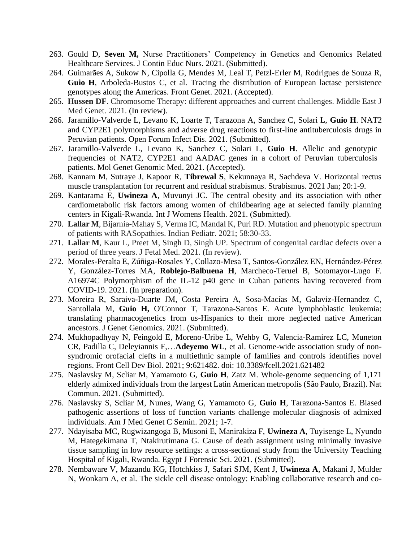- 263. Gould D, **Seven M,** Nurse Practitioners' Competency in Genetics and Genomics Related Healthcare Services. J Contin Educ Nurs. 2021. (Submitted).
- 264. Guimarães A, Sukow N, Cipolla G, Mendes M, Leal T, Petzl-Erler M, Rodrigues de Souza R, **Guio H**, Arboleda-Bustos C, et al. Tracing the distribution of European lactase persistence genotypes along the Americas. Front Genet. 2021. (Accepted).
- 265. **Hussen DF**. Chromosome Therapy: different approaches and current challenges. Middle East J Med Genet. 2021. (In review).
- 266. Jaramillo-Valverde L, Levano K, Loarte T, Tarazona A, Sanchez C, Solari L, **Guio H**. NAT2 and CYP2E1 polymorphisms and adverse drug reactions to first-line antituberculosis drugs in Peruvian patients. Open Forum Infect Dis. 2021. (Submitted).
- 267. Jaramillo-Valverde L, Levano K, Sanchez C, Solari L, **Guio H**. Allelic and genotypic frequencies of NAT2, CYP2E1 and AADAC genes in a cohort of Peruvian tuberculosis patients. Mol Genet Genomic Med. 2021. (Accepted).
- 268. Kannam M, Sutraye J, Kapoor R, **Tibrewal S**, Kekunnaya R, Sachdeva V. Horizontal rectus muscle transplantation for recurrent and residual strabismus. Strabismus. 2021 Jan; 20:1-9.
- 269. Kantarama E, **Uwineza A**, Muvunyi JC. The central obesity and its association with other cardiometabolic risk factors among women of childbearing age at selected family planning centers in Kigali-Rwanda. Int J Womens Health. 2021. (Submitted).
- 270. **Lallar M**, Bijarnia-Mahay S, Verma IC, Mandal K, Puri RD. Mutation and phenotypic spectrum of patients with RASopathies. Indian Pediatr. 2021; 58:30-33.
- 271. **Lallar M**, Kaur L, Preet M, Singh D, Singh UP. Spectrum of congenital cardiac defects over a period of three years. J Fetal Med. 2021. (In review).
- 272. Morales-Peralta E, Zúñiga-Rosales Y, Collazo-Mesa T, Santos-González EN, Hernández-Pérez Y, González-Torres MA, **Roblejo-Balbuena H**, Marcheco-Teruel B, Sotomayor-Lugo F. A16974C Polymorphism of the IL-12 p40 gene in Cuban patients having recovered from COVID-19. 2021. (In preparation).
- 273. Moreira R, Saraiva-Duarte JM, Costa Pereira A, Sosa-Macías M, Galaviz-Hernandez C, Santollala M, **Guio H,** O'Connor T, Tarazona-Santos E. Acute lymphoblastic leukemia: translating pharmacogenetics from us-Hispanics to their more neglected native American ancestors. J Genet Genomics. 2021. (Submitted).
- 274. Mukhopadhyay N, Feingold E, Moreno-Uribe L, Wehby G, Valencia-Ramirez LC, Muneton CR, Padilla C, Deleyiannis F,…**Adeyemo WL**, et al. Genome-wide association study of nonsyndromic orofacial clefts in a multiethnic sample of families and controls identifies novel regions. Front Cell Dev Biol. 2021; 9:621482. doi: 10.3389/fcell.2021.621482
- 275. Naslavsky M, Scliar M, Yamamoto G, **Guio H**, Zatz M. Whole-genome sequencing of 1,171 elderly admixed individuals from the largest Latin American metropolis (São Paulo, Brazil). Nat Commun. 2021. (Submitted).
- 276. Naslavsky S, Scliar M, Nunes, Wang G, Yamamoto G, **Guio H**, Tarazona-Santos E. Biased pathogenic assertions of loss of function variants challenge molecular diagnosis of admixed individuals. Am J Med Genet C Semin. 2021; 1-7.
- 277. Ndayisaba MC, Rugwizangoga B, Musoni E, Manirakiza F, **Uwineza A**, Tuyisenge L, Nyundo M, Hategekimana T, Ntakirutimana G. Cause of death assignment using minimally invasive tissue sampling in low resource settings: a cross-sectional study from the University Teaching Hospital of Kigali, Rwanda. Egypt J Forensic Sci. 2021. (Submitted).
- 278. Nembaware V, Mazandu KG, Hotchkiss J, Safari SJM, Kent J, **Uwineza A**, Makani J, Mulder N, Wonkam A, et al. The sickle cell disease ontology: Enabling collaborative research and co-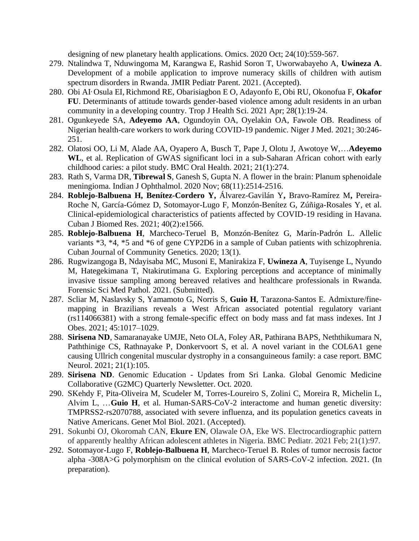designing of new planetary health applications. Omics. 2020 Oct; 24(10):559-567.

- 279. Ntalindwa T, Nduwingoma M, Karangwa E, Rashid Soron T, Uworwabayeho A, **Uwineza A**. Development of a mobile application to improve numeracy skills of children with autism spectrum disorders in Rwanda. JMIR Pediatr Parent. 2021. (Accepted).
- 280. Obi AI, Osula EI, Richmond RE, Obarisiagbon E O, Adayonfo E, Obi RU, Okonofua F, **Okafor FU**. Determinants of attitude towards gender-based violence among adult residents in an urban community in a developing country. Trop J Health Sci. 2021 Apr; 28(1):19-24.
- 281. Ogunkeyede SA, **Adeyemo AA**, Ogundoyin OA, Oyelakin OA, Fawole OB. Readiness of Nigerian health-care workers to work during COVID-19 pandemic. Niger J Med. 2021; 30:246- 251.
- 282. Olatosi OO, Li M, Alade AA, Oyapero A, Busch T, Pape J, Olotu J, Awotoye W,…**Adeyemo WL**, et al. Replication of GWAS significant loci in a sub-Saharan African cohort with early childhood caries: a pilot study. BMC Oral Health. 2021; 21(1):274.
- 283. Rath S, Varma DR, **Tibrewal S**, Ganesh S, Gupta N. A flower in the brain: Planum sphenoidale meningioma. Indian J Ophthalmol. 2020 Nov; 68(11):2514-2516.
- 284. **Roblejo-Balbuena H, Benítez-Cordero Y,** Álvarez-Gavilán Y**,** Bravo-Ramírez M**,** Pereira-Roche N, García-Gómez D, Sotomayor-Lugo F, Monzón-Benítez G, Zúñiga-Rosales Y, et al. Clinical-epidemiological characteristics of patients affected by COVID-19 residing in Havana. Cuban J Biomed Res. 2021; 40(2):e1566.
- 285. **Roblejo-Balbuena H**, Marcheco-Teruel B, Monzón-Benítez G, Marín-Padrón L. Allelic variants \*3, \*4, \*5 and \*6 of gene CYP2D6 in a sample of Cuban patients with schizophrenia. Cuban Journal of Community Genetics*.* 2020; 13(1).
- 286. Rugwizangoga B, Ndayisaba MC, Musoni E, Manirakiza F, **Uwineza A**, Tuyisenge L, Nyundo M, Hategekimana T, Ntakirutimana G. Exploring perceptions and acceptance of minimally invasive tissue sampling among bereaved relatives and healthcare professionals in Rwanda. Forensic Sci Med Pathol. 2021. (Submitted).
- 287. Scliar M, Naslavsky S, Yamamoto G, Norris S, **Guio H**, Tarazona-Santos E. Admixture/finemapping in Brazilians reveals a West African associated potential regulatory variant (rs114066381) with a strong female-specific effect on body mass and fat mass indexes. Int J Obes. 2021; 45:1017–1029.
- 288. **Sirisena ND**, [Samaranayake](https://europepmc.org/search?query=AUTH:%22U%20M%20Jayami%20Eshana%20Samaranayake%22) UMJE, Neto OLA, Foley AR, Pathirana BAPS, Neththikumara N, Paththinige CS, Rathnayake P, Donkervoort S, et al. A novel variant in the COL6A1 gene causing Ullrich congenital muscular dystrophy in a consanguineous family: a case report. BMC Neurol. 2021; 21(1):105.
- 289. **Sirisena ND**. Genomic Education Updates from Sri Lanka. Global Genomic Medicine Collaborative (G2MC) Quarterly Newsletter. Oct. 2020.
- 290. SKehdy F, Pita-Oliveira M, Scudeler M, Torres-Loureiro S, Zolini C, Moreira R, Michelin L, Alvim L, …**Guio H**, et al. Human-SARS-CoV-2 interactome and human genetic diversity: TMPRSS2-rs2070788, associated with severe influenza, and its population genetics caveats in Native Americans. Genet Mol Biol. 2021. (Accepted).
- 291. Sokunbi OJ, Okoromah CAN, **Ekure EN**, Olawale OA, Eke WS. Electrocardiographic pattern of apparently healthy African adolescent athletes in Nigeria. BMC Pediatr. 2021 Feb; 21(1):97.
- 292. Sotomayor-Lugo F, **Roblejo-Balbuena H**, Marcheco-Teruel B. Roles of tumor necrosis factor alpha -308A>G polymorphism on the clinical evolution of SARS-CoV-2 infection. 2021. (In preparation).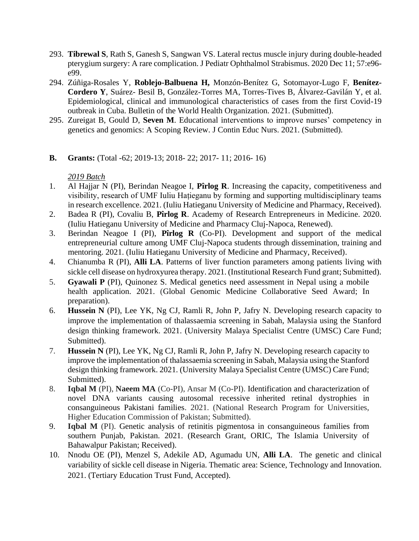- 293. **Tibrewal S**, Rath S, Ganesh S, Sangwan VS. Lateral rectus muscle injury during double-headed pterygium surgery: A rare complication. J Pediatr Ophthalmol Strabismus. 2020 Dec 11; 57:e96 e99.
- 294. Zúñiga-Rosales Y, **Roblejo-Balbuena H,** Monzón-Benítez G, Sotomayor-Lugo F, **Benítez-Cordero Y**, Suárez- Besil B, González-Torres MA, Torres-Tives B, Álvarez-Gavilán Y, et al. Epidemiological, clinical and immunological characteristics of cases from the first Covid-19 outbreak in Cuba. Bulletin of the World Health Organization*.* 2021. (Submitted).
- 295. Zureigat B, Gould D, **Seven M**. Educational interventions to improve nurses' competency in genetics and genomics: A Scoping Review. J Contin Educ Nurs. 2021. (Submitted).
- **B. Grants:** (Total -62; 2019-13; 2018- 22; 2017- 11; 2016- 16)

- 1. Al Hajjar N (PI), Berindan Neagoe I, **Pîrlog R**. Increasing the capacity, competitiveness and visibility, research of UMF Iuliu Hațieganu by forming and supporting multidisciplinary teams in research excellence. 2021. (Iuliu Hatieganu University of Medicine and Pharmacy, Received).
- 2. Badea R (PI), Covaliu B, **Pîrlog R**. Academy of Research Entrepreneurs in Medicine. 2020. (Iuliu Hatieganu University of Medicine and Pharmacy Cluj-Napoca, Renewed).
- 3. Berindan Neagoe I (PI), **Pîrlog R** (Co-PI). Development and support of the medical entrepreneurial culture among UMF Cluj-Napoca students through dissemination, training and mentoring. 2021. (Iuliu Hatieganu University of Medicine and Pharmacy, Received).
- 4. Chianumba R (PI), **Alli LA**. Patterns of liver function parameters among patients living with sickle cell disease on hydroxyurea therapy. 2021. (Institutional Research Fund grant; Submitted).
- 5. **Gyawali P** (PI), Quinonez S. Medical genetics need assessment in Nepal using a mobile health application. 2021. (Global Genomic Medicine Collaborative Seed Award; In preparation).
- 6. **Hussein N** (PI), Lee YK, Ng CJ, Ramli R, John P, Jafry N. Developing research capacity to improve the implementation of thalassaemia screening in Sabah, Malaysia using the Stanford design thinking framework. 2021. (University Malaya Specialist Centre (UMSC) Care Fund; Submitted).
- 7. **Hussein N** (PI), Lee YK, Ng CJ, Ramli R, John P, Jafry N. Developing research capacity to improve the implementation of thalassaemia screening in Sabah, Malaysia using the Stanford design thinking framework. 2021. (University Malaya Specialist Centre (UMSC) Care Fund; Submitted).
- 8. **Iqbal M** (PI), **Naeem MA** (Co-PI), Ansar M (Co-PI). Identification and characterization of novel DNA variants causing autosomal recessive inherited retinal dystrophies in consanguineous Pakistani families. 2021. (National Research Program for Universities, Higher Education Commission of Pakistan; Submitted).
- 9. **Iqbal M** (PI). Genetic analysis of retinitis pigmentosa in consanguineous families from southern Punjab, Pakistan. 2021. (Research Grant, ORIC, The Islamia University of Bahawalpur Pakistan; Received).
- 10. Nnodu OE (PI), Menzel S, Adekile AD, Agumadu UN, **Alli LA**. The genetic and clinical variability of sickle cell disease in Nigeria. Thematic area: Science, Technology and Innovation. 2021. (Tertiary Education Trust Fund, Accepted).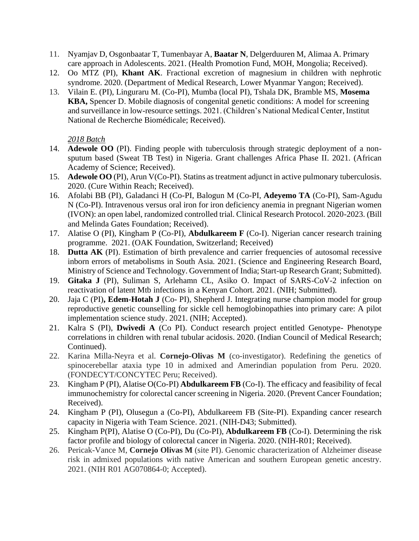- 11. Nyamjav D, Osgonbaatar T, Tumenbayar A, **Baatar N**, Delgerduuren M, Alimaa A. Primary care approach in Adolescents. 2021. (Health Promotion Fund, MOH, Mongolia; Received).
- 12. Oo MTZ (PI), **Khant AK**. Fractional excretion of magnesium in children with nephrotic syndrome. 2020. (Department of Medical Research, Lower Myanmar Yangon; Received).
- 13. Vilain E. (PI), Linguraru M. (Co-PI), Mumba (local PI), Tshala DK, Bramble MS, **Mosema KBA,** Spencer D. Mobile diagnosis of congenital genetic conditions: A model for screening and surveillance in low-resource settings. 2021. (Children's National Medical Center, Institut National de Recherche Biomédicale; Received).

- 14. **Adewole OO** (PI). Finding people with tuberculosis through strategic deployment of a nonsputum based (Sweat TB Test) in Nigeria. Grant challenges Africa Phase II. 2021. (African Academy of Science; Received).
- 15. **Adewole OO** (PI), Arun V(Co-PI). Statins as treatment adjunct in active pulmonary tuberculosis. 2020. (Cure Within Reach; Received).
- 16. Afolabi BB (PI), Galadanci H (Co-PI, Balogun M (Co-PI, **Adeyemo TA** (Co-PI), Sam-Agudu N (Co-PI). Intravenous versus oral iron for iron deficiency anemia in pregnant Nigerian women (IVON): an open label, randomized controlled trial. Clinical Research Protocol. 2020-2023. (Bill and Melinda Gates Foundation; Received).
- 17. Alatise O (PI), Kingham P (Co-PI), **Abdulkareem F** (Co-I). Nigerian cancer research training programme. 2021. (OAK Foundation, Switzerland; Received)
- 18. **Dutta AK** (PI). Estimation of birth prevalence and carrier frequencies of autosomal recessive inborn errors of metabolisms in South Asia. 2021. (Science and Engineering Research Board, Ministry of Science and Technology. Government of India; Start-up Research Grant; Submitted).
- 19. **Gitaka J** (PI), Suliman S, Arlehamn CL, Asiko O. Impact of SARS-CoV-2 infection on reactivation of latent Mtb infections in a Kenyan Cohort. 2021. (NIH; Submitted).
- 20. Jaja C (PI)**, Edem-Hotah J** (Co- PI), Shepherd J. Integrating nurse champion model for group reproductive genetic counselling for sickle cell hemoglobinopathies into primary care: A pilot implementation science study. 2021. (NIH; Accepted).
- 21. Kalra S (PI), **Dwivedi A** (Co PI). Conduct research project entitled Genotype- Phenotype correlations in children with renal tubular acidosis. 2020. (Indian Council of Medical Research; Continued).
- 22. Karina Milla-Neyra et al. **Cornejo-Olivas M** (co-investigator). Redefining the genetics of spinocerebellar ataxia type 10 in admixed and Amerindian population from Peru. 2020. (FONDECYT/CONCYTEC Peru; Received).
- 23. Kingham P (PI), Alatise O(Co-PI) **Abdulkareem FB** (Co-I). The efficacy and feasibility of fecal immunochemistry for colorectal cancer screening in Nigeria. 2020. (Prevent Cancer Foundation; Received).
- 24. Kingham P (PI), Olusegun a (Co-PI), Abdulkareem FB (Site-PI). Expanding cancer research capacity in Nigeria with Team Science. 2021. (NIH-D43; Submitted).
- 25. Kingham P(PI), Alatise O (Co-PI), Du (Co-PI), **Abdulkareem FB** (Co-I). Determining the risk factor profile and biology of colorectal cancer in Nigeria. 2020. (NIH-R01; Received).
- 26. Pericak-Vance M, **Cornejo Olivas M** (site PI). Genomic characterization of Alzheimer disease risk in admixed populations with native American and southern European genetic ancestry. 2021. (NIH R01 AG070864-0; Accepted).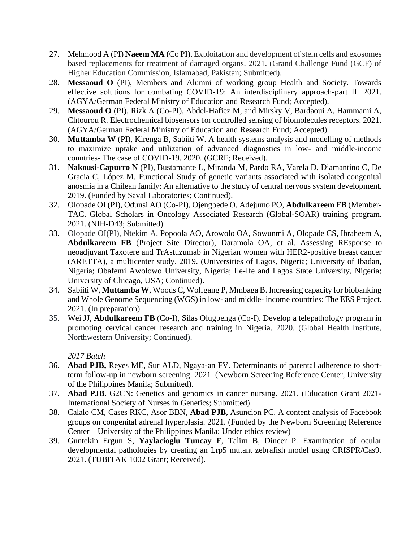- 27. Mehmood A (PI) **Naeem MA** (Co PI). Exploitation and development of stem cells and exosomes based replacements for treatment of damaged organs. 2021. (Grand Challenge Fund (GCF) of Higher Education Commission, Islamabad, Pakistan; Submitted).
- 28. **Messaoud O** (PI), Members and Alumni of working group Health and Society. Towards effective solutions for combating COVID-19: An interdisciplinary approach-part II. 2021. (AGYA/German Federal Ministry of Education and Research Fund; Accepted).
- 29. **Messaoud O** (PI), Rizk A (Co-PI), Abdel-Hafiez M, and Mirsky V, Bardaoui A, Hammami A, Chtourou R. Electrochemical biosensors for controlled sensing of biomolecules receptors. 2021. (AGYA/German Federal Ministry of Education and Research Fund; Accepted).
- 30. **Muttamba W** (PI), Kirenga B, Sabiiti W. A health systems analysis and modelling of methods to maximize uptake and utilization of advanced diagnostics in low- and middle-income countries- The case of COVID-19. 2020. (GCRF; Received).
- 31. **Nakousi-Capurro N** (PI), Bustamante L, Miranda M, Pardo RA, Varela D, Diamantino C, De Gracia C, López M. Functional Study of genetic variants associated with isolated congenital anosmia in a Chilean family: An alternative to the study of central nervous system development. 2019. (Funded by Saval Laboratories; Continued).
- 32. Olopade OI (PI), Odunsi AO (Co-PI), Ojengbede O, Adejumo PO, **Abdulkareem FB** (Member-TAC. Global Scholars in Oncology Associated Research (Global-SOAR) training program. 2021. (NIH-D43; Submitted)
- 33. Olopade OI(PI), Ntekim A, Popoola AO, Arowolo OA, Sowunmi A, Olopade CS, Ibraheem A, **Abdulkareem FB** (Project Site Director), Daramola OA, et al. Assessing REsponse to neoadjuvant Taxotere and TrAstuzumab in Nigerian women with HER2-positive breast cancer (ARETTA), a multicenter study. 2019. (Universities of Lagos, Nigeria; University of Ibadan, Nigeria; Obafemi Awolowo University, Nigeria; Ile-Ife and Lagos State University, Nigeria; University of Chicago, USA; Continued).
- 34. Sabiiti W, **Muttamba W**, Woods C, Wolfgang P, Mmbaga B. Increasing capacity for biobanking and Whole Genome Sequencing (WGS) in low- and middle- income countries: The EES Project. 2021. (In preparation).
- 35. Wei JJ, **Abdulkareem FB** (Co-I), Silas Olugbenga (Co-I). Develop a telepathology program in promoting cervical cancer research and training in Nigeria. 2020. (Global Health Institute, Northwestern University; Continued).

- 36. **Abad PJB,** Reyes ME, Sur ALD, Ngaya-an FV. Determinants of parental adherence to shortterm follow-up in newborn screening. 2021. (Newborn Screening Reference Center, University of the Philippines Manila; Submitted).
- 37. **Abad PJB**. G2CN: Genetics and genomics in cancer nursing. 2021. (Education Grant 2021- International Society of Nurses in Genetics; Submitted).
- 38. Calalo CM, Cases RKC, Asor BBN, **Abad PJB**, Asuncion PC. A content analysis of Facebook groups on congenital adrenal hyperplasia. 2021. (Funded by the Newborn Screening Reference Center – University of the Philippines Manila; Under ethics review)
- 39. Guntekin Ergun S, **Yaylacioglu Tuncay F**, Talim B, Dincer P. Examination of ocular developmental pathologies by creating an Lrp5 mutant zebrafish model using CRISPR/Cas9. 2021. (TUBITAK 1002 Grant; Received).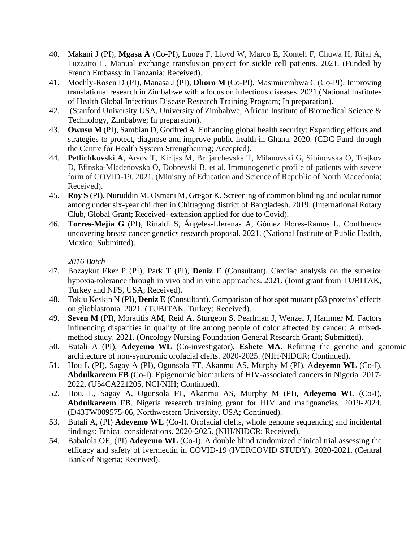- 40. Makani J (PI), **Mgasa A** (Co-PI), Luoga F, Lloyd W, Marco E, Konteh F, Chuwa H, Rifai A, Luzzatto L. Manual exchange transfusion project for sickle cell patients. 2021. (Funded by French Embassy in Tanzania; Received).
- 41. Mochly-Rosen D (PI), Manasa J (PI), **Dhoro M** (Co-PI), Masimirembwa C (Co-PI). Improving translational research in Zimbabwe with a focus on infectious diseases. 2021 (National Institutes of Health Global Infectious Disease Research Training Program; In preparation).
- 42. (Stanford University USA, University of Zimbabwe, African Institute of Biomedical Science & Technology, Zimbabwe; In preparation).
- 43. **Owusu M** (PI), Sambian D, Godfred A. Enhancing global health security: Expanding efforts and strategies to protect, diagnose and improve public health in Ghana. 2020. (CDC Fund through the Centre for Health System Strengthening; Accepted).
- 44. **Petlichkovski A**, Arsov T, Kirijas M, Brnjarchevska T, Milanovski G, Sibinovska O, Trajkov D, Efinska-Mladenovska O, Dobrevski B, et al. Immunogenetic profile of patients with severe form of COVID-19. 2021. (Ministry of Education and Science of Republic of North Macedonia; Received).
- 45. **Roy S** (PI), Nuruddin M, Osmani M, Gregor K. Screening of common blinding and ocular tumor among under six-year children in Chittagong district of Bangladesh. 2019. (International Rotary Club, Global Grant; Received- extension applied for due to Covid).
- 46. **Torres-Mejía G** (PI), Rinaldi S, Ángeles-Llerenas A, Gómez Flores-Ramos L. Confluence uncovering breast cancer genetics research proposal. 2021. (National Institute of Public Health, Mexico; Submitted).

- 47. Bozaykut Eker P (PI), Park T (PI), **Deniz E** (Consultant). Cardiac analysis on the superior hypoxia-tolerance through in vivo and in vitro approaches. 2021. (Joint grant from TUBITAK, Turkey and NFS, USA; Received).
- 48. Toklu Keskin N (PI), **Deniz E** (Consultant). Comparison of hot spot mutant p53 proteins' effects on glioblastoma. 2021. (TUBITAK, Turkey; Received).
- 49. **Seven M** (PI), Moratitis AM, Reid A, Sturgeon S, Pearlman J, Wenzel J, Hammer M. Factors influencing disparities in quality of life among people of color affected by cancer: A mixedmethod study. 2021. (Oncology Nursing Foundation General Research Grant; Submitted).
- 50. Butali A (PI), **Adeyemo WL** (Co-investigator), **Eshete MA**. Refining the genetic and genomic architecture of non-syndromic orofacial clefts. 2020-2025. (NIH/NIDCR; Continued).
- 51. Hou L (PI), Sagay A (PI), Ogunsola FT, Akanmu AS, Murphy M (PI), A**deyemo WL** (Co-I), **Abdulkareem FB** (Co-I). Epigenomic biomarkers of HIV-associated cancers in Nigeria. 2017- 2022. (U54CA221205, NCI/NIH; Continued).
- 52. Hou, L, Sagay A, Ogunsola FT, Akanmu AS, Murphy M (PI), **Adeyemo WL** (Co-I), **Abdulkareem FB**. Nigeria research training grant for HIV and malignancies. 2019-2024. (D43TW009575-06, Northwestern University, USA; Continued).
- 53. Butali A, (PI) **Adeyemo WL** (Co-I). Orofacial clefts, whole genome sequencing and incidental findings: Ethical considerations. 2020-2025. (NIH/NIDCR; Received).
- 54. Babalola OE, (PI) **Adeyemo WL** (Co-I). A double blind randomized clinical trial assessing the efficacy and safety of ivermectin in COVID-19 (IVERCOVID STUDY). 2020-2021. (Central Bank of Nigeria; Received).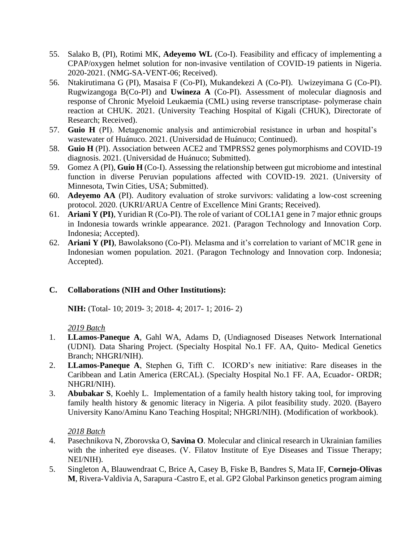- 55. Salako B, (PI), Rotimi MK, **Adeyemo WL** (Co-I). Feasibility and efficacy of implementing a CPAP/oxygen helmet solution for non-invasive ventilation of COVID-19 patients in Nigeria. 2020-2021. (NMG-SA-VENT-06; Received).
- 56. Ntakirutimana G (PI), Masaisa F (Co-PI), Mukandekezi A (Co-PI). Uwizeyimana G (Co-PI). Rugwizangoga B(Co-PI) and **Uwineza A** (Co-PI). Assessment of molecular diagnosis and response of Chronic Myeloid Leukaemia (CML) using reverse transcriptase- polymerase chain reaction at CHUK. 2021. (University Teaching Hospital of Kigali (CHUK), Directorate of Research; Received).
- 57. **Guio H** (PI). Metagenomic analysis and antimicrobial resistance in urban and hospital's wastewater of Huánuco. 2021. (Universidad de Huánuco; Continued).
- 58. **Guio H** (PI). Association between ACE2 and TMPRSS2 genes polymorphisms and COVID-19 diagnosis. 2021. (Universidad de Huánuco; Submitted).
- 59. Gomez A (PI), **Guio H** (Co-I). Assessing the relationship between gut microbiome and intestinal function in diverse Peruvian populations affected with COVID-19. 2021. (University of Minnesota, Twin Cities, USA; Submitted).
- 60. **Adeyemo AA** (PI). Auditory evaluation of stroke survivors: validating a low-cost screening protocol. 2020. (UKRI/ARUA Centre of Excellence Mini Grants; Received).
- 61. **Ariani Y (PI)**, Yuridian R (Co-PI). The role of variant of COL1A1 gene in 7 major ethnic groups in Indonesia towards wrinkle appearance. 2021. (Paragon Technology and Innovation Corp. Indonesia; Accepted).
- 62. **Ariani Y (PI)**, Bawolaksono (Co-PI). Melasma and it's correlation to variant of MC1R gene in Indonesian women population. 2021. (Paragon Technology and Innovation corp. Indonesia; Accepted).

## **C. Collaborations (NIH and Other Institutions):**

**NIH:** (Total- 10; 2019- 3; 2018- 4; 2017- 1; 2016- 2)

## *2019 Batch*

- 1. **LLamos-Paneque A**, Gahl WA, Adams D, (Undiagnosed Diseases Network International (UDNI). Data Sharing Project. (Specialty Hospital No.1 FF. AA, Quito- Medical Genetics Branch; NHGRI/NIH).
- 2. **LLamos-Paneque A**, Stephen G, Tifft C. ICORD's new initiative: Rare diseases in the Caribbean and Latin America (ERCAL). (Specialty Hospital No.1 FF. AA, Ecuador- ORDR; NHGRI/NIH).
- 3. **Abubakar S**, Koehly L. Implementation of a family health history taking tool, for improving family health history & genomic literacy in Nigeria. A pilot feasibility study. 2020. (Bayero University Kano/Aminu Kano Teaching Hospital; NHGRI/NIH). (Modification of workbook).

- 4. Pasechnikova N, Zborovska O, **Savina O**. Molecular and clinical research in Ukrainian families with the inherited eye diseases. (V. Filatov Institute of Eye Diseases and Tissue Therapy; NEI/NIH).
- 5. Singleton A, Blauwendraat C, Brice A, Casey B, Fiske B, Bandres S, Mata IF, **Cornejo-Olivas M**, Rivera-Valdivia A, Sarapura -Castro E, et al. GP2 Global Parkinson genetics program aiming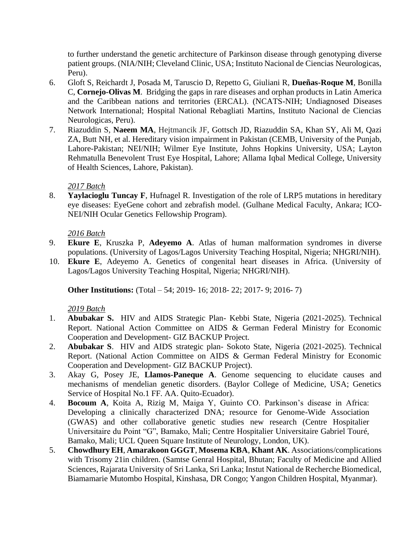to further understand the genetic architecture of Parkinson disease through genotyping diverse patient groups. (NIA/NIH; Cleveland Clinic, USA; Instituto Nacional de Ciencias Neurologicas, Peru).

- 6. Gloft S, Reichardt J, Posada M, Taruscio D, Repetto G, Giuliani R, **Dueñas-Roque M**, Bonilla C, **Cornejo-Olivas M**. Bridging the gaps in rare diseases and orphan products in Latin America and the Caribbean nations and territories (ERCAL). (NCATS-NIH; Undiagnosed Diseases Network International; Hospital National Rebagliati Martins, Instituto Nacional de Ciencias Neurologicas, Peru).
- 7. Riazuddin S, **Naeem MA**, Hejtmancik JF, Gottsch JD, Riazuddin SA, Khan SY, Ali M, Qazi ZA, Butt NH, et al. Hereditary vision impairment in Pakistan (CEMB, University of the Punjab, Lahore-Pakistan; NEI/NIH; Wilmer Eye Institute, Johns Hopkins University, USA; Layton Rehmatulla Benevolent Trust Eye Hospital, Lahore; Allama Iqbal Medical College, University of Health Sciences, Lahore, Pakistan).

## *2017 Batch*

8. **Yaylacioglu Tuncay F**, Hufnagel R. Investigation of the role of LRP5 mutations in hereditary eye diseases: EyeGene cohort and zebrafish model. (Gulhane Medical Faculty, Ankara; ICO-NEI/NIH Ocular Genetics Fellowship Program).

# *2016 Batch*

- 9. **Ekure E**, Kruszka P, **Adeyemo A**. Atlas of human malformation syndromes in diverse populations. (University of Lagos/Lagos University Teaching Hospital, Nigeria; NHGRI/NIH).
- 10. **Ekure E**, Adeyemo A. Genetics of congenital heart diseases in Africa. (University of Lagos/Lagos University Teaching Hospital, Nigeria; NHGRI/NIH).

**Other Institutions:** (Total – 54; 2019- 16; 2018- 22; 2017- 9; 2016- 7)

- 1. **Abubakar S.** HIV and AIDS Strategic Plan- Kebbi State, Nigeria (2021-2025). Technical Report. National Action Committee on AIDS & German Federal Ministry for Economic Cooperation and Development- GIZ BACKUP Project.
- 2. **Abubakar S**. HIV and AIDS strategic plan- Sokoto State, Nigeria (2021-2025). Technical Report. (National Action Committee on AIDS & German Federal Ministry for Economic Cooperation and Development- GIZ BACKUP Project).
- 3. Akay G, Posey JE, **Llamos-Paneque A**. Genome sequencing to elucidate causes and mechanisms of mendelian genetic disorders. (Baylor College of Medicine, USA; Genetics Service of Hospital No.1 FF. AA. Quito-Ecuador).
- 4. **Bocoum A**, Koita A, Rizig M, Maiga Y, Guinto CO. Parkinson's disease in Africa: Developing a clinically characterized DNA; resource for Genome-Wide Association (GWAS) and other collaborative genetic studies new research (Centre Hospitalier Universitaire du Point "G", Bamako, Mali; Centre Hospitalier Universitaire Gabriel Touré, Bamako, Mali; UCL Queen Square Institute of Neurology, London, UK).
- 5. **Chowdhury EH**, **Amarakoon GGGT**, **Mosema KBA**, **Khant AK**. Associations/complications with Trisomy 21in children. (Samtse Genral Hospital, Bhutan; Faculty of Medicine and Allied Sciences, Rajarata University of Sri Lanka, Sri Lanka; Instut National de Recherche Biomedical, Biamamarie Mutombo Hospital, Kinshasa, DR Congo; Yangon Children Hospital, Myanmar).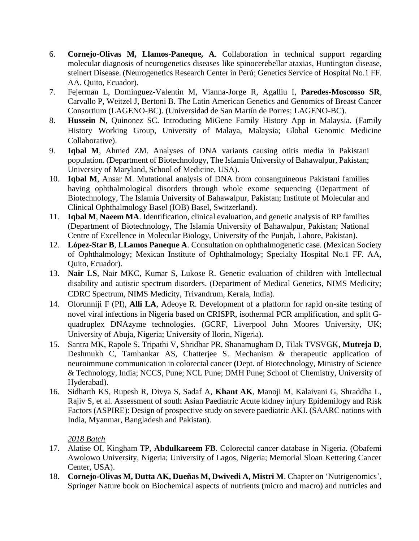- 6. **Cornejo-Olivas M, Llamos-Paneque, A**. Collaboration in technical support regarding molecular diagnosis of neurogenetics diseases like spinocerebellar ataxias, Huntington disease, steinert Disease. (Neurogenetics Research Center in Perú; Genetics Service of Hospital No.1 FF. AA. Quito, Ecuador).
- 7. Fejerman L, Dominguez-Valentin M, Vianna-Jorge R, Agalliu I, **Paredes-Moscosso SR**, Carvallo P, Weitzel J, Bertoni B. The Latin American Genetics and Genomics of Breast Cancer Consortium (LAGENO-BC). (Universidad de San Martín de Porres; LAGENO-BC).
- 8. **Hussein N**, Quinonez SC. Introducing MiGene Family History App in Malaysia. (Family History Working Group, University of Malaya, Malaysia; Global Genomic Medicine Collaborative).
- 9. **Iqbal M**, Ahmed ZM. Analyses of DNA variants causing otitis media in Pakistani population. (Department of Biotechnology, The Islamia University of Bahawalpur, Pakistan; University of Maryland, School of Medicine, USA).
- 10. **Iqbal M**, Ansar M. Mutational analysis of DNA from consanguineous Pakistani families having ophthalmological disorders through whole exome sequencing (Department of Biotechnology, The Islamia University of Bahawalpur, Pakistan; Institute of Molecular and Clinical Ophthalmology Basel (IOB) Basel, Switzerland).
- 11. **Iqbal M**, **Naeem MA**. Identification, clinical evaluation, and genetic analysis of RP families (Department of Biotechnology, The Islamia University of Bahawalpur, Pakistan; National Centre of Excellence in Molecular Biology, University of the Punjab, Lahore, Pakistan).
- 12. **López-Star B**, **LLamos Paneque A**. Consultation on ophthalmogenetic case. (Mexican Society of Ophthalmology; Mexican Institute of Ophthalmology; Specialty Hospital No.1 FF. AA, Quito, Ecuador).
- 13. **Nair LS**, Nair MKC, Kumar S, Lukose R. Genetic evaluation of children with Intellectual disability and autistic spectrum disorders. (Department of Medical Genetics, NIMS Medicity; CDRC Spectrum, NIMS Medicity, Trivandrum, Kerala, India).
- 14. Olorunniji F (PI), **Alli LA**, Adeoye R. Development of a platform for rapid on-site testing of novel viral infections in Nigeria based on CRISPR, isothermal PCR amplification, and split Gquadruplex DNAzyme technologies. (GCRF, Liverpool John Moores University, UK; University of Abuja, Nigeria; University of Ilorin, Nigeria).
- 15. Santra MK, Rapole S, Tripathi V, Shridhar PR, Shanamugham D, Tilak TVSVGK, **Mutreja D**, Deshmukh C, Tamhankar AS, Chatterjee S. Mechanism & therapeutic application of neuroimmune communication in colorectal cancer **(**Dept. of Biotechnology, Ministry of Science & Technology, India; NCCS, Pune; NCL Pune; DMH Pune; School of Chemistry, University of Hyderabad).
- 16. Sidharth KS, Rupesh R, Divya S, Sadaf A, **Khant AK**, Manoji M, Kalaivani G, Shraddha L, Rajiv S, et al. Assessment of south Asian Paediatric Acute kidney injury Epidemilogy and Risk Factors (ASPIRE): Design of prospective study on severe paediatric AKI. (SAARC nations with India, Myanmar, Bangladesh and Pakistan).

- 17. Alatise OI, Kingham TP, **Abdulkareem FB**. Colorectal cancer database in Nigeria. (Obafemi Awolowo University, Nigeria; University of Lagos, Nigeria; Memorial Sloan Kettering Cancer Center, USA).
- 18. **Cornejo-Olivas M, Dutta AK, Dueñas M, Dwivedi A, Mistri M**. Chapter on 'Nutrigenomics', Springer Nature book on Biochemical aspects of nutrients (micro and macro) and nutricles and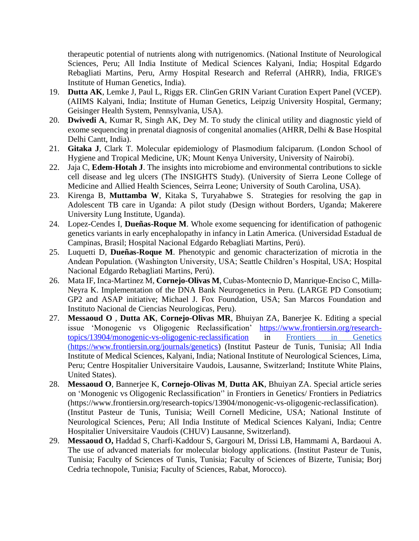therapeutic potential of nutrients along with nutrigenomics. (National Institute of Neurological Sciences, Peru; All India Institute of Medical Sciences Kalyani, India; Hospital Edgardo Rebagliati Martins, Peru, Army Hospital Research and Referral (AHRR), India, FRIGE's Institute of Human Genetics, India).

- 19. **Dutta AK**, Lemke J, Paul L, Riggs ER. ClinGen GRIN Variant Curation Expert Panel (VCEP). (AIIMS Kalyani, India; Institute of Human Genetics, Leipzig University Hospital, Germany; Geisinger Health System, Pennsylvania, USA).
- 20. **Dwivedi A**, Kumar R, Singh AK, Dey M. To study the clinical utility and diagnostic yield of exome sequencing in prenatal diagnosis of congenital anomalies (AHRR, Delhi & Base Hospital Delhi Cantt, India).
- 21. **Gitaka J**, Clark T. Molecular epidemiology of Plasmodium falciparum. (London School of Hygiene and Tropical Medicine, UK; Mount Kenya University, University of Nairobi).
- 22. Jaja C, **Edem-Hotah J**. The insights into microbiome and environmental contributions to sickle cell disease and leg ulcers (The INSIGHTS Study). (University of Sierra Leone College of Medicine and Allied Health Sciences, Seirra Leone; University of South Carolina, USA).
- 23. Kirenga B, **Muttamba W**, Kitaka S, Turyahabwe S. Strategies for resolving the gap in Adolescent TB care in Uganda: A pilot study (Design without Borders, Uganda; Makerere University Lung Institute, Uganda).
- 24. Lopez-Cendes I, **Dueñas-Roque M**. Whole exome sequencing for identification of pathogenic genetics variants in early encephalopathy in infancy in Latin America. (Universidad Estadual de Campinas, Brasil; Hospital Nacional Edgardo Rebagliati Martins, Perú).
- 25. Luquetti D, **Dueñas-Roque M**. Phenotypic and genomic characterization of microtia in the Andean Population. (Washington University, USA; Seattle Children's Hospital, USA; Hospital Nacional Edgardo Rebagliati Martins, Perú).
- 26. Mata IF, Inca-Martinez M, **Cornejo-Olivas M**, Cubas-Montecnio D, Manrique-Enciso C, Milla-Neyra K. Implementation of the DNA Bank Neurogenetics in Peru. (LARGE PD Consotium; GP2 and ASAP initiative; Michael J. Fox Foundation, USA; San Marcos Foundation and Instituto Nacional de Ciencias Neurologicas, Peru).
- 27. **Messaoud O** , **Dutta AK**, **Cornejo-Olivas MR**, Bhuiyan ZA, Banerjee K. Editing a special issue 'Monogenic vs Oligogenic Reclassification' [https://www.frontiersin.org/research](https://www.frontiersin.org/research-topics/13904/monogenic-vs-oligogenic-reclassification)[topics/13904/monogenic-vs-oligogenic-reclassification](https://www.frontiersin.org/research-topics/13904/monogenic-vs-oligogenic-reclassification) in Frontiers in Genetics [\(https://www.frontiersin.org/journals/genetics\)](https://www.frontiersin.org/journals/genetics) (Institut Pasteur de Tunis, Tunisia; All India Institute of Medical Sciences, Kalyani, India; National Institute of Neurological Sciences, Lima, Peru; Centre Hospitalier Universitaire Vaudois, Lausanne, Switzerland; Institute White Plains, United States).
- 28. **Messaoud O**, Bannerjee K, **Cornejo-Olivas M**, **Dutta AK**, Bhuiyan ZA. Special article series on 'Monogenic vs Oligogenic Reclassification'' in Frontiers in Genetics/ Frontiers in Pediatrics (https://www.frontiersin.org/research-topics/13904/monogenic-vs-oligogenic-reclassification). (Institut Pasteur de Tunis, Tunisia; Weill Cornell Medicine, USA; National Institute of Neurological Sciences, Peru; All India Institute of Medical Sciences Kalyani, India; Centre Hospitalier Universitaire Vaudois (CHUV) Lausanne, Switzerland).
- 29. **Messaoud O,** Haddad S, Charfi-Kaddour S, Gargouri M, Drissi LB, Hammami A, Bardaoui A. The use of advanced materials for molecular biology applications. (Institut Pasteur de Tunis, Tunisia; Faculty of Sciences of Tunis, Tunisia; Faculty of Sciences of Bizerte, Tunisia; Borj Cedria technopole, Tunisia; Faculty of Sciences, Rabat, Morocco).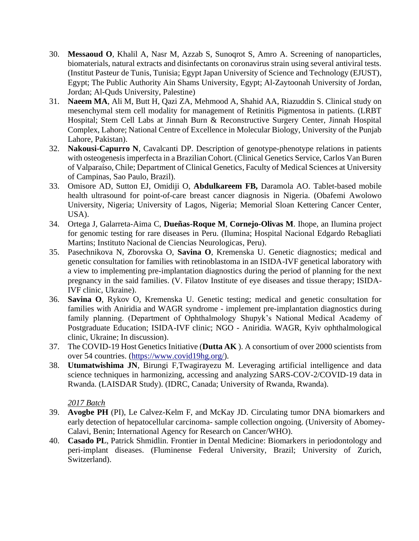- 30. **Messaoud O**, Khalil A, Nasr M, Azzab S, Sunoqrot S, Amro A. Screening of nanoparticles, biomaterials, natural extracts and disinfectants on coronavirus strain using several antiviral tests. (Institut Pasteur de Tunis, Tunisia; Egypt Japan University of Science and Technology (EJUST), Egypt; The Public Authority Ain Shams University, Egypt; Al-Zaytoonah University of Jordan, Jordan; Al-Quds University, Palestine)
- 31. **Naeem MA**, Ali M, Butt H, Qazi ZA, Mehmood A, Shahid AA, Riazuddin S. Clinical study on mesenchymal stem cell modality for management of Retinitis Pigmentosa in patients. (LRBT Hospital; Stem Cell Labs at Jinnah Burn & Reconstructive Surgery Center, Jinnah Hospital Complex, Lahore; National Centre of Excellence in Molecular Biology, University of the Punjab Lahore, Pakistan).
- 32. **Nakousi-Capurro N**, Cavalcanti DP*.* Description of genotype-phenotype relations in patients with osteogenesis imperfecta in a Brazilian Cohort. (Clinical Genetics Service, Carlos Van Buren of Valparaíso, Chile; Department of Clinical Genetics, Faculty of Medical Sciences at University of Campinas, Sao Paulo, Brazil).
- 33. Omisore AD, Sutton EJ, Omidiji O, **Abdulkareem FB,** Daramola AO. Tablet-based mobile health ultrasound for point-of-care breast cancer diagnosis in Nigeria. (Obafemi Awolowo University, Nigeria; University of Lagos, Nigeria; Memorial Sloan Kettering Cancer Center, USA).
- 34. Ortega J, Galarreta-Aima C, **Dueñas-Roque M**, **Cornejo-Olivas M**. Ihope, an Ilumina project for genomic testing for rare diseases in Peru. (Ilumina; Hospital Nacional Edgardo Rebagliati Martins; Instituto Nacional de Ciencias Neurologicas, Peru).
- 35. Pasechnikova N, Zborovska O, **Savina O**, Kremenska U. Genetic diagnostics; medical and genetic consultation for families with retinoblastoma in an ISIDA-IVF genetical laboratory with a view to implementing pre-implantation diagnostics during the period of planning for the next pregnancy in the said families. (V. Filatov Institute of eye diseases and tissue therapy; ISIDA-IVF clinic, Ukraine).
- 36. **Savina O**, Rykov O, Kremenska U. Genetic testing; medical and genetic consultation for families with Aniridia and WAGR syndrome - implement pre-implantation diagnostics during family planning. (Department of Ophthalmology Shupyk's National Medical Academy of Postgraduate Education; ISIDA-IVF clinic; NGO - Aniridia. WAGR, Kyiv ophthalmological clinic, Ukraine; In discussion).
- 37. The COVID-19 Host Genetics Initiative (**Dutta AK** ). A consortium of over 2000 scientists from over 54 countries. [\(https://www.covid19hg.org/\)](https://www.covid19hg.org/).
- 38. **Utumatwishima JN**, Birungi F,Twagirayezu M. Leveraging artificial intelligence and data science techniques in harmonizing, accessing and analyzing SARS-COV-2/COVID-19 data in Rwanda. (LAISDAR Study). (IDRC, Canada; University of Rwanda, Rwanda).

- 39. **Avogbe PH** (PI), Le Calvez-Kelm F, and McKay JD. Circulating tumor DNA biomarkers and early detection of hepatocellular carcinoma- sample collection ongoing. (University of Abomey-Calavi, Benin; International Agency for Research on Cancer/WHO).
- 40. **Casado PL**, Patrick Shmidlin. Frontier in Dental Medicine: Biomarkers in periodontology and peri-implant diseases. (Fluminense Federal University, Brazil; University of Zurich, Switzerland).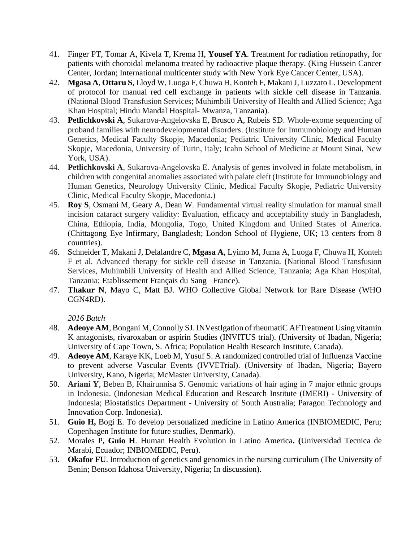- 41. Finger PT, Tomar A, Kivela T, Krema H, **Yousef YA**. Treatment for radiation retinopathy, for patients with choroidal melanoma treated by radioactive plaque therapy. (King Hussein Cancer Center, Jordan; International multicenter study with New York Eye Cancer Center, USA).
- 42. **Mgasa A**, **Ottaru S**, Lloyd W, Luoga F, Chuwa H, Konteh F, Makani J, Luzzato L. Development of protocol for manual red cell exchange in patients with sickle cell disease in Tanzania. (National Blood Transfusion Services; Muhimbili University of Health and Allied Science; Aga Khan Hospital; Hindu Mandal Hospital- Mwanza, Tanzania).
- 43. **Petlichkovski A**, Sukarova-Angelovska E, Brusco A, Rubeis SD. Whole-exome sequencing of proband families with neurodevelopmental disorders. (Institute for Immunobiology and Human Genetics, Medical Faculty Skopje, Macedonia; Pediatric University Clinic, Medical Faculty Skopje, Macedonia, University of Turin, Italy; Icahn School of Medicine at Mount Sinai, New York, USA).
- 44. **Petlichkovski A**, Sukarova-Angelovska E. Analysis of genes involved in folate metabolism, in children with congenital anomalies associated with palate cleft (Institute for Immunobiology and Human Genetics, Neurology University Clinic, Medical Faculty Skopje, Pediatric University Clinic, Medical Faculty Skopje, Macedonia.)
- 45. **Roy S**, Osmani M, Geary A, Dean W. Fundamental virtual reality simulation for manual small incision cataract surgery validity: Evaluation, efficacy and acceptability study in Bangladesh, China, Ethiopia, India, Mongolia, Togo, United Kingdom and United States of America. (Chittagong Eye Infirmary, Bangladesh; London School of Hygiene, UK; 13 centers from 8 countries).
- 46. Schneider T, Makani J, Delalandre C, **Mgasa A**, Lyimo M, Juma A, Luoga F, Chuwa H, Konteh F et al. Advanced therapy for sickle cell disease in Tanzania. (National Blood Transfusion Services, Muhimbili University of Health and Allied Science, Tanzania; Aga Khan Hospital, Tanzania; Etablissement Français du Sang –France).
- 47. **Thakur N**, Mayo C, Matt BJ. WHO Collective Global Network for Rare Disease (WHO CGN4RD).

- 48. **Adeoye AM**, Bongani M, Connolly SJ. INVestIgation of rheumatiC AFTreatment Using vitamin K antagonists, rivaroxaban or aspirin Studies (INVITUS trial). (University of Ibadan, Nigeria; University of Cape Town, S. Africa; Population Health Research Institute, Canada).
- 49. **Adeoye AM**, Karaye KK, Loeb M, Yusuf S. A randomized controlled trial of Influenza Vaccine to prevent adverse Vascular Events (IVVETrial). (University of Ibadan, Nigeria; Bayero University, Kano, Nigeria; McMaster University, Canada).
- 50. **Ariani Y**, Beben B, Khairunnisa S. Genomic variations of hair aging in 7 major ethnic groups in Indonesia. (Indonesian Medical Education and Research Institute (IMERI) - University of Indonesia; Biostatistics Department - University of South Australia; Paragon Technology and Innovation Corp. Indonesia).
- 51. **Guio H,** Bogi E. To develop personalized medicine in Latino America (INBIOMEDIC, Peru; Copenhagen Institute for future studies, Denmark).
- 52. Morales P**, Guio H**. Human Health Evolution in Latino America**. (**Universidad Tecnica de Marabi, Ecuador; INBIOMEDIC, Peru).
- 53. **Okafor FU**. Introduction of genetics and genomics in the nursing curriculum (The University of Benin; Benson Idahosa University, Nigeria; In discussion).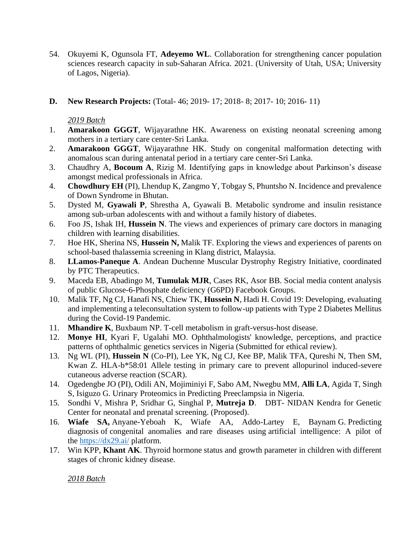- 54. Okuyemi K, Ogunsola FT, **Adeyemo WL**. Collaboration for strengthening cancer population sciences research capacity in sub-Saharan Africa. 2021. (University of Utah, USA; University of Lagos, Nigeria).
- **D. New Research Projects:** (Total- 46; 2019- 17; 2018- 8; 2017- 10; 2016- 11)

- 1. **Amarakoon GGGT**, Wijayarathne HK. Awareness on existing neonatal screening among mothers in a tertiary care center-Sri Lanka.
- 2. **Amarakoon GGGT**, Wijayarathne HK. Study on congenital malformation detecting with anomalous scan during antenatal period in a tertiary care center-Sri Lanka.
- 3. Chaudhry A, **Bocoum A**, Rizig M. Identifying gaps in knowledge about Parkinson's disease amongst medical professionals in Africa.
- 4. **Chowdhury EH** (PI), Lhendup K, Zangmo Y, Tobgay S, Phuntsho N. Incidence and prevalence of Down Syndrome in Bhutan.
- 5. Dysted M, **Gyawali P**, Shrestha A, Gyawali B. Metabolic syndrome and insulin resistance among sub-urban adolescents with and without a family history of diabetes.
- 6. Foo JS, Ishak IH, **Hussein N**. The views and experiences of primary care doctors in managing children with learning disabilities.
- 7. Hoe HK, Sherina NS, **Hussein N,** Malik TF. Exploring the views and experiences of parents on school-based thalassemia screening in Klang district, Malaysia.
- 8. **LLamos-Paneque A**. Andean Duchenne Muscular Dystrophy Registry Initiative, coordinated by PTC Therapeutics.
- 9. Maceda EB, Abadingo M, **Tumulak MJR**, Cases RK, Asor BB. Social media content analysis of public Glucose-6-Phosphate deficiency (G6PD) Facebook Groups.
- 10. Malik TF, Ng CJ, Hanafi NS, Chiew TK, **Hussein N**, Hadi H. Covid 19: Developing, evaluating and implementing a teleconsultation system to follow-up patients with Type 2 Diabetes Mellitus during the Covid-19 Pandemic.
- 11. **Mhandire K**, Buxbaum NP. T-cell metabolism in graft-versus-host disease.
- 12. **Monye HI**, Kyari F, Ugalahi MO. Ophthalmologists' knowledge, perceptions, and practice patterns of ophthalmic genetics services in Nigeria (Submitted for ethical review).
- 13. Ng WL (PI), **Hussein N** (Co-PI), Lee YK, Ng CJ, Kee BP, Malik TFA, Qureshi N, Then SM, Kwan Z. HLA-b\*58:01 Allele testing in primary care to prevent allopurinol induced-severe cutaneous adverse reaction (SCAR).
- 14. Ogedengbe JO (PI), Odili AN, Mojiminiyi F, Sabo AM, Nwegbu MM, **Alli LA**, Agida T, Singh S, Isiguzo G. Urinary Proteomics in Predicting Preeclampsia in Nigeria.
- 15. Sondhi V, Mishra P, Sridhar G, Singhal P, **Mutreja D**. DBT- NIDAN Kendra for Genetic Center for neonatal and prenatal screening. (Proposed).
- 16. **Wiafe SA,** Anyane-Yeboah K, Wiafe AA, Addo-Lartey E, Baynam G. Predicting diagnosis of congenital anomalies and rare diseases using artificial intelligence: A pilot of the <https://dx29.ai/> platform.
- 17. Win KPP, **Khant AK**. Thyroid hormone status and growth parameter in children with different stages of chronic kidney disease.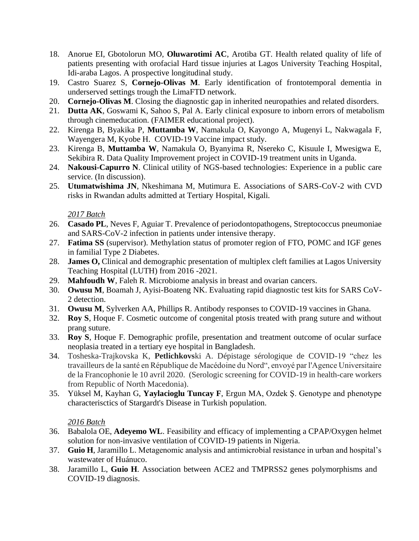- 18. Anorue EI, Gbotolorun MO, **Oluwarotimi AC**, Arotiba GT. Health related quality of life of patients presenting with orofacial Hard tissue injuries at Lagos University Teaching Hospital, Idi-araba Lagos. A prospective longitudinal study.
- 19. Castro Suarez S, **Cornejo-Olivas M**. Early identification of frontotemporal dementia in underserved settings trough the LimaFTD network.
- 20. **Cornejo-Olivas M**. Closing the diagnostic gap in inherited neuropathies and related disorders.
- 21. **Dutta AK**, Goswami K, Sahoo S, Pal A. Early clinical exposure to inborn errors of metabolism through cinemeducation. (FAIMER educational project).
- 22. Kirenga B, Byakika P, **Muttamba W**, Namakula O, Kayongo A, Mugenyi L, Nakwagala F, Wayengera M, Kyobe H. COVID-19 Vaccine impact study.
- 23. Kirenga B, **Muttamba W**, Namakula O, Byanyima R, Nsereko C, Kisuule I, Mwesigwa E, Sekibira R. Data Quality Improvement project in COVID-19 treatment units in Uganda.
- 24. **Nakousi-Capurro N**. Clinical utility of NGS-based technologies: Experience in a public care service. (In discussion).
- 25. **Utumatwishima JN**, Nkeshimana M, Mutimura E. Associations of SARS-CoV-2 with CVD risks in Rwandan adults admitted at Tertiary Hospital, Kigali.

- 26. **Casado PL**, Neves F, Aguiar T. Prevalence of periodontopathogens, Streptococcus pneumoniae and SARS-CoV-2 infection in patients under intensive therapy.
- 27. **Fatima SS** (supervisor). Methylation status of promoter region of FTO, POMC and IGF genes in familial Type 2 Diabetes.
- 28. **James O,** Clinical and demographic presentation of multiplex cleft families at Lagos University Teaching Hospital (LUTH) from 2016 -2021.
- 29. **Mahfoudh W**, Faleh R. Microbiome analysis in breast and ovarian cancers.
- 30. **Owusu M**, Boamah J, Ayisi-Boateng NK. Evaluating rapid diagnostic test kits for SARS CoV-2 detection.
- 31. **Owusu M**, Sylverken AA, Phillips R. Antibody responses to COVID-19 vaccines in Ghana.
- 32. **Roy S**, Hoque F. Cosmetic outcome of congenital ptosis treated with prang suture and without prang suture.
- 33. **Roy S**, Hoque F. Demographic profile, presentation and treatment outcome of ocular surface neoplasia treated in a tertiary eye hospital in Bangladesh.
- 34. Tosheska-Trajkovska K, **Petlichkovs**ki A. Dépistage sérologique de COVID-19 "chez les travailleurs de la santé en République de Macédoine du Nord", envoyé par l'Agence Universitaire de la Francophonie le 10 avril 2020. (Serologic screening for COVID-19 in health-care workers from Republic of North Macedonia).
- 35. Yüksel M, Kayhan G, **Yaylacioglu Tuncay F**, Ergun MA, Ozdek Ş. Genotype and phenotype characterisctics of Stargardt's Disease in Turkish population.

- 36. Babalola OE, **Adeyemo WL**. Feasibility and efficacy of implementing a CPAP/Oxygen helmet solution for non-invasive ventilation of COVID-19 patients in Nigeria.
- 37. **Guio H**, Jaramillo L. Metagenomic analysis and antimicrobial resistance in urban and hospital's wastewater of Huánuco.
- 38. Jaramillo L, **Guio H**. Association between ACE2 and TMPRSS2 genes polymorphisms and COVID-19 diagnosis.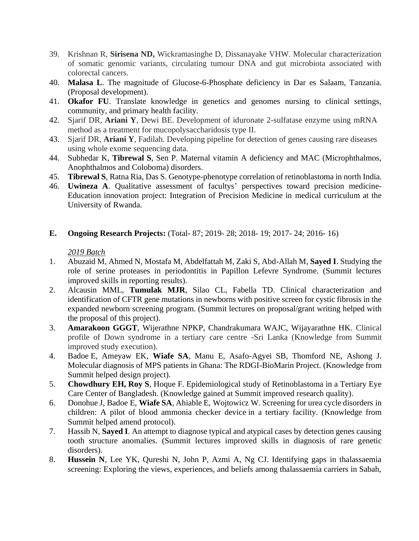- 39. Krishnan R, **Sirisena ND,** Wickramasinghe D, Dissanayake VHW. Molecular characterization of somatic genomic variants, circulating tumour DNA and gut microbiota associated with colorectal cancers.
- 40. **Malasa L**. The magnitude of Glucose-6-Phosphate deficiency in Dar es Salaam, Tanzania. (Proposal development).
- 41. **Okafor FU**. Translate knowledge in genetics and genomes nursing to clinical settings, community, and primary health facility.
- 42. Sjarif DR, **Ariani Y**, Dewi BE. Development of iduronate 2-sulfatase enzyme using mRNA method as a treatment for mucopolysaccharidosis type II.
- 43. Sjarif DR, **Ariani Y**, Fadilah. Developing pipeline for detection of genes causing rare diseases using whole exome sequencing data.
- 44. Subhedar K, **Tibrewal S**, Sen P. Maternal vitamin A deficiency and MAC (Microphthalmos, Anophthalmos and Coloboma) disorders.
- 45. **Tibrewal S**, Ratna Ria, Das S. Genotype-phenotype correlation of retinoblastoma in north India.
- 46. **Uwineza A**. Qualitative assessment of facultys' perspectives toward precision medicine-Education innovation project: Integration of Precision Medicine in medical curriculum at the University of Rwanda.

## **E. Ongoing Research Projects:** (Total- 87; 2019- 28; 2018- 19; 2017- 24; 2016- 16)

- 1. Abuzaid M, Ahmed N, Mostafa M, Abdelfattah M, Zaki S, Abd-Allah M, **Sayed I**. Studying the role of serine proteases in periodontitis in Papillon Lefevre Syndrome. (Summit lectures improved skills in reporting results).
- 2. Alcausin MML, **Tumulak MJR**, Silao CL, Fabella TD. Clinical characterization and identification of CFTR gene mutations in newborns with positive screen for cystic fibrosis in the expanded newborn screening program. (Summit lectures on proposal/grant writing helped with the proposal of this project).
- 3. **Amarakoon GGGT**, Wijerathne NPKP, Chandrakumara WAJC, Wijayarathne HK. Clinical profile of Down syndrome in a tertiary care centre -Sri Lanka (Knowledge from Summit improved study execution).
- 4. Badoe E, Ameyaw EK, **Wiafe SA**, Manu E, Asafo-Agyei SB, Thomford NE, Ashong J. Molecular diagnosis of MPS patients in Ghana: The RDGI-BioMarin Project. (Knowledge from Summit helped design project).
- 5. **Chowdhury EH, Roy S**, Hoque F. Epidemiological study of Retinoblastoma in a Tertiary Eye Care Center of Bangladesh. (Knowledge gained at Summit improved research quality).
- 6. Donohue J, Badoe E, **Wiafe SA**, Ahiable E, Wojtowicz W. Screening for urea cycle disorders in children: A pilot of blood ammonia checker device in a tertiary facility. (Knowledge from Summit helped amend protocol).
- 7. Hassib N, **Sayed I**. An attempt to diagnose typical and atypical cases by detection genes causing tooth structure anomalies. (Summit lectures improved skills in diagnosis of rare genetic disorders).
- 8. **Hussein N**, Lee YK, Qureshi N, John P, Azmi A, Ng CJ. Identifying gaps in thalassaemia screening: Exploring the views, experiences, and beliefs among thalassaemia carriers in Sabah,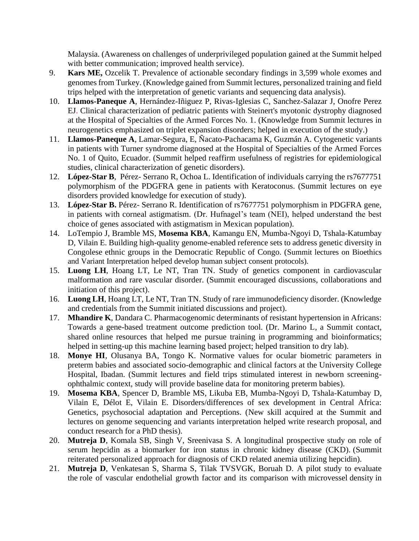Malaysia. (Awareness on challenges of underprivileged population gained at the Summit helped with better communication; improved health service).

- 9. **Kars ME,** Ozcelik T. Prevalence of actionable secondary findings in 3,599 whole exomes and genomes from Turkey. (Knowledge gained from Summit lectures, personalized training and field trips helped with the interpretation of genetic variants and sequencing data analysis).
- 10. **Llamos-Paneque A**, Hernández-Iñiguez P, Rivas-Iglesias C, Sanchez-Salazar J, Onofre Perez EJ. Clinical characterization of pediatric patients with Steinert's myotonic dystrophy diagnosed at the Hospital of Specialties of the Armed Forces No. 1. (Knowledge from Summit lectures in neurogenetics emphasized on triplet expansion disorders; helped in execution of the study.)
- 11. **Llamos-Paneque A**, Lamar-Segura, E, Ñacato-Pachacama K, Guzmán A. Cytogenetic variants in patients with Turner syndrome diagnosed at the Hospital of Specialties of the Armed Forces No. 1 of Quito, Ecuador. (Summit helped reaffirm usefulness of registries for epidemiological studies, clinical characterization of genetic disorders).
- 12. **López-Star B**,Pérez- Serrano R, Ochoa L. Identification of individuals carrying the rs7677751 polymorphism of the PDGFRA gene in patients with Keratoconus. (Summit lectures on eye disorders provided knowledge for execution of study).
- 13. **López-Star B.** Pérez- Serrano R. Identification of rs7677751 polymorphism in PDGFRA gene, in patients with corneal astigmatism. (Dr. Hufnagel's team (NEI), helped understand the best choice of genes associated with astigmatism in Mexican population).
- 14. LoTempio J, Bramble MS, **Mosema KBA**, Kamangu EN, Mumba-Ngoyi D, Tshala-Katumbay D, Vilain E. Building high-quality genome-enabled reference sets to address genetic diversity in Congolese ethnic groups in the Democratic Republic of Congo. (Summit lectures on Bioethics and Variant Interpretation helped develop human subject consent protocols).
- 15. **Luong LH**, Hoang LT, Le NT, Tran TN. Study of genetics component in cardiovascular malformation and rare vascular disorder. (Summit encouraged discussions, collaborations and initiation of this project).
- 16. **Luong LH**, Hoang LT, Le NT, Tran TN. Study of rare immunodeficiency disorder. (Knowledge and credentials from the Summit initiated discussions and project).
- 17. **Mhandire K**, Dandara C. Pharmacogenomic determinants of resistant hypertension in Africans: Towards a gene-based treatment outcome prediction tool. (Dr. Marino L, a Summit contact, shared online resources that helped me pursue training in programming and bioinformatics; helped in setting-up this machine learning based project; helped transition to dry lab).
- 18. **Monye HI**, Olusanya BA, Tongo K. Normative values for ocular biometric parameters in preterm babies and associated socio-demographic and clinical factors at the University College Hospital, Ibadan. (Summit lectures and field trips stimulated interest in newborn screeningophthalmic context, study will provide baseline data for monitoring preterm babies).
- 19. **Mosema KBA**, Spencer D, Bramble MS, Likuba EB, Mumba-Ngoyi D, Tshala-Katumbay D, Vilain E, Délot E, Vilain E. Disorders/differences of sex development in Central Africa: Genetics, psychosocial adaptation and Perceptions. (New skill acquired at the Summit and lectures on genome sequencing and variants interpretation helped write research proposal, and conduct research for a PhD thesis).
- 20. **Mutreja D**, Komala SB, Singh V, Sreenivasa S. A longitudinal prospective study on role of serum hepcidin as a biomarker for iron status in chronic kidney disease (CKD). (Summit reiterated personalized approach for diagnosis of CKD related anemia utilizing hepcidin).
- 21. **Mutreja D**, Venkatesan S, Sharma S, Tilak TVSVGK, Boruah D. A pilot study to evaluate the role of vascular endothelial growth factor and its comparison with microvessel density in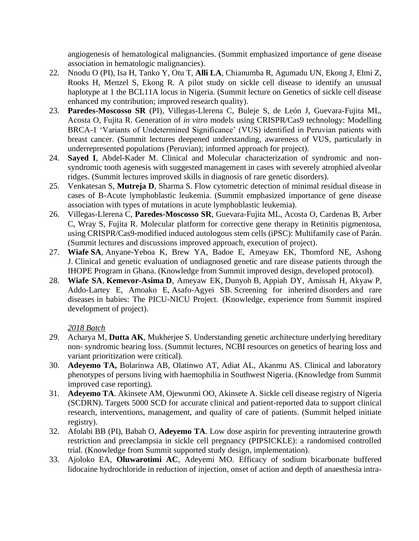angiogenesis of hematological malignancies. (Summit emphasized importance of gene disease association in hematologic malignancies).

- 22. Nnodu O (PI), Isa H, Tanko Y, Otu T, **Alli LA**, Chianumba R, Agumadu UN, Ekong J, Elmi Z, Rooks H, Menzel S, Ekong R. A pilot study on sickle cell disease to identify an unusual haplotype at 1 the BCL11A locus in Nigeria. (Summit lecture on Genetics of sickle cell disease enhanced my contribution; improved research quality).
- 23. **Paredes-Moscosso SR** (PI), Villegas-Llerena C, Buleje S, de León J, Guevara-Fujita ML, Acosta O, Fujita R. Generation of *in vitro* models using CRISPR/Cas9 technology: Modelling BRCA-1 'Variants of Undetermined Significance' (VUS) identified in Peruvian patients with breast cancer. (Summit lectures deepened understanding, awareness of VUS, particularly in underrepresented populations (Peruvian); informed approach for project).
- 24. **Sayed I**, Abdel-Kader M. Clinical and Molecular characterization of syndromic and nonsyndromic tooth agenesis with suggested management in cases with severely atrophied alveolar ridges. (Summit lectures improved skills in diagnosis of rare genetic disorders).
- 25. Venkatesan S, **Mutreja D**, Sharma S. Flow cytometric detection of minimal residual disease in cases of B-Acute lymphoblastic leukemia. (Summit emphasized importance of gene disease association with types of mutations in acute lymphoblastic leukemia).
- 26. Villegas-Llerena C, **Paredes-Moscosso SR**, Guevara-Fujita ML, Acosta O, Cardenas B, Arber C, Wray S, Fujita R. Molecular platform for corrective gene therapy in Retinitis pigmentosa, using CRISPR/Cas9-modified induced autologous stem cells (iPSC): Multifamily case of Parán. (Summit lectures and discussions improved approach, execution of project).
- 27. **Wiafe SA**, Anyane-Yeboa K, Brew YA, Badoe E, Ameyaw EK, Thomford NE, Ashong J. Clinical and genetic evaluation of undiagnosed genetic and rare disease patients through the IHOPE Program in Ghana. (Knowledge from Summit improved design, developed protocol).
- 28. **Wiafe SA**, **Kemevor-Asima D**, Ameyaw EK, Dunyoh B, Appiah DY, Amissah H, Akyaw P, Addo-Lartey E, Amoako E, Asafo-Agyei SB. Screening for inherited disorders and rare diseases in babies: The PICU-NICU Project. (Knowledge, experience from Summit inspired development of project).

- 29. Acharya M, **Dutta AK**, Mukherjee S. Understanding genetic architecture underlying hereditary non- syndromic hearing loss. (Summit lectures, NCBI resources on genetics of hearing loss and variant prioritization were critical).
- 30. **Adeyemo TA,** Bolarinwa AB, Olatinwo AT, Adiat AL, Akanmu AS. Clinical and laboratory phenotypes of persons living with haemophilia in Southwest Nigeria. (Knowledge from Summit improved case reporting).
- 31. **Adeyemo TA**. Akinsete AM, Ojewunmi OO, Akinsete A. Sickle cell disease registry of Nigeria (SCDRN). Targets 5000 SCD for accurate clinical and patient-reported data to support clinical research, interventions, management, and quality of care of patients. (Summit helped initiate registry).
- 32. Afolabi BB (PI), Babah O, **Adeyemo TA**. Low dose aspirin for preventing intrauterine growth restriction and preeclampsia in sickle cell pregnancy (PIPSICKLE): a randomised controlled trial. (Knowledge from Summit supported study design, implementation).
- 33. Ajoloko EA, **Oluwarotimi AC**, Adeyemi MO. Efficacy of sodium bicarbonate buffered lidocaine hydrochloride in reduction of injection, onset of action and depth of anaesthesia intra-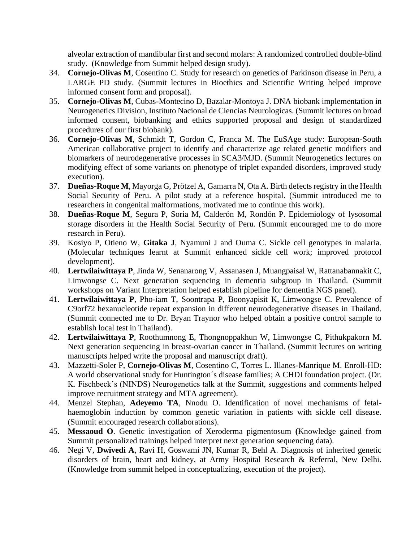alveolar extraction of mandibular first and second molars: A randomized controlled double-blind study. (Knowledge from Summit helped design study).

- 34. **Cornejo-Olivas M**, Cosentino C. Study for research on genetics of Parkinson disease in Peru, a LARGE PD study. (Summit lectures in Bioethics and Scientific Writing helped improve informed consent form and proposal).
- 35. **Cornejo-Olivas M**, Cubas-Montecino D, Bazalar-Montoya J. DNA biobank implementation in Neurogenetics Division, Instituto Nacional de Ciencias Neurologicas. (Summit lectures on broad informed consent, biobanking and ethics supported proposal and design of standardized procedures of our first biobank).
- 36. **Cornejo-Olivas M**, Schmidt T, Gordon C, Franca M. The EuSAge study: European-South American collaborative project to identify and characterize age related genetic modifiers and biomarkers of neurodegenerative processes in SCA3/MJD. (Summit Neurogenetics lectures on modifying effect of some variants on phenotype of triplet expanded disorders, improved study execution).
- 37. **Dueñas-Roque M**, Mayorga G, Prötzel A, Gamarra N, Ota A. Birth defects registry in the Health Social Security of Peru. A pilot study at a reference hospital. (Summit introduced me to researchers in congenital malformations, motivated me to continue this work).
- 38. **Dueñas-Roque M**, Segura P, Soria M, Calderón M, Rondón P. Epidemiology of lysosomal storage disorders in the Health Social Security of Peru. (Summit encouraged me to do more research in Peru).
- 39. Kosiyo P, Otieno W, **Gitaka J**, Nyamuni J and Ouma C. Sickle cell genotypes in malaria. (Molecular techniques learnt at Summit enhanced sickle cell work; improved protocol development).
- 40. **Lertwilaiwittaya P**, Jinda W, Senanarong V, Assanasen J, Muangpaisal W, Rattanabannakit C, Limwongse C. Next generation sequencing in dementia subgroup in Thailand. (Summit workshops on Variant Interpretation helped establish pipeline for dementia NGS panel).
- 41. **Lertwilaiwittaya P**, Pho-iam T, Soontrapa P, Boonyapisit K, Limwongse C. Prevalence of C9orf72 hexanucleotide repeat expansion in different neurodegenerative diseases in Thailand. (Summit connected me to Dr. Bryan Traynor who helped obtain a positive control sample to establish local test in Thailand).
- 42. **Lertwilaiwittaya P**, Roothumnong E, Thongnoppakhun W, Limwongse C, Pithukpakorn M. Next generation sequencing in breast-ovarian cancer in Thailand. (Summit lectures on writing manuscripts helped write the proposal and manuscript draft).
- 43. Mazzetti-Soler P, **Cornejo-Olivas M**, Cosentino C, Torres L. Illanes-Manrique M. Enroll-HD: A world observational study for Huntington´s disease families; A CHDI foundation project. (Dr. K. Fischbeck's (NINDS) Neurogenetics talk at the Summit, suggestions and comments helped improve recruitment strategy and MTA agreement).
- 44. Menzel Stephan, **Adeyemo TA**, Nnodu O. Identification of novel mechanisms of fetalhaemoglobin induction by common genetic variation in patients with sickle cell disease. (Summit encouraged research collaborations).
- 45. **Messaoud O**. Genetic investigation of Xeroderma pigmentosum **(**Knowledge gained from Summit personalized trainings helped interpret next generation sequencing data).
- 46. Negi V, **Dwivedi A**, Ravi H, Goswami JN, Kumar R, Behl A. Diagnosis of inherited genetic disorders of brain, heart and kidney, at Army Hospital Research & Referral, New Delhi. (Knowledge from summit helped in conceptualizing, execution of the project).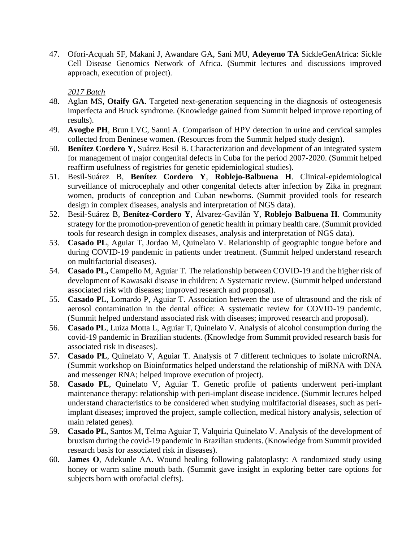47. Ofori-Acquah SF, Makani J, Awandare GA, Sani MU, **Adeyemo TA** SickleGenAfrica: Sickle Cell Disease Genomics Network of Africa. (Summit lectures and discussions improved approach, execution of project).

- 48. Aglan MS, **Otaify GA**. Targeted next-generation sequencing in the diagnosis of osteogenesis imperfecta and Bruck syndrome. (Knowledge gained from Summit helped improve reporting of results).
- 49. **Avogbe PH**, Brun LVC, Sanni A. Comparison of HPV detection in urine and cervical samples collected from Beninese women. (Resources from the Summit helped study design).
- 50. **Benítez Cordero Y**, Suárez Besil B. Characterization and development of an integrated system for management of major congenital defects in Cuba for the period 2007-2020. (Summit helped reaffirm usefulness of registries for genetic epidemiological studies).
- 51. Besil-Suárez B, **Benítez Cordero Y**, **Roblejo-Balbuena H**. Clinical-epidemiological surveillance of microcephaly and other congenital defects after infection by Zika in pregnant women, products of conception and Cuban newborns. (Summit provided tools for research design in complex diseases, analysis and interpretation of NGS data).
- 52. Besil-Suárez B, **Benítez-Cordero Y**, Álvarez-Gavilán Y, **Roblejo Balbuena H**. Community strategy for the promotion-prevention of genetic health in primary health care. (Summit provided tools for research design in complex diseases, analysis and interpretation of NGS data).
- 53. **Casado PL**, Aguiar T, Jordao M, Quinelato V. Relationship of geographic tongue before and during COVID-19 pandemic in patients under treatment. (Summit helped understand research on multifactorial diseases).
- 54. **Casado PL,** Campello M, Aguiar T. The relationship between COVID-19 and the higher risk of development of Kawasaki disease in children: A Systematic review. (Summit helped understand associated risk with diseases; improved research and proposal).
- 55. **Casado P**L, Lomardo P, Aguiar T. Association between the use of ultrasound and the risk of aerosol contamination in the dental office: A systematic review for COVID-19 pandemic. (Summit helped understand associated risk with diseases; improved research and proposal).
- 56. **Casado PL**, Luiza Motta L, Aguiar T, Quinelato V. Analysis of alcohol consumption during the covid-19 pandemic in Brazilian students. (Knowledge from Summit provided research basis for associated risk in diseases).
- 57. **Casado PL**, Quinelato V, Aguiar T. Analysis of 7 different techniques to isolate microRNA. (Summit workshop on Bioinformatics helped understand the relationship of miRNA with DNA and messenger RNA; helped improve execution of project).
- 58. **Casado PL**, Quinelato V, Aguiar T. Genetic profile of patients underwent peri-implant maintenance therapy: relationship with peri-implant disease incidence. (Summit lectures helped understand characteristics to be considered when studying multifactorial diseases, such as periimplant diseases; improved the project, sample collection, medical history analysis, selection of main related genes).
- 59. **Casado PL**, Santos M, Telma Aguiar T, Valquiria Quinelato V. Analysis of the development of bruxism during the covid-19 pandemic in Brazilian students. (Knowledge from Summit provided research basis for associated risk in diseases).
- 60. **James O**, Adekunle AA. Wound healing following palatoplasty: A randomized study using honey or warm saline mouth bath. (Summit gave insight in exploring better care options for subjects born with orofacial clefts).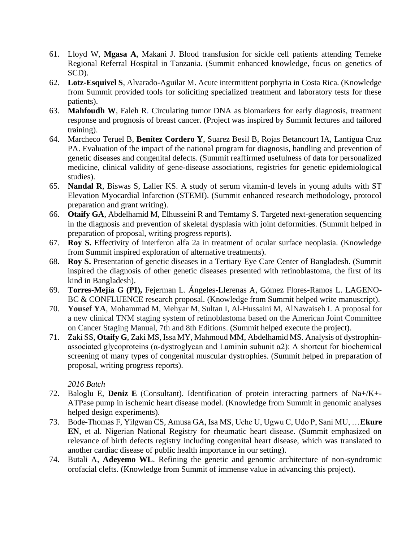- 61. Lloyd W, **Mgasa A**, Makani J. Blood transfusion for sickle cell patients attending Temeke Regional Referral Hospital in Tanzania. (Summit enhanced knowledge, focus on genetics of SCD).
- 62. **Lotz-Esquivel S**, Alvarado-Aguilar M. Acute intermittent porphyria in Costa Rica. (Knowledge from Summit provided tools for soliciting specialized treatment and laboratory tests for these patients).
- 63. **Mahfoudh W**, Faleh R. Circulating tumor DNA as biomarkers for early diagnosis, treatment response and prognosis of breast cancer. (Project was inspired by Summit lectures and tailored training).
- 64. Marcheco Teruel B, **Benítez Cordero Y**, Suarez Besil B, Rojas Betancourt IA, Lantigua Cruz PA. Evaluation of the impact of the national program for diagnosis, handling and prevention of genetic diseases and congenital defects. (Summit reaffirmed usefulness of data for personalized medicine, clinical validity of gene-disease associations, registries for genetic epidemiological studies).
- 65. **Nandal R**, Biswas S, Laller KS. A study of serum vitamin-d levels in young adults with ST Elevation Myocardial Infarction (STEMI). (Summit enhanced research methodology, protocol preparation and grant writing).
- 66. **Otaify GA**, Abdelhamid M, Elhusseini R and Temtamy S. Targeted next-generation sequencing in the diagnosis and prevention of skeletal dysplasia with joint deformities. (Summit helped in preparation of proposal, writing progress reports).
- 67. **Roy S.** Effectivity of interferon alfa 2a in treatment of ocular surface neoplasia. (Knowledge from Summit inspired exploration of alternative treatments).
- 68. **Roy S.** Presentation of genetic diseases in a Tertiary Eye Care Center of Bangladesh. (Summit inspired the diagnosis of other genetic diseases presented with retinoblastoma, the first of its kind in Bangladesh).
- 69. **Torres-Mejía G (PI),** Fejerman L. Ángeles-Llerenas A, Gómez Flores-Ramos L. LAGENO-BC & CONFLUENCE research proposal. (Knowledge from Summit helped write manuscript).
- 70. **Yousef YA**, Mohammad M, Mehyar M, Sultan I, Al-Hussaini M, AlNawaiseh I. A proposal for a new clinical TNM staging system of retinoblastoma based on the American Joint Committee on Cancer Staging Manual, 7th and 8th Editions. (Summit helped execute the project).
- 71. Zaki SS, **Otaify G**, Zaki MS, Issa MY, Mahmoud MM, Abdelhamid MS. Analysis of dystrophinassociated glycoproteins ( $\alpha$ -dystroglycan and Laminin subunit  $\alpha$ 2): A shortcut for biochemical screening of many types of congenital muscular dystrophies. (Summit helped in preparation of proposal, writing progress reports).

- 72. Baloglu E, **Deniz E** (Consultant). Identification of protein interacting partners of Na+/K+- ATPase pump in ischemic heart disease model. (Knowledge from Summit in genomic analyses helped design experiments).
- 73. Bode-Thomas F, Yilgwan CS, Amusa GA, Isa MS, Uche U, Ugwu C, Udo P, Sani MU, …**Ekure EN**, et al. Nigerian National Registry for rheumatic heart disease. (Summit emphasized on relevance of birth defects registry including congenital heart disease, which was translated to another cardiac disease of public health importance in our setting).
- 74. Butali A, **Adeyemo WL**. Refining the genetic and genomic architecture of non-syndromic orofacial clefts. (Knowledge from Summit of immense value in advancing this project).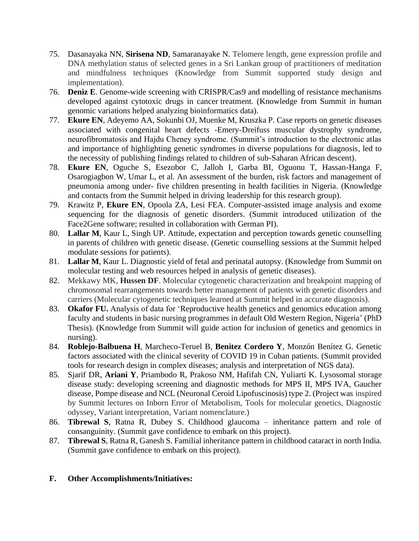- 75. Dasanayaka NN, **Sirisena ND**, Samaranayake N. Telomere length, gene expression profile and DNA methylation status of selected genes in a Sri Lankan group of practitioners of meditation and mindfulness techniques (Knowledge from Summit supported study design and implementation).
- 76. **Deniz E**. Genome-wide screening with CRISPR/Cas9 and modelling of resistance mechanisms developed against cytotoxic drugs in cancer treatment. (Knowledge from Summit in human genomic variations helped analyzing bioinformatics data).
- 77. **Ekure EN**, Adeyemo AA, Sokunbi OJ, Muenke M, Kruszka P. Case reports on genetic diseases associated with congenital heart defects -Emery-Dreifuss muscular dystrophy syndrome, neurofibromatosis and Hajdu Cheney syndrome. (Summit's introduction to the electronic atlas and importance of highlighting genetic syndromes in diverse populations for diagnosis, led to the necessity of publishing findings related to children of sub-Saharan African descent).
- 78. **Ekure EN**, Oguche S, Esezobor C, Jalloh I, Garba BI, Oguonu T, Hassan-Hanga F, Osarogiagbon W, Umar L, et al. An assessment of the burden, risk factors and management of pneumonia among under- five children presenting in health facilities in Nigeria. (Knowledge and contacts from the Summit helped in driving leadership for this research group).
- 79. Krawitz P, **Ekure EN**, Opoola ZA, Lesi FEA. Computer-assisted image analysis and exome sequencing for the diagnosis of genetic disorders. (Summit introduced utilization of the Face2Gene software; resulted in collaboration with German PI).
- 80. **Lallar M**, Kaur L, Singh UP. Attitude, expectation and perception towards genetic counselling in parents of children with genetic disease. (Genetic counselling sessions at the Summit helped modulate sessions for patients).
- 81. **Lallar M**, Kaur L. Diagnostic yield of fetal and perinatal autopsy. (Knowledge from Summit on molecular testing and web resources helped in analysis of genetic diseases).
- 82. Mekkawy MK, **Hussen DF**. Molecular cytogenetic characterization and breakpoint mapping of chromosomal rearrangements towards better management of patients with genetic disorders and carriers (Molecular cytogenetic techniques learned at Summit helped in accurate diagnosis).
- 83. **Okafor FU.** Analysis of data for 'Reproductive health genetics and genomics education among faculty and students in basic nursing programmes in default Old Western Region, Nigeria' (PhD Thesis). (Knowledge from Summit will guide action for inclusion of genetics and genomics in nursing).
- 84. **Roblejo-Balbuena H**, Marcheco-Teruel B, **Benitez Cordero Y**, Monzón Benítez G. Genetic factors associated with the clinical severity of COVID 19 in Cuban patients. (Summit provided tools for research design in complex diseases; analysis and interpretation of NGS data).
- 85. Sjarif DR, **Ariani Y**, Priambodo R, Prakoso NM, Hafifah CN, Yuliarti K. Lysosomal storage disease study: developing screening and diagnostic methods for MPS II, MPS IVA, Gaucher disease, Pompe disease and NCL (Neuronal Ceroid Lipofuscinosis) type 2. (Project was inspired by Summit lectures on Inborn Error of Metabolism, Tools for molecular genetics, Diagnostic odyssey, Variant interpretation, Variant nomenclature.)
- 86. **Tibrewal S**, Ratna R, Dubey S. Childhood glaucoma inheritance pattern and role of consanguinity. (Summit gave confidence to embark on this project).
- 87. **Tibrewal S**, Ratna R, Ganesh S. Familial inheritance pattern in childhood cataract in north India. (Summit gave confidence to embark on this project).

## **F. Other Accomplishments/Initiatives:**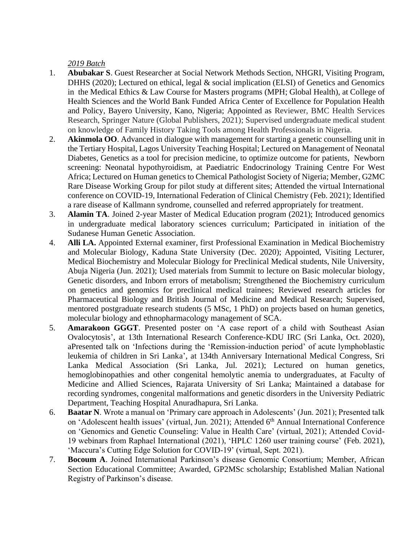- 1. **Abubakar S**. Guest Researcher at Social Network Methods Section, NHGRI, Visiting Program, DHHS (2020); Lectured on ethical, legal & social implication (ELSI) of Genetics and Genomics in the Medical Ethics & Law Course for Masters programs (MPH; Global Health), at College of Health Sciences and the World Bank Funded Africa Center of Excellence for Population Health and Policy, Bayero University, Kano, Nigeria; Appointed as Reviewer, BMC Health Services Research, Springer Nature (Global Publishers, 2021); Supervised undergraduate medical student on knowledge of Family History Taking Tools among Health Professionals in Nigeria.
- 2. **Akinmola OO**. Advanced in dialogue with management for starting a genetic counselling unit in the Tertiary Hospital, Lagos University Teaching Hospital; Lectured on Management of Neonatal Diabetes, Genetics as a tool for precision medicine, to optimize outcome for patients, Newborn screening: Neonatal hypothyroidism, at Paediatric Endocrinology Training Centre For West Africa; Lectured on Human genetics to Chemical Pathologist Society of Nigeria; Member, G2MC Rare Disease Working Group for pilot study at different sites; Attended the virtual International conference on COVID-19, International Federation of Clinical Chemistry (Feb. 2021); Identified a rare disease of Kallmann syndrome, counselled and referred appropriately for treatment.
- 3. **Alamin TA**. Joined 2-year Master of Medical Education program (2021); Introduced genomics in undergraduate medical laboratory sciences curriculum; Participated in initiation of the Sudanese Human Genetic Association.
- 4. **Alli LA.** Appointed External examiner, first Professional Examination in Medical Biochemistry and Molecular Biology, Kaduna State University (Dec. 2020); Appointed, Visiting Lecturer, Medical Biochemistry and Molecular Biology for Preclinical Medical students, Nile University, Abuja Nigeria (Jun. 2021); Used materials from Summit to lecture on Basic molecular biology, Genetic disorders, and Inborn errors of metabolism; Strengthened the Biochemistry curriculum on genetics and genomics for preclinical medical trainees; Reviewed research articles for Pharmaceutical Biology and British Journal of Medicine and Medical Research; Supervised, mentored postgraduate research students (5 MSc, 1 PhD) on projects based on human genetics, molecular biology and ethnopharmacology management of SCA.
- 5. **Amarakoon GGGT**. Presented poster on 'A case report of a child with Southeast Asian Ovalocytosis', at 13th International Research Conference-KDU IRC (Sri Lanka, Oct. 2020), aPresented talk on 'Infections during the 'Remission-induction period' of acute lymphoblastic leukemia of children in Sri Lanka', at 134th Anniversary International Medical Congress, Sri Lanka Medical Association (Sri Lanka, Jul. 2021); Lectured on human genetics, hemoglobinopathies and other congenital hemolytic anemia to undergraduates, at Faculty of Medicine and Allied Sciences, Rajarata University of Sri Lanka; Maintained a database for recording syndromes, congenital malformations and genetic disorders in the University Pediatric Department, Teaching Hospital Anuradhapura, Sri Lanka.
- 6. **Baatar N**. Wrote a manual on 'Primary care approach in Adolescents' (Jun. 2021); Presented talk on 'Adolescent health issues' (virtual, Jun. 2021); Attended 6<sup>th</sup> Annual International Conference on 'Genomics and Genetic Counseling: Value in Health Care' (virtual, 2021); Attended Covid-19 webinars from Raphael International (2021), 'HPLC 1260 user training course' (Feb. 2021), 'Maccura's Cutting Edge Solution for COVID-19' (virtual, Sept. 2021).
- 7. **Bocoum A**. Joined International Parkinson's disease Genomic Consortium; Member, African Section Educational Committee; Awarded, GP2MSc scholarship; Established Malian National Registry of Parkinson's disease.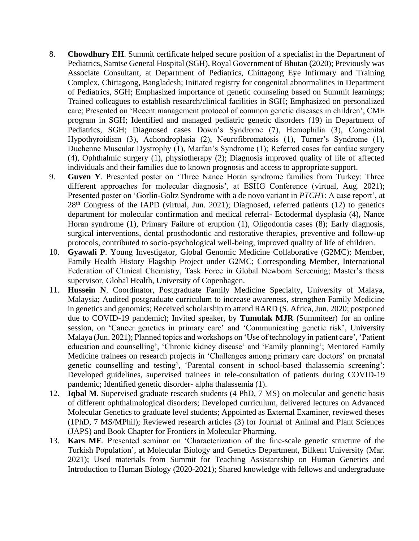- 8. **Chowdhury EH**. Summit certificate helped secure position of a specialist in the Department of Pediatrics, Samtse General Hospital (SGH), Royal Government of Bhutan (2020); Previously was Associate Consultant, at Department of Pediatrics, Chittagong Eye Infirmary and Training Complex, Chittagong, Bangladesh; Initiated registry for congenital abnormalities in Department of Pediatrics, SGH; Emphasized importance of genetic counseling based on Summit learnings; Trained colleagues to establish research/clinical facilities in SGH; Emphasized on personalized care; Presented on 'Recent management protocol of common genetic diseases in children', CME program in SGH; Identified and managed pediatric genetic disorders (19) in Department of Pediatrics, SGH; Diagnosed cases Down's Syndrome (7), Hemophilia (3), Congenital Hypothyroidism (3), Achondroplasia (2), Neurofibromatosis (1), Turner's Syndrome (1), Duchenne Muscular Dystrophy (1), Marfan's Syndrome (1); Referred cases for cardiac surgery (4), Ophthalmic surgery (1), physiotherapy (2); Diagnosis improved quality of life of affected individuals and their families due to known prognosis and access to appropriate support.
- 9. **Guven Y**. Presented poster on 'Three Nance Horan syndrome families from Turkey: Three different approaches for molecular diagnosis', at ESHG Conference (virtual, Aug. 2021); Presented poster on 'Gorlin-Goltz Syndrome with a de novo variant in *PTCH1*: A case report', at 28<sup>th</sup> Congress of the IAPD (virtual, Jun. 2021); Diagnosed, referred patients (12) to genetics department for molecular confirmation and medical referral- Ectodermal dysplasia (4), Nance Horan syndrome (1), Primary Failure of eruption (1), Oligodontia cases (8); Early diagnosis, surgical interventions, dental prosthodontic and restorative therapies, preventive and follow-up protocols, contributed to socio-psychological well-being, improved quality of life of children.
- 10. **Gyawali P**. Young Investigator, Global Genomic Medicine Collaborative (G2MC); Member, Family Health History Flagship Project under G2MC; Corresponding Member, International Federation of Clinical Chemistry, Task Force in Global Newborn Screening; Master's thesis supervisor, Global Health, University of Copenhagen.
- 11. **Hussein N**. Coordinator, Postgraduate Family Medicine Specialty, University of Malaya, Malaysia; Audited postgraduate curriculum to increase awareness, strengthen Family Medicine in genetics and genomics; Received scholarship to attend RARD (S. Africa, Jun. 2020; postponed due to COVID-19 pandemic); Invited speaker, by **Tumulak MJR** (Summiteer) for an online session, on 'Cancer genetics in primary care' and 'Communicating genetic risk', University Malaya (Jun. 2021); Planned topics and workshops on 'Use of technology in patient care', 'Patient education and counselling', 'Chronic kidney disease' and 'Family planning'; Mentored Family Medicine trainees on research projects in 'Challenges among primary care doctors' on prenatal genetic counselling and testing', 'Parental consent in school-based thalassemia screening'; Developed guidelines, supervised trainees in tele-consultation of patients during COVID-19 pandemic; Identified genetic disorder- alpha thalassemia (1).
- 12. **Iqbal M**. Supervised graduate research students (4 PhD, 7 MS) on molecular and genetic basis of different ophthalmological disorders; Developed curriculum, delivered lectures on Advanced Molecular Genetics to graduate level students; Appointed as External Examiner, reviewed theses (1PhD, 7 MS/MPhil); Reviewed research articles (3) for Journal of Animal and Plant Sciences (JAPS) and Book Chapter for Frontiers in Molecular Pharming.
- 13. **Kars ME**. Presented seminar on 'Characterization of the fine-scale genetic structure of the Turkish Population', at Molecular Biology and Genetics Department, Bilkent University (Mar. 2021); Used materials from Summit for Teaching Assistantship on Human Genetics and Introduction to Human Biology (2020-2021); Shared knowledge with fellows and undergraduate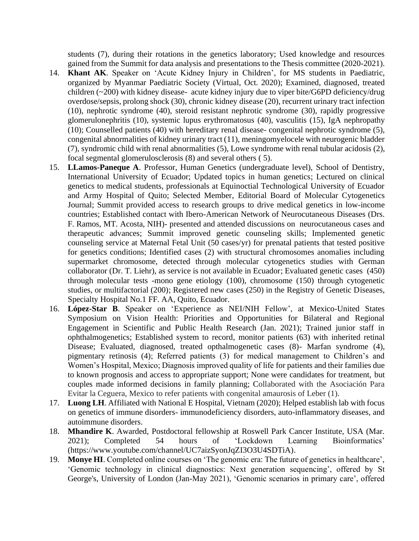students (7), during their rotations in the genetics laboratory; Used knowledge and resources gained from the Summit for data analysis and presentations to the Thesis committee (2020-2021).

- 14. **Khant AK**. Speaker on 'Acute Kidney Injury in Children', for MS students in Paediatric, organized by Myanmar Paediatric Society (Virtual, Oct. 2020); Examined, diagnosed, treated children (~200) with kidney disease- acute kidney injury due to viper bite/G6PD deficiency/drug overdose/sepsis, prolong shock (30), chronic kidney disease (20), recurrent urinary tract infection (10), nephrotic syndrome (40), steroid resistant nephrotic syndrome (30), rapidly progressive glomerulonephritis (10), systemic lupus erythromatosus (40), vasculitis (15), IgA nephropathy (10); Counselled patients (40) with hereditary renal disease- congenital nephrotic syndrome (5), congenital abnormalities of kidney urinary tract (11), meningomyelocele with neurogenic bladder (7), syndromic child with renal abnormalities (5), Lowe syndrome with renal tubular acidosis (2), focal segmental glomerulosclerosis (8) and several others ( 5).
- 15. **LLamos-Paneque A**. Professor, Human Genetics (undergraduate level), School of Dentistry, International University of Ecuador; Updated topics in human genetics; Lectured on clinical genetics to medical students, professionals at Equinoctial Technological University of Ecuador and Army Hospital of Quito; Selected Member, Editorial Board of Molecular Cytogenetics Journal; Summit provided access to research groups to drive medical genetics in low-income countries; Established contact with Ibero-American Network of Neurocutaneous Diseases (Drs. F. Ramos, MT. Acosta, NIH)- presented and attended discussions on neurocutaneous cases and therapeutic advances; Summit improved genetic counseling skills; Implemented genetic counseling service at Maternal Fetal Unit (50 cases/yr) for prenatal patients that tested positive for genetics conditions; Identified cases (2) with structural chromosomes anomalies including supermarket chromosome, detected through molecular cytogenetics studies with German collaborator (Dr. T. Liehr), as service is not available in Ecuador; Evaluated genetic cases (450) through molecular tests -mono gene etiology (100), chromosome (150) through cytogenetic studies, or multifactorial (200); Registered new cases (250) in the Registry of Genetic Diseases, Specialty Hospital No.1 FF. AA, Quito, Ecuador.
- 16. **López-Star B**. Speaker on 'Experience as NEI/NIH Fellow', at Mexico-United States Symposium on Vision Health: Priorities and Opportunities for Bilateral and Regional Engagement in Scientific and Public Health Research (Jan. 2021); Trained junior staff in ophthalmogenetics; Established system to record, monitor patients (63) with inherited retinal Disease; Evaluated, diagnosed, treated opthalmogenetic cases (8)- Marfan syndrome (4), pigmentary retinosis (4); Referred patients (3) for medical management to Children's and Women's Hospital, Mexico; Diagnosis improved quality of life for patients and their families due to known prognosis and access to appropriate support; None were candidates for treatment, but couples made informed decisions in family planning; Collaborated with the Asociación Para Evitar la Ceguera, Mexico to refer patients with congenital amaurosis of Leber (1).
- 17. **Luong LH**. Affiliated with National E Hospital, Vietnam (2020); Helped establish lab with focus on genetics of immune disorders- immunodeficiency disorders, auto-inflammatory diseases, and autoimmune disorders.
- 18. **Mhandire K**. Awarded, Postdoctoral fellowship at Roswell Park Cancer Institute, USA (Mar. 2021); Completed 54 hours of 'Lockdown Learning Bioinformatics' (https://www.youtube.com/channel/UC7aizSyonJqZI3O3U4SDTiA).
- 19. **Monye HI**. Completed online courses on 'The genomic era: The future of genetics in healthcare', 'Genomic technology in clinical diagnostics: Next generation sequencing', offered by St George's, University of London (Jan-May 2021), 'Genomic scenarios in primary care', offered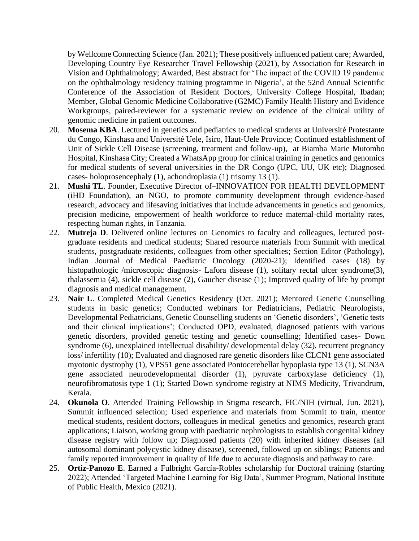by Wellcome Connecting Science (Jan. 2021); These positively influenced patient care; Awarded, Developing Country Eye Researcher Travel Fellowship (2021), by Association for Research in Vision and Ophthalmology; Awarded, Best abstract for 'The impact of the COVID 19 pandemic on the ophthalmology residency training programme in Nigeria', at the 52nd Annual Scientific Conference of the Association of Resident Doctors, University College Hospital, Ibadan; Member, Global Genomic Medicine Collaborative (G2MC) Family Health History and Evidence Workgroups, paired-reviewer for a systematic review on evidence of the clinical utility of genomic medicine in patient outcomes.

- 20. **Mosema KBA**. Lectured in genetics and pediatrics to medical students at Université Protestante du Congo, Kinshasa and Université Uele, Isiro, Haut-Uele Province; Continued establishment of Unit of Sickle Cell Disease (screening, treatment and follow-up), at Biamba Marie Mutombo Hospital, Kinshasa City; Created a WhatsApp group for clinical training in genetics and genomics for medical students of several universities in the DR Congo (UPC, UU, UK etc); Diagnosed cases- holoprosencephaly (1), achondroplasia (1) trisomy 13 (1).
- 21. **Mushi TL**. Founder, Executive Director of–INNOVATION FOR HEALTH DEVELOPMENT (iHD Foundation), an NGO, to promote community development through evidence-based research, advocacy and lifesaving initiatives that include advancements in genetics and genomics, precision medicine, empowerment of health workforce to reduce maternal-child mortality rates, respecting human rights, in Tanzania.
- 22. **Mutreja D**. Delivered online lectures on Genomics to faculty and colleagues, lectured postgraduate residents and medical students; Shared resource materials from Summit with medical students, postgraduate residents, colleagues from other specialties; Section Editor (Pathology), Indian Journal of Medical Paediatric Oncology (2020-21); Identified cases (18) by histopathologic /microscopic diagnosis- Lafora disease (1), solitary rectal ulcer syndrome(3), thalassemia (4), sickle cell disease (2), Gaucher disease (1); Improved quality of life by prompt diagnosis and medical management.
- 23. **Nair L**. Completed Medical Genetics Residency (Oct. 2021); Mentored Genetic Counselling students in basic genetics; Conducted webinars for Pediatricians, Pediatric Neurologists, Developmental Pediatricians, Genetic Counselling students on 'Genetic disorders', 'Genetic tests and their clinical implications'; Conducted OPD, evaluated, diagnosed patients with various genetic disorders, provided genetic testing and genetic counselling; Identified cases- Down syndrome (6), unexplained intellectual disability/ developmental delay (32), recurrent pregnancy loss/ infertility (10); Evaluated and diagnosed rare genetic disorders like CLCN1 gene associated myotonic dystrophy (1), VPS51 gene associated Pontocerebellar hypoplasia type 13 (1), SCN3A gene associated neurodevelopmental disorder (1), pyruvate carboxylase deficiency (1), neurofibromatosis type 1 (1); Started Down syndrome registry at NIMS Medicity, Trivandrum, Kerala.
- 24. **Okunola O**. Attended Training Fellowship in Stigma research, FIC/NIH (virtual, Jun. 2021), Summit influenced selection; Used experience and materials from Summit to train, mentor medical students, resident doctors, colleagues in medical genetics and genomics, research grant applications; Liaison, working group with paediatric nephrologists to establish congenital kidney disease registry with follow up; Diagnosed patients (20) with inherited kidney diseases (all autosomal dominant polycystic kidney disease), screened, followed up on siblings; Patients and family reported improvement in quality of life due to accurate diagnosis and pathway to care.
- 25. **Ortiz-Panozo E**. Earned a Fulbright García-Robles scholarship for Doctoral training (starting 2022); Attended 'Targeted Machine Learning for Big Data', Summer Program, National Institute of Public Health, Mexico (2021).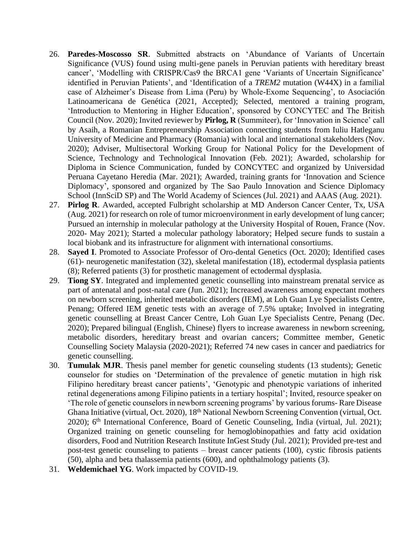- 26. **Paredes-Moscosso SR**. Submitted abstracts on 'Abundance of Variants of Uncertain Significance (VUS) found using multi-gene panels in Peruvian patients with hereditary breast cancer', 'Modelling with CRISPR/Cas9 the BRCA1 gene 'Variants of Uncertain Significance' identified in Peruvian Patients', and 'Identification of a *TREM2* mutation (W44X) in a familial case of Alzheimer's Disease from Lima (Peru) by Whole-Exome Sequencing', to Asociación Latinoamericana de Genética (2021, Accepted); Selected, mentored a training program, 'Introduction to Mentoring in Higher Education', sponsored by CONCYTEC and The British Council (Nov. 2020); Invited reviewer by **Pîrlog, R** (Summiteer), for 'Innovation in Science' call by Asaih, a Romanian Entrepreneurship Association connecting students from Iuliu Hatleganu University of Medicine and Pharmacy (Romania) with local and international stakeholders (Nov. 2020); Adviser, Multisectoral Working Group for National Policy for the Development of Science, Technology and Technological Innovation (Feb. 2021); Awarded, scholarship for Diploma in Science Communication, funded by CONCYTEC and organized by Universidad Peruana Cayetano Heredia (Mar. 2021); Awarded, training grants for 'Innovation and Science Diplomacy', sponsored and organized by The Sao Paulo Innovation and Science Diplomacy School (InnSciD SP) and The World Academy of Sciences (Jul. 2021) and AAAS (Aug. 2021).
- 27. **Pirlog R**. Awarded, accepted Fulbright scholarship at MD Anderson Cancer Center, Tx, USA (Aug. 2021) for research on role of tumor microenvironment in early development of lung cancer; Pursued an internship in molecular pathology at the University Hospital of Rouen, France (Nov. 2020- May 2021); Started a molecular pathology laboratory; Helped secure funds to sustain a local biobank and its infrastructure for alignment with international consortiums.
- 28. **Sayed I**. Promoted to Associate Professor of Oro-dental Genetics (Oct. 2020); Identified cases (61)- neurogenetic manifestation (32), skeletal manifestation (18), ectodermal dysplasia patients (8); Referred patients (3) for prosthetic management of ectodermal dysplasia.
- 29. **Tiong SY**. Integrated and implemented genetic counselling into mainstream prenatal service as part of antenatal and post-natal care (Jun. 2021); Increased awareness among expectant mothers on newborn screening, inherited metabolic disorders (IEM), at Loh Guan Lye Specialists Centre, Penang; Offered IEM genetic tests with an average of 7.5% uptake; Involved in integrating genetic counselling at Breast Cancer Centre, Loh Guan Lye Specialists Centre, Penang (Dec. 2020); Prepared bilingual (English, Chinese) flyers to increase awareness in newborn screening, metabolic disorders, hereditary breast and ovarian cancers; Committee member, Genetic Counselling Society Malaysia (2020-2021); Referred 74 new cases in cancer and paediatrics for genetic counselling.
- 30. **Tumulak MJR**. Thesis panel member for genetic counseling students (13 students); Genetic counselor for studies on 'Determination of the prevalence of genetic mutation in high risk Filipino hereditary breast cancer patients', 'Genotypic and phenotypic variations of inherited retinal degenerations among Filipino patients in a tertiary hospital'; Invited, resource speaker on 'The role of genetic counselors in newborn screening programs' by various forums- Rare Disease Ghana Initiative (virtual, Oct. 2020), 18th National Newborn Screening Convention (virtual, Oct. 2020); 6<sup>th</sup> International Conference, Board of Genetic Counseling, India (virtual, Jul. 2021); Organized training on genetic counseling for hemoglobinopathies and fatty acid oxidation disorders, Food and Nutrition Research Institute InGest Study (Jul. 2021); Provided pre-test and post-test genetic counseling to patients – breast cancer patients (100), cystic fibrosis patients (50), alpha and beta thalassemia patients (600), and ophthalmology patients (3).
- 31. **Weldemichael YG**. Work impacted by COVID-19.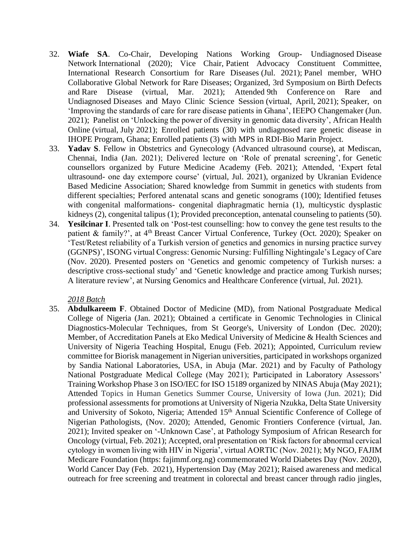- 32. **Wiafe SA**. Co-Chair, Developing Nations Working Group- Undiagnosed Disease Network International (2020); Vice Chair, Patient Advocacy Constituent Committee, International Research Consortium for Rare Diseases (Jul. 2021); Panel member, WHO Collaborative Global Network for Rare Diseases; Organized, 3rd Symposium on Birth Defects and Rare Disease (virtual, Mar. 2021); Attended 9th Conference on Rare and Undiagnosed Diseases and Mayo Clinic Science Session (virtual, April, 2021); Speaker, on 'Improving the standards of care for rare disease patients in Ghana', IEEPO Changemaker (Jun. 2021); Panelist on 'Unlocking the power of diversity in genomic data diversity', African Health Online (virtual, July 2021); Enrolled patients (30) with undiagnosed rare genetic disease in IHOPE Program, Ghana; Enrolled patients (3) with MPS in RDI-Bio Marin Project.
- 33. **Yadav S**. Fellow in Obstetrics and Gynecology (Advanced ultrasound course), at Mediscan, Chennai, India (Jan. 2021); Delivered lecture on 'Role of prenatal screening', for Genetic counsellors organized by Future Medicine Academy (Feb. 2021); Attended, 'Expert fetal ultrasound- one day extempore course' (virtual, Jul. 2021), organized by Ukranian Evidence Based Medicine Association; Shared knowledge from Summit in genetics with students from different specialties; Perfored antenatal scans and genetic sonograms (100); Identified fetuses with congenital malformations- congenital diaphragmatic hernia (1), multicystic dysplastic kidneys (2), congenital talipus (1); Provided preconception, antenatal counseling to patients (50).
- 34. **Yesilcinar I**. Presented talk on 'Post-test counselling: how to convey the gene test results to the patient & family?', at 4th Breast Cancer Virtual Conference, Turkey (Oct. 2020); Speaker on 'Test/Retest reliability of a Turkish version of genetics and genomics in nursing practice survey (GGNPS)', ISONG virtual Congress: Genomic Nursing: Fulfilling Nightingale's Legacy of Care (Nov. 2020). Presented posters on 'Genetics and genomic competency of Turkish nurses: a descriptive cross-sectional study' and 'Genetic knowledge and practice among Turkish nurses; A literature review', at Nursing Genomics and Healthcare Conference (virtual, Jul. 2021).

35. **Abdulkareem F**. Obtained Doctor of Medicine (MD), from National Postgraduate Medical College of Nigeria (Jan. 2021); Obtained a certificate in Genomic Technologies in Clinical Diagnostics-Molecular Techniques, from St George's, University of London (Dec. 2020); Member, of Accreditation Panels at Eko Medical University of Medicine & Health Sciences and University of Nigeria Teaching Hospital, Enugu (Feb. 2021); Appointed, Curriculum review committee for Biorisk management in Nigerian universities, participated in workshops organized by Sandia National Laboratories, USA, in Abuja (Mar. 2021) and by Faculty of Pathology National Postgraduate Medical College (May 2021); Participated in Laboratory Assessors' Training Workshop Phase 3 on ISO/IEC for ISO 15189 organized by NINAS Abuja (May 2021); Attended Topics in Human Genetics Summer Course, University of Iowa (Jun. 2021); Did professional assessments for promotions at University of Nigeria Nzukka, Delta State University and University of Sokoto, Nigeria; Attended 15<sup>th</sup> Annual Scientific Conference of College of Nigerian Pathologists, (Nov. 2020); Attended, Genomic Frontiers Conference (virtual, Jan. 2021); Invited speaker on '-Unknown Case', at Pathology Symposium of African Research for Oncology (virtual, Feb. 2021); Accepted, oral presentation on 'Risk factors for abnormal cervical cytology in women living with HIV in Nigeria', virtual AORTIC (Nov. 2021); My NGO, FAJIM Medicare Foundation (https: fajimmf.org.ng) commemorated World Diabetes Day (Nov. 2020), World Cancer Day (Feb. 2021), Hypertension Day (May 2021); Raised awareness and medical outreach for free screening and treatment in colorectal and breast cancer through radio jingles,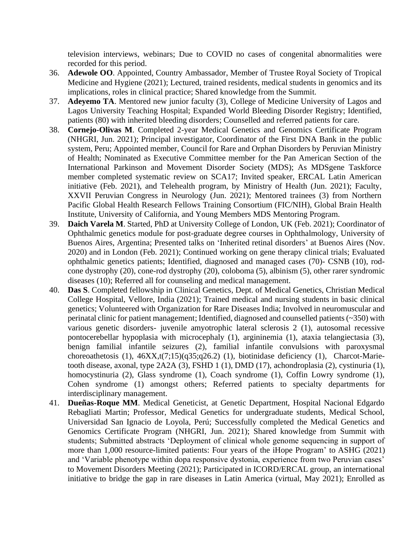television interviews, webinars; Due to COVID no cases of congenital abnormalities were recorded for this period.

- 36. **Adewole OO**. Appointed, Country Ambassador, Member of Trustee Royal Society of Tropical Medicine and Hygiene (2021); Lectured, trained residents, medical students in genomics and its implications, roles in clinical practice; Shared knowledge from the Summit.
- 37. **Adeyemo TA**. Mentored new junior faculty (3), College of Medicine University of Lagos and Lagos University Teaching Hospital; Expanded World Bleeding Disorder Registry; Identified, patients (80) with inherited bleeding disorders; Counselled and referred patients for care.
- 38. **Cornejo-Olivas M**. Completed 2-year Medical Genetics and Genomics Certificate Program (NHGRI, Jun. 2021); Principal investigator, Coordinator of the First DNA Bank in the public system, Peru; Appointed member, Council for Rare and Orphan Disorders by Peruvian Ministry of Health; Nominated as Executive Committee member for the Pan American Section of the International Parkinson and Movement Disorder Society (MDS); As MDSgene Taskforce member completed systematic review on SCA17; Invited speaker, ERCAL Latin American initiative (Feb. 2021), and Telehealth program, by Ministry of Health (Jun. 2021); Faculty, XXVII Peruvian Congress in Neurology (Jun. 2021); Mentored trainees (3) from Northern Pacific Global Health Research Fellows Training Consortium (FIC/NIH), Global Brain Health Institute, University of California, and Young Members MDS Mentoring Program.
- 39. **Daich Varela M**. Started, PhD at University College of London, UK (Feb. 2021); Coordinator of Ophthalmic genetics module for post-graduate degree courses in Ophthalmology, University of Buenos Aires, Argentina; Presented talks on 'Inherited retinal disorders' at Buenos Aires (Nov. 2020) and in London (Feb. 2021); Continued working on gene therapy clinical trials; Evaluated ophthalmic genetics patients; Identified, diagnosed and managed cases (70)- CSNB (10), rodcone dystrophy (20), cone-rod dystrophy (20), coloboma (5), albinism (5), other rarer syndromic diseases (10); Referred all for counseling and medical management.
- 40. **Das S**. Completed fellowship in Clinical Genetics, Dept. of Medical Genetics, Christian Medical College Hospital, Vellore, India (2021); Trained medical and nursing students in basic clinical genetics; Volunteered with Organization for Rare Diseases India; Involved in neuromuscular and perinatal clinic for patient management; Identified, diagnosed and counselled patients (~350) with various genetic disorders- juvenile amyotrophic lateral sclerosis 2 (1), autosomal recessive pontocerebellar hypoplasia with microcephaly (1), argininemia (1), ataxia telangiectasia (3), benign familial infantile seizures (2), familial infantile convulsions with paroxysmal choreoathetosis (1),  $46XX,t(7;15)(q35;q26.2)$  (1), biotinidase deficiency (1), Charcot-Marietooth disease, axonal, type 2A2A (3), FSHD 1 (1), DMD (17), achondroplasia (2), cystinuria (1), homocystinuria (2), Glass syndrome (1), Coach syndrome (1), Coffin Lowry syndrome (1), Cohen syndrome (1) amongst others; Referred patients to specialty departments for interdisciplinary management.
- 41. **Dueñas-Roque MM**. Medical Geneticist, at Genetic Department, Hospital Nacional Edgardo Rebagliati Martin; Professor, Medical Genetics for undergraduate students, Medical School, Universidad San Ignacio de Loyola, Perú; Successfully completed the Medical Genetics and Genomics Certificate Program (NHGRI, Jun. 2021); Shared knowledge from Summit with students; Submitted abstracts 'Deployment of clinical whole genome sequencing in support of more than 1,000 resource-limited patients: Four years of the iHope Program' to ASHG (2021) and 'Variable phenotype within dopa responsive dystonia, experience from two Peruvian cases' to Movement Disorders Meeting (2021); Participated in ICORD/ERCAL group, an international initiative to bridge the gap in rare diseases in Latin America (virtual, May 2021); Enrolled as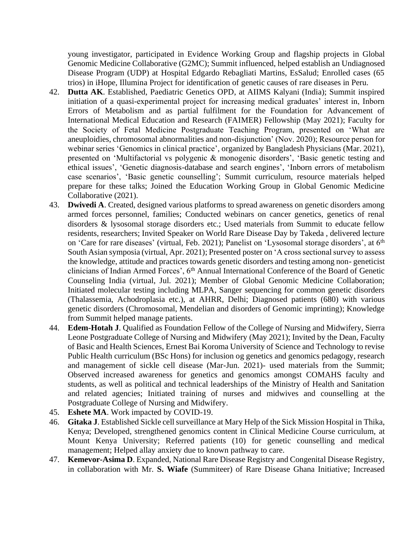young investigator, participated in Evidence Working Group and flagship projects in Global Genomic Medicine Collaborative (G2MC); Summit influenced, helped establish an Undiagnosed Disease Program (UDP) at Hospital Edgardo Rebagliati Martins, EsSalud; Enrolled cases (65 trios) in iHope, Illumina Project for identification of genetic causes of rare diseases in Peru.

- 42. **Dutta AK**. Established, Paediatric Genetics OPD, at AIIMS Kalyani (India); Summit inspired initiation of a quasi-experimental project for increasing medical graduates' interest in, Inborn Errors of Metabolism and as partial fulfilment for the Foundation for Advancement of International Medical Education and Research (FAIMER) Fellowship (May 2021); Faculty for the Society of Fetal Medicine Postgraduate Teaching Program, presented on 'What are aneuploidies, chromosomal abnormalities and non-disjunction' (Nov. 2020); Resource person for webinar series 'Genomics in clinical practice', organized by Bangladesh Physicians (Mar. 2021), presented on 'Multifactorial vs polygenic & monogenic disorders', 'Basic genetic testing and ethical issues', 'Genetic diagnosis-database and search engines', 'Inborn errors of metabolism case scenarios', 'Basic genetic counselling'; Summit curriculum, resource materials helped prepare for these talks; Joined the Education Working Group in Global Genomic Medicine Collaborative (2021).
- 43. **Dwivedi A**. Created, designed various platforms to spread awareness on genetic disorders among armed forces personnel, families; Conducted webinars on cancer genetics, genetics of renal disorders & lysosomal storage disorders etc.; Used materials from Summit to educate fellow residents, researchers; Invited Speaker on World Rare Disease Day by Takeda , delivered lecture on 'Care for rare diseases' (virtual, Feb. 2021); Panelist on 'Lysosomal storage disorders', at 6<sup>th</sup> South Asian symposia (virtual, Apr. 2021); Presented poster on 'A cross sectional survey to assess the knowledge, attitude and practices towards genetic disorders and testing among non- geneticist clinicians of Indian Armed Forces', 6th Annual International Conference of the Board of Genetic Counseling India (virtual, Jul. 2021); Member of Global Genomic Medicine Collaboration; Initiated molecular testing including MLPA, Sanger sequencing for common genetic disorders (Thalassemia, Achodroplasia etc.), at AHRR, Delhi; Diagnosed patients (680) with various genetic disorders (Chromosomal, Mendelian and disorders of Genomic imprinting); Knowledge from Summit helped manage patients.
- 44. **Edem-Hotah J**. Qualified as Foundation Fellow of the College of Nursing and Midwifery, Sierra Leone Postgraduate College of Nursing and Midwifery (May 2021); Invited by the Dean, Faculty of Basic and Health Sciences, Ernest Bai Koroma University of Science and Technology to revise Public Health curriculum (BSc Hons) for inclusion og genetics and genomics pedagogy, research and management of sickle cell disease (Mar-Jun. 2021)- used materials from the Summit; Observed increased awareness for genetics and genomics amongst COMAHS faculty and students, as well as political and technical leaderships of the Ministry of Health and Sanitation and related agencies; Initiated training of nurses and midwives and counselling at the Postgraduate College of Nursing and Midwifery.
- 45. **Eshete MA**. Work impacted by COVID-19.
- 46. **Gitaka J**. Established Sickle cell surveillance at Mary Help of the Sick Mission Hospital in Thika, Kenya; Developed, strengthened genomics content in Clinical Medicine Course curriculum, at Mount Kenya University; Referred patients (10) for genetic counselling and medical management; Helped allay anxiety due to known pathway to care.
- 47. **Kemevor-Asima D**. Expanded, National Rare Disease Registry and Congenital Disease Registry, in collaboration with Mr. **S. Wiafe** (Summiteer) of Rare Disease Ghana Initiative; Increased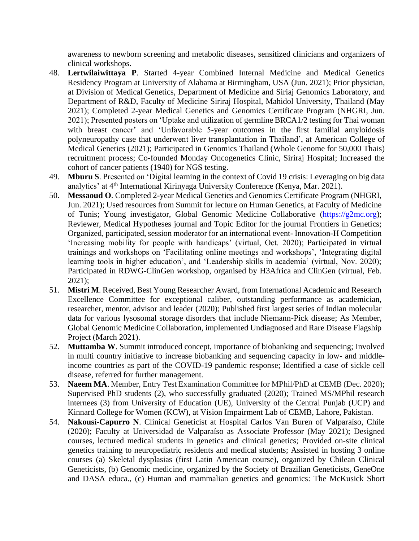awareness to newborn screening and metabolic diseases, sensitized clinicians and organizers of clinical workshops.

- 48. **Lertwilaiwittaya P**. Started 4-year Combined Internal Medicine and Medical Genetics Residency Program at University of Alabama at Birmingham, USA (Jun. 2021); Prior physician, at Division of Medical Genetics, Department of Medicine and Siriaj Genomics Laboratory, and Department of R&D, Faculty of Medicine Siriraj Hospital, Mahidol University, Thailand (May 2021); Completed 2-year Medical Genetics and Genomics Certificate Program (NHGRI, Jun. 2021); Presented posters on 'Uptake and utilization of germline BRCA1/2 testing for Thai woman with breast cancer' and 'Unfavorable 5-year outcomes in the first familial amyloidosis polyneuropathy case that underwent liver transplantation in Thailand', at American College of Medical Genetics (2021); Participated in Genomics Thailand (Whole Genome for 50,000 Thais) recruitment process; Co-founded Monday Oncogenetics Clinic, Siriraj Hospital; Increased the cohort of cancer patients (1940) for NGS testing.
- 49. **Mburu S**. Presented on 'Digital learning in the context of Covid 19 crisis: Leveraging on big data analytics' at 4th International Kirinyaga University Conference (Kenya, Mar. 2021).
- 50. **Messaoud O**. Completed 2-year Medical Genetics and Genomics Certificate Program (NHGRI, Jun. 2021); Used resources from Summit for lecture on Human Genetics, at Faculty of Medicine of Tunis; Young investigator, Global Genomic Medicine Collaborative [\(https://g2mc.org\)](https://g2mc.org/); Reviewer, Medical Hypotheses journal and Topic Editor for the journal Frontiers in Genetics; Organized, participated, session moderator for an international event- Innovation-H Competition 'Increasing mobility for people with handicaps' (virtual, Oct. 2020); Participated in virtual trainings and workshops on 'Facilitating online meetings and workshops', 'Integrating digital learning tools in higher education', and 'Leadership skills in academia' (virtual, Nov. 2020); Participated in RDWG-ClinGen workshop, organised by H3Africa and ClinGen (virtual, Feb. 2021);
- 51. **Mistri M**. Received, Best Young Researcher Award, from International Academic and Research Excellence Committee for exceptional caliber, outstanding performance as academician, researcher, mentor, advisor and leader (2020); Published first largest series of Indian molecular data for various lysosomal storage disorders that include Niemann-Pick disease; As Member, Global Genomic Medicine Collaboration, implemented Undiagnosed and Rare Disease Flagship Project (March 2021).
- 52. **Muttamba W**. Summit introduced concept, importance of biobanking and sequencing; Involved in multi country initiative to increase biobanking and sequencing capacity in low- and middleincome countries as part of the COVID-19 pandemic response; Identified a case of sickle cell disease, referred for further management.
- 53. **Naeem MA**. Member, Entry Test Examination Committee for MPhil/PhD at CEMB (Dec. 2020); Supervised PhD students (2), who successfully graduated (2020); Trained MS/MPhil research internees (3) from University of Education (UE), University of the Central Punjab (UCP) and Kinnard College for Women (KCW), at Vision Impairment Lab of CEMB, Lahore, Pakistan.
- 54. **Nakousi-Capurro N**. Clinical Geneticist at Hospital Carlos Van Buren of Valparaíso, Chile (2020); Faculty at Universidad de Valparaíso as Associate Professor (May 2021); Designed courses, lectured medical students in genetics and clinical genetics; Provided on-site clinical genetics training to neuropediatric residents and medical students; Assisted in hosting 3 online courses (a) Skeletal dysplasias (first Latin American course), organized by Chilean Clinical Geneticists, (b) Genomic medicine, organized by the Society of Brazilian Geneticists, GeneOne and DASA educa., (c) Human and mammalian genetics and genomics: The McKusick Short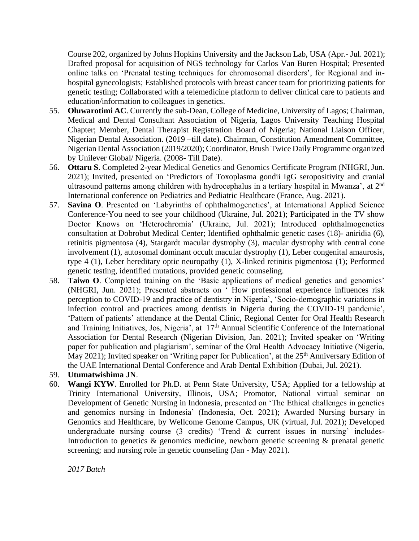Course 202, organized by Johns Hopkins University and the Jackson Lab, USA (Apr.- Jul. 2021); Drafted proposal for acquisition of NGS technology for Carlos Van Buren Hospital; Presented online talks on 'Prenatal testing techniques for chromosomal disorders', for Regional and inhospital gynecologists; Established protocols with breast cancer team for prioritizing patients for genetic testing; Collaborated with a telemedicine platform to deliver clinical care to patients and education/information to colleagues in genetics.

- 55. **Oluwarotimi AC**. Currently the sub-Dean, College of Medicine, University of Lagos; Chairman, Medical and Dental Consultant Association of Nigeria, Lagos University Teaching Hospital Chapter; Member, Dental Therapist Registration Board of Nigeria; National Liaison Officer, Nigerian Dental Association. (2019 –till date). Chairman, Constitution Amendment Committee, Nigerian Dental Association (2019/2020); Coordinator, Brush Twice Daily Programme organized by Unilever Global/ Nigeria. (2008- Till Date).
- 56. **Ottaru S**. Completed 2-year Medical Genetics and Genomics Certificate Program (NHGRI, Jun. 2021); Invited, presented on 'Predictors of Toxoplasma gondii IgG seropositivity and cranial ultrasound patterns among children with hydrocephalus in a tertiary hospital in Mwanza', at 2<sup>nd</sup> International conference on Pediatrics and Pediatric Healthcare (France, Aug. 2021).
- 57. **Savina O**. Presented on 'Labyrinths of ophthalmogenetics', at International Applied Science Conference-You need to see your childhood (Ukraine, Jul. 2021); Participated in the TV show Doctor Knows on 'Heterochromia' (Ukraine, Jul. 2021); Introduced ophthalmogenetics consultation at Dobrobut Medical Center; Identified ophthalmic genetic cases (18)- aniridia (6), retinitis pigmentosa (4), Stargardt macular dystrophy (3), macular dystrophy with central cone involvement (1), autosomal dominant occult macular dystrophy (1), Leber congenital amaurosis, type 4 (1), Leber hereditary optic neuropathy (1), X-linked retinitis pigmentosa (1); Performed genetic testing, identified mutations, provided genetic counseling.
- 58. **Taiwo O**. Completed training on the 'Basic applications of medical genetics and genomics' (NHGRI, Jun. 2021); Presented abstracts on ' How professional experience influences risk perception to COVID-19 and practice of dentistry in Nigeria', 'Socio-demographic variations in infection control and practices among dentists in Nigeria during the COVID-19 pandemic', 'Pattern of patients' attendance at the Dental Clinic, Regional Center for Oral Health Research and Training Initiatives, Jos, Nigeria', at 17<sup>th</sup> Annual Scientific Conference of the International Association for Dental Research (Nigerian Division, Jan. 2021); Invited speaker on 'Writing paper for publication and plagiarism', seminar of the Oral Health Advocacy Initiative (Nigeria, May 2021); Invited speaker on 'Writing paper for Publication', at the 25<sup>th</sup> Anniversary Edition of the UAE International Dental Conference and Arab Dental Exhibition (Dubai, Jul. 2021).
- 59. **Utumatwishima JN**.
- 60. **Wangi KYW**. Enrolled for Ph.D. at Penn State University, USA; Applied for a fellowship at Trinity International University, Illinois, USA; Promotor, National virtual seminar on Development of Genetic Nursing in Indonesia, presented on 'The Ethical challenges in genetics and genomics nursing in Indonesia' (Indonesia, Oct. 2021); Awarded Nursing bursary in Genomics and Healthcare, by Wellcome Genome Campus, UK (virtual, Jul. 2021); Developed undergraduate nursing course (3 credits) 'Trend & current issues in nursing' includes-Introduction to genetics & genomics medicine, newborn genetic screening & prenatal genetic screening; and nursing role in genetic counseling (Jan - May 2021).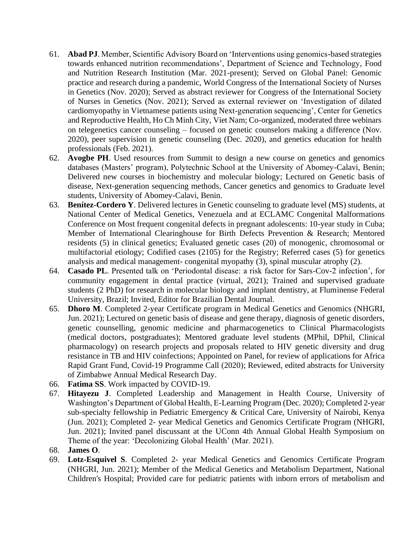- 61. **Abad PJ**. Member, Scientific Advisory Board on 'Interventions using genomics-based strategies towards enhanced nutrition recommendations', Department of Science and Technology, Food and Nutrition Research Institution (Mar. 2021-present); Served on Global Panel: Genomic practice and research during a pandemic, World Congress of the International Society of Nurses in Genetics (Nov. 2020); Served as abstract reviewer for Congress of the International Society of Nurses in Genetics (Nov. 2021); Served as external reviewer on 'Investigation of dilated cardiomyopathy in Vietnamese patients using Next-generation sequencing', Center for Genetics and Reproductive Health, Ho Ch Minh City, Viet Nam; Co-organized, moderated three webinars on telegenetics cancer counseling – focused on genetic counselors making a difference (Nov. 2020), peer supervision in genetic counseling (Dec. 2020), and genetics education for health professionals (Feb. 2021).
- 62. **Avogbe PH**. Used resources from Summit to design a new course on genetics and genomics databases (Masters' program), Polytechnic School at the University of Abomey-Calavi, Benin; Delivered new courses in biochemistry and molecular biology; Lectured on Genetic basis of disease, Next-generation sequencing methods, Cancer genetics and genomics to Graduate level students, University of Abomey-Calavi, Benin.
- 63. **Benítez-Cordero Y**. Delivered lectures in Genetic counseling to graduate level (MS) students, at National Center of Medical Genetics, Venezuela and at ECLAMC Congenital Malformations Conference on Most frequent congenital defects in pregnant adolescents: 10-year study in Cuba; Member of International Clearinghouse for Birth Defects Prevention & Research; Mentored residents (5) in clinical genetics; Evaluated genetic cases (20) of monogenic, chromosomal or multifactorial etiology; Codified cases (2105) for the Registry; Referred cases (5) for genetics analysis and medical management- congenital myopathy (3), spinal muscular atrophy (2).
- 64. **Casado PL**. Presented talk on 'Periodontal disease: a risk factor for Sars-Cov-2 infection', for community engagement in dental practice (virtual, 2021); Trained and supervised graduate students (2 PhD) for research in molecular biology and implant dentistry, at Fluminense Federal University, Brazil; Invited, Editor for Brazilian Dental Journal.
- 65. **Dhoro M**. Completed 2-year Certificate program in Medical Genetics and Genomics (NHGRI, Jun. 2021); Lectured on genetic basis of disease and gene therapy, diagnosis of genetic disorders, genetic counselling, genomic medicine and pharmacogenetics to Clinical Pharmacologists (medical doctors, postgraduates); Mentored graduate level students (MPhil, DPhil, Clinical pharmacology) on research projects and proposals related to HIV genetic diversity and drug resistance in TB and HIV coinfections; Appointed on Panel, for review of applications for Africa Rapid Grant Fund, Covid-19 Programme Call (2020); Reviewed, edited abstracts for University of Zimbabwe Annual Medical Research Day.
- 66. **Fatima SS**. Work impacted by COVID-19.
- 67. **Hitayezu J**. Completed Leadership and Management in Health Course, University of Washington's Department of Global Health, E-Learning Program (Dec. 2020); Completed 2-year sub-specialty fellowship in Pediatric Emergency & Critical Care, University of Nairobi, Kenya (Jun. 2021); Completed 2- year Medical Genetics and Genomics Certificate Program (NHGRI, Jun. 2021); Invited panel discussant at the UConn 4th Annual Global Health Symposium on Theme of the year: 'Decolonizing Global Health' (Mar. 2021).
- 68. **James O**.
- 69. **Lotz-Esquivel S**. Completed 2- year Medical Genetics and Genomics Certificate Program (NHGRI, Jun. 2021); Member of the Medical Genetics and Metabolism Department, National Children's Hospital; Provided care for pediatric patients with inborn errors of metabolism and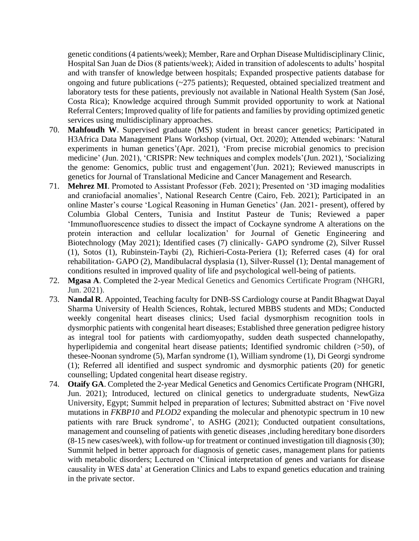genetic conditions (4 patients/week); Member, Rare and Orphan Disease Multidisciplinary Clinic, Hospital San Juan de Dios (8 patients/week); Aided in transition of adolescents to adults' hospital and with transfer of knowledge between hospitals; Expanded prospective patients database for ongoing and future publications (~275 patients); Requested, obtained specialized treatment and laboratory tests for these patients, previously not available in National Health System (San José, Costa Rica); Knowledge acquired through Summit provided opportunity to work at National Referral Centers; Improved quality of life for patients and families by providing optimized genetic services using multidisciplinary approaches.

- 70. **Mahfoudh W**. Supervised graduate (MS) student in breast cancer genetics; Participated in H3Africa Data Management Plans Workshop (virtual, Oct. 2020); Attended webinars: 'Natural experiments in human genetics'(Apr. 2021), 'From precise microbial genomics to precision medicine' (Jun. 2021), 'CRISPR: New techniques and complex models'(Jun. 2021), 'Socializing the genome: Genomics, public trust and engagement'(Jun. 2021); Reviewed manuscripts in genetics for Journal of Translational Medicine and Cancer Management and Research.
- 71. **Mehrez MI**. Promoted to Assistant Professor (Feb. 2021); Presented on '3D imaging modalities and craniofacial anomalies', National Research Centre (Cairo, Feb. 2021); Participated in an online Master's course 'Logical Reasoning in Human Genetics' (Jan. 2021- present), offered by Columbia Global Centers, Tunisia and Institut Pasteur de Tunis; Reviewed a paper 'Immunofluorescence studies to dissect the impact of Cockayne syndrome A alterations on the protein interaction and cellular localization' for Journal of Genetic Engineering and Biotechnology (May 2021); Identified cases (7) clinically- GAPO syndrome (2), Silver Russel (1), Sotos (1), Rubinstein-Taybi (2), Richieri-Costa-Periera (1); Referred cases (4) for oral rehabilitation- GAPO (2), Mandibulacral dysplasia (1), Silver-Russel (1); Dental management of conditions resulted in improved quality of life and psychological well-being of patients.
- 72. **Mgasa A**. Completed the 2-year Medical Genetics and Genomics Certificate Program (NHGRI, Jun. 2021).
- 73. **Nandal R**. Appointed, Teaching faculty for DNB-SS Cardiology course at Pandit Bhagwat Dayal Sharma University of Health Sciences, Rohtak, lectured MBBS students and MDs; Conducted weekly congenital heart diseases clinics; Used facial dysmorphism recognition tools in dysmorphic patients with congenital heart diseases; Established three generation pedigree history as integral tool for patients with cardiomyopathy, sudden death suspected channelopathy, hyperlipidemia and congenital heart disease patients; Identified syndromic children (>50), of thesee-Noonan syndrome (5), Marfan syndrome (1), William syndrome (1), Di Georgi syndrome (1); Referred all identified and suspect syndromic and dysmorphic patients (20) for genetic counselling; Updated congenital heart disease registry.
- 74. **Otaify GA**. Completed the 2-year Medical Genetics and Genomics Certificate Program (NHGRI, Jun. 2021); Introduced, lectured on clinical genetics to undergraduate students, NewGiza University, Egypt; Summit helped in preparation of lectures; Submitted abstract on 'Five novel mutations in *FKBP10* and *PLOD2* expanding the molecular and phenotypic spectrum in 10 new patients with rare Bruck syndrome', to ASHG (2021); Conducted outpatient consultations, management and counseling of patients with genetic diseases ,including hereditary bone disorders (8-15 new cases/week), with follow-up for treatment or continued investigation till diagnosis (30); Summit helped in better approach for diagnosis of genetic cases, management plans for patients with metabolic disorders; Lectured on 'Clinical interpretation of genes and variants for disease causality in WES data' at Generation Clinics and Labs to expand genetics education and training in the private sector.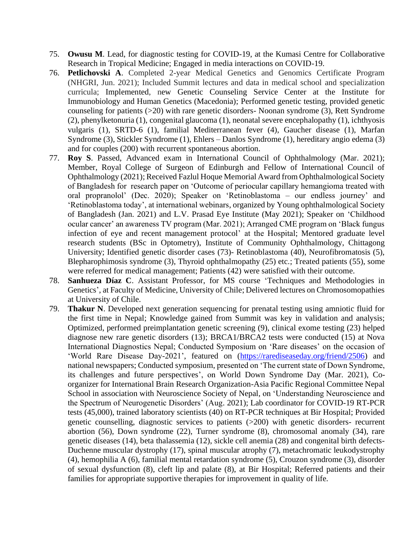- 75. **Owusu M**. Lead, for diagnostic testing for COVID-19, at the Kumasi Centre for Collaborative Research in Tropical Medicine; Engaged in media interactions on COVID-19.
- 76. **Petlichovski A**. Completed 2-year Medical Genetics and Genomics Certificate Program (NHGRI, Jun. 2021); Included Summit lectures and data in medical school and specialization curricula; Implemented, new Genetic Counseling Service Center at the Institute for Immunobiology and Human Genetics (Macedonia); Performed genetic testing, provided genetic counseling for patients (>20) with rare genetic disorders- Noonan syndrome (3), Rett Syndrome (2), phenylketonuria (1), congenital glaucoma (1), neonatal severe encephalopathy (1), ichthyosis vulgaris (1), SRTD-6 (1), familial Mediterranean fever (4), Gaucher disease (1), Marfan Syndrome (3), Stickler Syndrome (1), Ehlers – Danlos Syndrome (1), hereditary angio edema (3) and for couples (200) with recurrent spontaneous abortion.
- 77. **Roy S**. Passed, Advanced exam in International Council of Ophthalmology (Mar. 2021); Member, Royal College of Surgeon of Edinburgh and Fellow of International Council of Ophthalmology (2021); Received Fazlul Hoque Memorial Award from Ophthalmological Society of Bangladesh for research paper on 'Outcome of periocular capillary hemangioma treated with oral propranolol' (Dec. 2020); Speaker on 'Retinoblastoma – our endless journey' and 'Retinoblastoma today', at international webinars, organized by Young ophthalmological Society of Bangladesh (Jan. 2021) and L.V. Prasad Eye Institute (May 2021); Speaker on 'Childhood ocular cancer' an awareness TV program (Mar. 2021); Arranged CME program on 'Black fungus infection of eye and recent management protocol' at the Hospital; Mentored graduate level research students (BSc in Optometry), Institute of Community Ophthalmology, Chittagong University; Identified genetic disorder cases (73)- Retinoblastoma (40), Neurofibromatosis (5), Blepharophimosis syndrome (3), Thyroid ophthalmopathy (25) etc.; Treated patients (55), some were referred for medical management; Patients (42) were satisfied with their outcome.
- 78. **Sanhueza Díaz C**. Assistant Professor, for MS course 'Techniques and Methodologies in Genetics', at Faculty of Medicine, University of Chile; Delivered lectures on Chromosomopathies at University of Chile.
- 79. **Thakur N**. Developed next generation sequencing for prenatal testing using amniotic fluid for the first time in Nepal; Knowledge gained from Summit was key in validation and analysis; Optimized, performed preimplantation genetic screening (9), clinical exome testing (23) helped diagnose new rare genetic disorders (13); BRCA1/BRCA2 tests were conducted (15) at Nova International Diagnostics Nepal; Conducted Symposium on 'Rare diseases' on the occasion of 'World Rare Disease Day-2021', featured on [\(https://rarediseaseday.org/friend/2506\)](https://rarediseaseday.org/friend/2506) and national newspapers; Conducted symposium, presented on 'The current state of Down Syndrome, its challenges and future perspectives', on World Down Syndrome Day (Mar. 2021), Coorganizer for International Brain Research Organization-Asia Pacific Regional Committee Nepal School in association with Neuroscience Society of Nepal, on 'Understanding Neuroscience and the Spectrum of Neurogenetic Disorders' (Aug. 2021); Lab coordinator for COVID-19 RT-PCR tests (45,000), trained laboratory scientists (40) on RT-PCR techniques at Bir Hospital; Provided genetic counselling, diagnostic services to patients (>200) with genetic disorders- recurrent abortion (56), Down syndrome (22), Turner syndrome (8), chromosomal anomaly (34), rare genetic diseases (14), beta thalassemia (12), sickle cell anemia (28) and congenital birth defects-Duchenne muscular dystrophy (17), spinal muscular atrophy (7), metachromatic leukodystrophy (4), hemophilia A (6), familial mental retardation syndrome (5), Crouzon syndrome (3), disorder of sexual dysfunction (8), cleft lip and palate (8), at Bir Hospital; Referred patients and their families for appropriate supportive therapies for improvement in quality of life.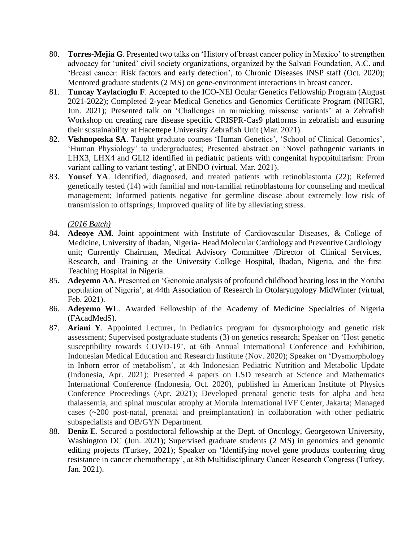- 80. **Torres-Mejía G**. Presented two talks on 'History of breast cancer policy in Mexico' to strengthen advocacy for 'united' civil society organizations, organized by the Salvati Foundation, A.C. and 'Breast cancer: Risk factors and early detection', to Chronic Diseases INSP staff (Oct. 2020); Mentored graduate students (2 MS) on gene-environment interactions in breast cancer.
- 81. **Tuncay Yaylacioglu F**. Accepted to the ICO-NEI Ocular Genetics Fellowship Program (August 2021-2022); Completed 2-year Medical Genetics and Genomics Certificate Program (NHGRI, Jun. 2021); Presented talk on 'Challenges in mimicking missense variants' at a Zebrafish Workshop on creating rare disease specific CRISPR-Cas9 platforms in zebrafish and ensuring their sustainability at Hacettepe University Zebrafish Unit (Mar. 2021).
- 82. **Vishnoposka SA**. Taught graduate courses 'Human Genetics', 'School of Clinical Genomics', 'Human Physiology' to undergraduates; Presented abstract on 'Novel pathogenic variants in LHX3, LHX4 and GLI2 identified in pediatric patients with congenital hypopituitarism: From variant calling to variant testing', at ENDO (virtual, Mar. 2021).
- 83. **Yousef YA**. Identified, diagnosed, and treated patients with retinoblastoma (22); Referred genetically tested (14) with familial and non-familial retinoblastoma for counseling and medical management; Informed patients negative for germline disease about extremely low risk of transmission to offsprings; Improved quality of life by alleviating stress.

## *(2016 Batch)*

- 84. **Adeoye AM**. Joint appointment with Institute of Cardiovascular Diseases, & College of Medicine, University of Ibadan, Nigeria- Head Molecular Cardiology and Preventive Cardiology unit; Currently Chairman, Medical Advisory Committee /Director of Clinical Services, Research, and Training at the University College Hospital, Ibadan, Nigeria, and the first Teaching Hospital in Nigeria.
- 85. **Adeyemo AA**. Presented on 'Genomic analysis of profound childhood hearing loss in the Yoruba population of Nigeria', at 44th Association of Research in Otolaryngology MidWinter (virtual, Feb. 2021).
- 86. **Adeyemo WL**. Awarded Fellowship of the Academy of Medicine Specialties of Nigeria (FAcadMedS).
- 87. **Ariani Y**. Appointed Lecturer, in Pediatrics program for dysmorphology and genetic risk assessment; Supervised postgraduate students (3) on genetics research; Speaker on 'Host genetic susceptibility towards COVD-19', at 6th Annual International Conference and Exhibition, Indonesian Medical Education and Research Institute (Nov. 2020); Speaker on 'Dysmorphology in Inborn error of metabolism', at 4th Indonesian Pediatric Nutrition and Metabolic Update (Indonesia, Apr. 2021); Presented 4 papers on LSD research at Science and Mathematics International Conference (Indonesia, Oct. 2020), published in American Institute of Physics Conference Proceedings (Apr. 2021); Developed prenatal genetic tests for alpha and beta thalassemia, and spinal muscular atrophy at Morula International IVF Center, Jakarta; Managed cases (~200 post-natal, prenatal and preimplantation) in collaboration with other pediatric subspecialists and OB/GYN Department.
- 88. **Deniz E**. Secured a postdoctoral fellowship at the Dept. of Oncology, Georgetown University, Washington DC (Jun. 2021); Supervised graduate students (2 MS) in genomics and genomic editing projects (Turkey, 2021); Speaker on 'Identifying novel gene products conferring drug resistance in cancer chemotherapy', at 8th Multidisciplinary Cancer Research Congress (Turkey, Jan. 2021).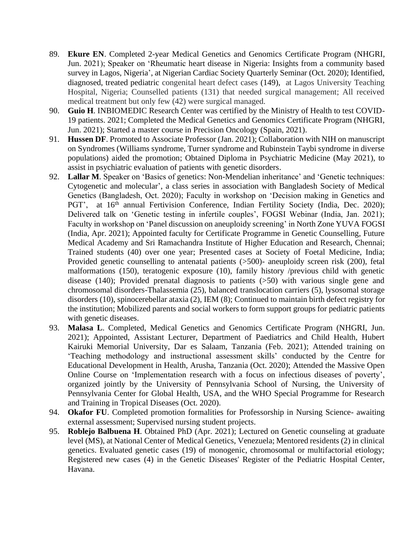- 89. **Ekure EN**. Completed 2-year Medical Genetics and Genomics Certificate Program (NHGRI, Jun. 2021); Speaker on 'Rheumatic heart disease in Nigeria: Insights from a community based survey in Lagos, Nigeria', at Nigerian Cardiac Society Quarterly Seminar (Oct. 2020); Identified, diagnosed, treated pediatric congenital heart defect cases (149), at Lagos University Teaching Hospital, Nigeria; Counselled patients (131) that needed surgical management; All received medical treatment but only few (42) were surgical managed.
- 90. **Guio H**. INBIOMEDIC Research Center was certified by the Ministry of Health to test COVID-19 patients. 2021; Completed the Medical Genetics and Genomics Certificate Program (NHGRI, Jun. 2021); Started a master course in Precision Oncology (Spain, 2021).
- 91. **Hussen DF**. Promoted to Associate Professor (Jan. 2021); Collaboration with NIH on manuscript on Syndromes (Williams syndrome, Turner syndrome and Rubinstein Taybi syndrome in diverse populations) aided the promotion; Obtained Diploma in Psychiatric Medicine (May 2021), to assist in psychiatric evaluation of patients with genetic disorders.
- 92. **Lallar M**. Speaker on 'Basics of genetics: Non-Mendelian inheritance' and 'Genetic techniques: Cytogenetic and molecular', a class series in association with Bangladesh Society of Medical Genetics (Bangladesh, Oct. 2020); Faculty in workshop on 'Decision making in Genetics and PGT', at 16<sup>th</sup> annual Fertivision Conference, Indian Fertility Society (India, Dec. 2020); Delivered talk on 'Genetic testing in infertile couples', FOGSI Webinar (India, Jan. 2021); Faculty in workshop on 'Panel discussion on aneuploidy screening' in North Zone YUVA FOGSI (India, Apr. 2021); Appointed faculty for Certificate Programme in Genetic Counselling, Future Medical Academy and Sri Ramachandra Institute of Higher Education and Research, Chennai; Trained students (40) over one year; Presented cases at Society of Foetal Medicine, India; Provided genetic counselling to antenatal patients (>500)- aneuploidy screen risk (200), fetal malformations (150), teratogenic exposure (10), family history /previous child with genetic disease (140); Provided prenatal diagnosis to patients (>50) with various single gene and chromosomal disorders-Thalassemia (25), balanced translocation carriers (5), lysosomal storage disorders (10), spinocerebellar ataxia (2), IEM (8); Continued to maintain birth defect registry for the institution; Mobilized parents and social workers to form support groups for pediatric patients with genetic diseases.
- 93. **Malasa L**. Completed, Medical Genetics and Genomics Certificate Program (NHGRI, Jun. 2021); Appointed, Assistant Lecturer, Department of Paediatrics and Child Health, Hubert Kairuki Memorial University, Dar es Salaam, Tanzania (Feb. 2021); Attended training on 'Teaching methodology and instructional assessment skills' conducted by the Centre for Educational Development in Health, Arusha, Tanzania (Oct. 2020); Attended the Massive Open Online Course on 'Implementation research with a focus on infectious diseases of poverty', organized jointly by the University of Pennsylvania School of Nursing, the University of Pennsylvania Center for Global Health, USA, and the WHO Special Programme for Research and Training in Tropical Diseases (Oct. 2020).
- 94. **Okafor FU**. Completed promotion formalities for Professorship in Nursing Science- awaiting external assessment; Supervised nursing student projects.
- 95. **Roblejo Balbuena H**. Obtained PhD (Apr. 2021); Lectured on Genetic counseling at graduate level (MS), at National Center of Medical Genetics, Venezuela; Mentored residents (2) in clinical genetics. Evaluated genetic cases (19) of monogenic, chromosomal or multifactorial etiology; Registered new cases (4) in the Genetic Diseases' Register of the Pediatric Hospital Center, Havana.